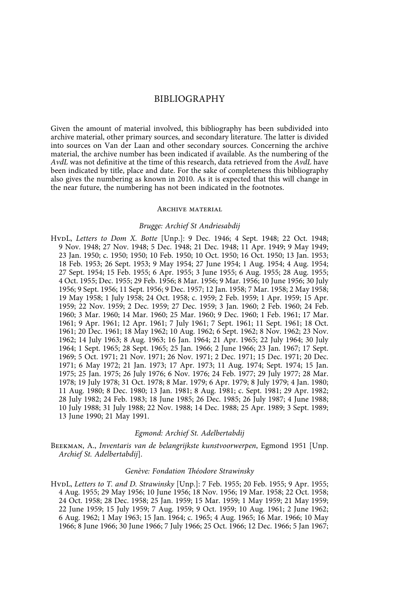# BIBLIOGRAPHY

Given the amount of material involved, this bibliography has been subdivided into archive material, other primary sources, and secondary literature. The latter is divided into sources on Van der Laan and other secondary sources. Concerning the archive material, the archive number has been indicated if available. As the numbering of the *AvdL* was not definitive at the time of this research, data retrieved from the *AvdL* have been indicated by title, place and date. For the sake of completeness this bibliography also gives the numbering as known in 2010. As it is expected that this will change in the near future, the numbering has not been indicated in the footnotes.

### Archive material

### *Brugge: Archief St Andriesabdij*

HvdL, *Letters to Dom X. Botte* [Unp.]: 9 Dec. 1946; 4 Sept. 1948; 22 Oct. 1948; 9 Nov. 1948; 27 Nov. 1948; 5 Dec. 1948; 21 Dec. 1948; 11 Apr. 1949; 9 May 1949; 23 Jan. 1950; c. 1950; 1950; 10 Feb. 1950; 10 Oct. 1950; 16 Oct. 1950; 13 Jan. 1953; 18 Feb. 1953; 26 Sept. 1953; 9 May 1954; 27 June 1954; 1 Aug. 1954; 4 Aug. 1954; 27 Sept. 1954; 15 Feb. 1955; 6 Apr. 1955; 3 June 1955; 6 Aug. 1955; 28 Aug. 1955; 4 Oct. 1955; Dec. 1955; 29 Feb. 1956; 8 Mar. 1956; 9 Mar. 1956; 10 June 1956; 30 July 1956; 9 Sept. 1956; 11 Sept. 1956; 9 Dec. 1957; 12 Jan. 1958; 7 Mar. 1958; 2 May 1958; 19 May 1958; 1 July 1958; 24 Oct. 1958; c. 1959; 2 Feb. 1959; 1 Apr. 1959; 15 Apr. 1959; 22 Nov. 1959; 2 Dec. 1959; 27 Dec. 1959; 3 Jan. 1960; 2 Feb. 1960; 24 Feb. 1960; 3 Mar. 1960; 14 Mar. 1960; 25 Mar. 1960; 9 Dec. 1960; 1 Feb. 1961; 17 Mar. 1961; 9 Apr. 1961; 12 Apr. 1961; 7 July 1961; 7 Sept. 1961; 11 Sept. 1961; 18 Oct. 1961; 20 Dec. 1961; 18 May 1962; 10 Aug. 1962; 6 Sept. 1962; 8 Nov. 1962; 23 Nov. 1962; 14 July 1963; 8 Aug. 1963; 16 Jan. 1964; 21 Apr. 1965; 22 July 1964; 30 July 1964; 1 Sept. 1965; 28 Sept. 1965; 25 Jan. 1966; 2 June 1966; 23 Jan. 1967; 17 Sept. 1969; 5 Oct. 1971; 21 Nov. 1971; 26 Nov. 1971; 2 Dec. 1971; 15 Dec. 1971; 20 Dec. 1971; 6 May 1972; 21 Jan. 1973; 17 Apr. 1973; 11 Aug. 1974; Sept. 1974; 15 Jan. 1975; 25 Jan. 1975; 26 July 1976; 6 Nov. 1976; 24 Feb. 1977; 29 July 1977; 28 Mar. 1978; 19 July 1978; 31 Oct. 1978; 8 Mar. 1979; 6 Apr. 1979; 8 July 1979; 4 Jan. 1980; 11 Aug. 1980; 8 Dec. 1980; 13 Jan. 1981; 8 Aug. 1981; c. Sept. 1981; 29 Apr. 1982; 28 July 1982; 24 Feb. 1983; 18 June 1985; 26 Dec. 1985; 26 July 1987; 4 June 1988; 10 July 1988; 31 July 1988; 22 Nov. 1988; 14 Dec. 1988; 25 Apr. 1989; 3 Sept. 1989; 13 June 1990; 21 May 1991.

### *Egmond: Archief St. Adelbertabdij*

Beekman, A., *Inventaris van de belangrijkste kunstvoorwerpen*, Egmond 1951 [Unp. *Archief St. Adelbertabdij*].

### *Genève: Fondation Théodore Strawinsky*

HvdL, *Letters to T. and D. Strawinsky* [Unp.]: 7 Feb. 1955; 20 Feb. 1955; 9 Apr. 1955; 4 Aug. 1955; 29 May 1956; 10 June 1956; 18 Nov. 1956; 19 Mar. 1958; 22 Oct. 1958; 24 Oct. 1958; 28 Dec. 1958; 25 Jan. 1959; 15 Mar. 1959; 1 May 1959; 21 May 1959; 22 June 1959; 15 July 1959; 7 Aug. 1959; 9 Oct. 1959; 10 Aug. 1961; 2 June 1962; 6 Aug. 1962; 1 May 1963; 15 Jan. 1964; c. 1965; 4 Aug. 1965; 16 Mar. 1966; 10 May 1966; 8 June 1966; 30 June 1966; 7 July 1966; 25 Oct. 1966; 12 Dec. 1966; 5 Jan 1967;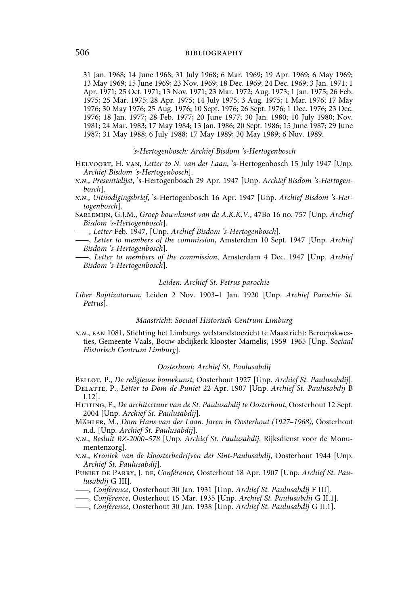31 Jan. 1968; 14 June 1968; 31 July 1968; 6 Mar. 1969; 19 Apr. 1969; 6 May 1969; 13 May 1969; 15 June 1969; 23 Nov. 1969; 18 Dec. 1969; 24 Dec. 1969; 3 Jan. 1971; 1 Apr. 1971; 25 Oct. 1971; 13 Nov. 1971; 23 Mar. 1972; Aug. 1973; 1 Jan. 1975; 26 Feb. 1975; 25 Mar. 1975; 28 Apr. 1975; 14 July 1975; 3 Aug. 1975; 1 Mar. 1976; 17 May 1976; 30 May 1976; 25 Aug. 1976; 10 Sept. 1976; 26 Sept. 1976; 1 Dec. 1976; 23 Dec. 1976; 18 Jan. 1977; 28 Feb. 1977; 20 June 1977; 30 Jan. 1980; 10 July 1980; Nov. 1981; 24 Mar. 1983; 17 May 1984; 13 Jan. 1986; 20 Sept. 1986; 15 June 1987; 29 June 1987; 31 May 1988; 6 July 1988; 17 May 1989; 30 May 1989; 6 Nov. 1989.

### *'s-Hertogenbosch: Archief Bisdom 's-Hertogenbosch*

- Helvoort, H. van, *Letter to N. van der Laan*, 's-Hertogenbosch 15 July 1947 [Unp. *Archief Bisdom 's-Hertogenbosch*].
- *n.n.*, *Presentielijst*, 's-Hertogenbosch 29 Apr. 1947 [Unp. *Archief Bisdom 's-Hertogenbosch*].
- *n.n.*, *Uitnodigingsbrief*, 's-Hertogenbosch 16 Apr. 1947 [Unp. *Archief Bisdom 's-Hertogenbosch*].
- Sarlemijn, G.J.M., *Groep bouwkunst van de A.K.K.V.*, 47Bo 16 no. 757 [Unp. *Archief Bisdom 's-Hertogenbosch*].
- ——, *Letter* Feb. 1947, [Unp. *Archief Bisdom 's-Hertogenbosch*].
- ——, *Letter to members of the commission*, Amsterdam 10 Sept. 1947 [Unp. *Archief Bisdom 's-Hertogenbosch*].
- ——, *Letter to members of the commission*, Amsterdam 4 Dec. 1947 [Unp. *Archief Bisdom 's-Hertogenbosch*].

### *Leiden: Archief St. Petrus parochie*

*Liber Baptizatorum*, Leiden 2 Nov. 1903–1 Jan. 1920 [Unp. *Archief Parochie St. Petrus*].

### *Maastricht: Sociaal Historisch Centrum Limburg*

*n.n.*, ean 1081, Stichting het Limburgs welstandstoezicht te Maastricht: Beroepskwesties, Gemeente Vaals, Bouw abdijkerk klooster Mamelis, 1959–1965 [Unp. *Sociaal Historisch Centrum Limburg*].

## *Oosterhout: Archief St. Paulusabdij*

Bellot, P., *De religieuse bouwkunst*, Oosterhout 1927 [Unp. *Archief St. Paulusabdij*]. Delatte, P., *Letter to Dom de Puniet* 22 Apr. 1907 [Unp. *Archief St. Paulusabdij* B I.12].

- Huiting, F., *De architectuur van de St. Paulusabdij te Oosterhout*, Oosterhout 12 Sept. 2004 [Unp. *Archief St. Paulusabdij*].
- Mähler, M., *Dom Hans van der Laan. Jaren in Oosterhout (1927–1968)*, Oosterhout n.d. [Unp. *Archief St. Paulusabdij*].
- *n.n.*, *Besluit RZ-2000–578* [Unp. *Archief St. Paulusabdij*. Rijksdienst voor de Monumentenzorg].
- *n.n.*, *Kroniek van de kloosterbedrijven der Sint-Paulusabdij*, Oosterhout 1944 [Unp. *Archief St. Paulusabdij*].
- Puniet de Parry, J. de, *Conférence*, Oosterhout 18 Apr. 1907 [Unp. *Archief St. Paulusabdij* G III].
- ——, *Conférence*, Oosterhout 30 Jan. 1931 [Unp. *Archief St. Paulusabdij* F III].
- ——, *Conférence*, Oosterhout 15 Mar. 1935 [Unp. *Archief St. Paulusabdij* G II.1].
- ——, *Conférence*, Oosterhout 30 Jan. 1938 [Unp. *Archief St. Paulusabdij* G II.1].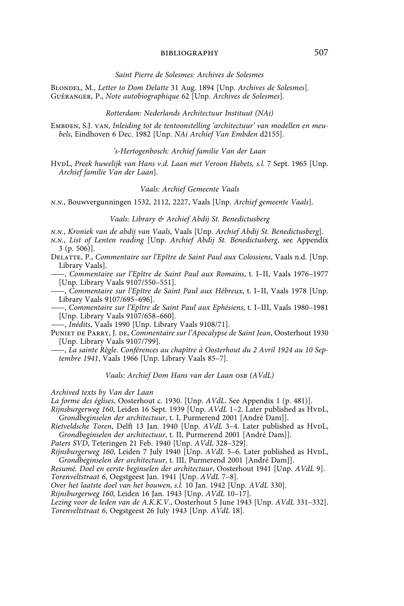#### *Saint Pierre de Solesmes: Archives de Solesmes*

Blondel, M., *Letter to Dom Delatte* 31 Aug. 1894 [Unp. *Archives de Solesmes*]*.* Guéranger, P., *Note autobiographique* 62 [Unp. *Archives de Solesmes*].

### *Rotterdam: Nederlands Architectuur Instituut (NAi)*

EMBDEN, S.J. VAN, *Inleiding tot de tentoonstelling 'architectuur' van modellen en meubels*, Eindhoven 6 Dec. 1982 [Unp. *NAi Archief Van Embden* d2155].

### *'s-Hertogenbosch: Archief familie Van der Laan*

HvpL, Preek huwelijk van Hans v.d. Laan met Veroon Habets, s.l. 7 Sept. 1965 [Unp. *Archief familie Van der Laan*].

### *Vaals: Archief Gemeente Vaals*

*n.n.*, Bouwvergunningen 1532, 2112, 2227, Vaals [Unp. *Archief gemeente Vaals*].

## *Vaals: Library & Archief Abdij St. Benedictusberg*

*n.n.*, *Kroniek van de abdij van Vaals*, Vaals [Unp. *Archief Abdij St. Benedictusberg*].

*n.n.*, *List of Lenten reading* [Unp. *Archief Abdij St. Benedictusberg*, see Appendix 3 (p. 506)].

Delatte, P., *Commentaire sur l'Epître de Saint Paul aux Colossiens*, Vaals n.d. [Unp. Library Vaals].

——, *Commentaire sur l'Epître de Saint Paul aux Romains*, t. I–II, Vaals 1976–1977 [Unp. Library Vaals 9107/550–551].

——, *Commentaire sur l'Epître de Saint Paul aux Hébreux*, t. I–II, Vaals 1978 [Unp. Library Vaals 9107/695–696].

——, *Commentaire sur l'Epître de Saint Paul aux Ephésiens*, t. I–III, Vaals 1980–1981 [Unp. Library Vaals 9107/658–660].

——, *Inédits*, Vaals 1990 [Unp. Library Vaals 9108/71].

Puniet de Parry, J. de, *Commentaire sur l'Apocalypse de Saint Jean*, Oosterhout 1930 [Unp. Library Vaals 9107/799].

——, *La sainte Règle. Conférences au chapître à Oosterhout du 2 Avril 1924 au 10 Septembre 1941*, Vaals 1966 [Unp. Library Vaals 85–7].

### *Vaals: Archief Dom Hans van der Laan osb (AVdL)*

### *Archived texts by Van der Laan*

*La forme des églises*, Oosterhout c. 1930. [Unp. *AVdL*. See Appendix 1 (p. 481)].

*Rijnsburgerweg 160*, Leiden 16 Sept. 1939 [Unp. *AVdL* 1–2. Later published as HvpL, *Grondbeginselen der architectuur*, t. I, Purmerend 2001 [André Dam]].

*Rietveldsche Toren*, Delft 13 Jan. 1940 [Unp. *AVdL* 3–4. Later published as HvdL, *Grondbeginselen der architectuur*, t. II, Purmerend 2001 [André Dam]].

*Paters SVD*, Teteringen 21 Feb. 1940 [Unp. *AVdL* 328–329].

*Rijnsburgerweg 160*, Leiden 7 July 1940 [Unp. *AVdL* 5-6. Later published as HvDL, *Grondbeginselen der architectuur*, t. III, Purmerend 2001 [André Dam]].

*Resumé. Doel en eerste beginselen der architectuur*, Oosterhout 1941 [Unp. *AVdL* 9]. *Torenveltstraat 6*, Oegstgeest Jan. 1941 [Unp. *AVdL* 7–8].

*Over het laatste doel van het bouwen*, *s.l.* 10 Jan. 1942 [Unp. *AVdL* 330].

*Rijnsburgerweg 160*, Leiden 16 Jan. 1943 [Unp. *AVdL* 10–17].

*Lezing voor de leden van de A.K.K.V*., Oosterhout 5 June 1943 [Unp. *AVdL* 331–332]. *Torenveltstraat 6*, Oegstgeest 26 July 1943 [Unp. *AVdL* 18].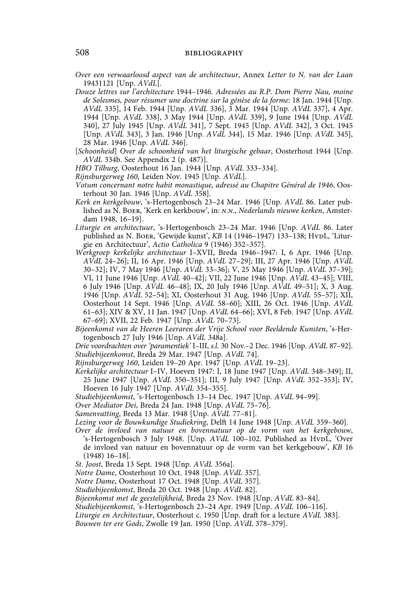*Over een verwaarloosd aspect van de architectuur*, Annex *Letter to N. van der Laan* 19431121 [Unp. *AVdL*].

- *Douze lettres sur l'architecture* 1944–1946*. Adressées au R.P. Dom Pierre Nau, moine de Solesmes, pour résumer une doctrine sur la génèse de la forme*: 18 Jan. 1944 [Unp. *AVdL* 335], 14 Feb. 1944 [Unp. *AVdL* 336], 3 Mar. 1944 [Unp. *AVdL* 337], 4 Apr. 1944 [Unp. *AVdL* 338], 3 May 1944 [Unp. *AVdL* 339], 9 June 1944 [Unp. *AVdL* 340], 27 July 1945 [Unp. *AVdL* 341], 7 Sept. 1945 [Unp. *AVdL* 342], 3 Oct. 1945 [Unp. *AVdL* 343], 3 Jan. 1946 [Unp. *AVdL* 344], 15 Mar. 1946 [Unp. *AVdL* 345], 28 Mar. 1946 [Unp. *AVdL* 346].
- [*Schoonheid*] *Over de schoonheid van het liturgische gebaar*, Oosterhout 1944 [Unp. *AVdL* 334b. See Appendix 2 (p. 487)].
- *HBO Tilburg*, Oosterhout 16 Jan. 1944 [Unp. *AVdL* 333–334].
- *Rijnsburgerweg 160*, Leiden Nov. 1945 [Unp. *AVdL*].
- *Votum concernant notre habit monastique, adressé au Chapitre Général de 1946*, Oosterhout 30 Jan. 1946 [Unp. *AVdL* 358].
- *Kerk en kerkgebouw*, 's-Hertogenbosch 23–24 Mar. 1946 [Unp. *AVdL* 86. Later published as N. Boer, 'Kerk en kerkbouw', in: *n.n.*, *Nederlands nieuwe kerken*, Amsterdam 1948, 16–19].
- *Liturgie en architectuur*, 's-Hertogenbosch 23–24 Mar. 1946 [Unp. *AVdL* 86. Later published as N. Boer, 'Gewijde kunst', *KB* 14 (1946–1947) 133–138; HvpL, 'Liturgie en Architectuur', *Actio Catholica* 9 (1946) 352–357].
- *Werkgroep kerkelijke architectuur* I–XVII, Breda 1946–1947: I, 6 Apr. 1946 [Unp. *AVdL* 24–26]; II, 16 Apr. 1946 [Unp. *AVdL* 27–29]; III, 27 Apr. 1946 [Unp. *AVdL* 30–32]; IV, 7 May 1946 [Unp. *AVdL* 33–36]; V, 25 May 1946 [Unp. *AVdL* 37–39]; VI, 11 June 1946 [Unp. *AVdL* 40–42]; VII, 22 June 1946 [Unp. *AVdL* 43–45]; VIII, 6 July 1946 [Unp. *AVdL* 46–48]; IX, 20 July 1946 [Unp. *AVdL* 49–51]; X, 3 Aug. 1946 [Unp. *AVdL* 52–54]; XI, Oosterhout 31 Aug. 1946 [Unp. *AVdL* 55–57]; XII, Oosterhout 14 Sept. 1946 [Unp. *AVdL* 58–60]; XIII, 26 Oct. 1946 [Unp. *AVdL* 61–63]; XIV & XV, 11 Jan. 1947 [Unp. *AVdL* 64–66]; XVI, 8 Feb. 1947 [Unp. *AVdL* 67–69]; XVII, 22 Feb. 1947 [Unp. *AVdL* 70–73].
- *Bijeenkomst van de Heeren Leeraren der Vrije School voor Beeldende Kunsten*, 's-Hertogenbosch 27 July 1946 [Unp. *AVdL* 348a].

*Drie voordrachten over 'paramentiek'* I–III, *s.l.* 30 Nov.–2 Dec. 1946 [Unp. *AVdL* 87–92]. *Studiebijeenkomst*, Breda 29 Mar. 1947 [Unp. *AVdL* 74].

*Rijnsburgerweg 160*, Leiden 19–20 Apr. 1947 [Unp. *AVdL* 19–23].

- *Kerkelijke architectuur* I–IV, Hoeven 1947: I, 18 June 1947 [Unp. *AVdL* 348–349]; II, 25 June 1947 [Unp. *AVdL* 350–351]; III, 9 July 1947 [Unp. *AVdL* 352–353]; IV, Hoeven 16 July 1947 [Unp. *AVdL* 354–355].
- *Studiebijeenkomst*, 's-Hertogenbosch 13–14 Dec. 1947 [Unp. *AVdL* 94–99].
- *Over Mediator Dei*, Breda 24 Jan. 1948 [Unp. *AVdL* 75–76].
- *Samenvatting*, Breda 13 Mar. 1948 [Unp. *AVdL* 77–81].

*Lezing voor de Bouwkundige Studiekring*, Delft 14 June 1948 [Unp. *AVdL* 359–360].

- *Over de invloed van natuur en bovennatuur op de vorm van het kerkgebouw*, 's-Hertogenbosch 3 July 1948. [Unp. *AVdL* 100–102. Published as HvpL, 'Over de invloed van natuur en bovennatuur op de vorm van het kerkgebouw', *KB* 16 (1948) 16–18].
- *St. Joost*, Breda 13 Sept. 1948 [Unp. *AVdL* 356a].
- *Notre Dame*, Oosterhout 10 Oct. 1948 [Unp. *AVdL* 357].

*Notre Dame*, Oosterhout 17 Oct. 1948 [Unp. *AVdL* 357].

- *Studiebijeenkomst*, Breda 20 Oct. 1948 [Unp. *AVdL* 82].
- *Bijeenkomst met de geestelijkheid*, Breda 23 Nov. 1948 [Unp. *AVdL* 83–84].
- *Studiebijeenkomst*, 's-Hertogenbosch 23–24 Apr. 1949 [Unp. *AVdL* 106–116].
- *Liturgie en Architectuur*, Oosterhout c. 1950 [Unp. draft for a lecture *AVdL* 383].
- *Bouwen ter ere Gods*, Zwolle 19 Jan. 1950 [Unp. *AVdL* 378–379].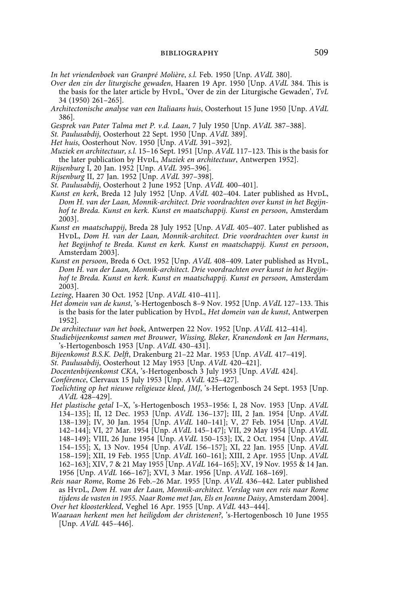*In het vriendenboek van Granpré Molière*, *s.l.* Feb. 1950 [Unp. *AVdL* 380].

- *Over den zin der liturgische gewaden*, Haaren 19 Apr. 1950 [Unp. *AVdL* 384. This is the basis for the later article by HvpL, 'Over de zin der Liturgische Gewaden', *TvL* 34 (1950) 261–265].
- *Architectonische analyse van een Italiaans huis*, Oosterhout 15 June 1950 [Unp. *AVdL* 386].

*Gesprek van Pater Talma met P. v.d. Laan*, 7 July 1950 [Unp. *AVdL* 387–388].

*St. Paulusabdij*, Oosterhout 22 Sept. 1950 [Unp. *AVdL* 389].

*Het huis*, Oosterhout Nov. 1950 [Unp. *AVdL* 391–392].

- *Muziek en architectuur, s.l.* 15–16 Sept. 1951 [Unp. *AVdL* 117–123. This is the basis for the later publication by HvpL, *Muziek en architectuur*, Antwerpen 1952].
- *Rijsenburg* I, 20 Jan. 1952 [Unp. *AVdL* 395–396].
- *Rijsenburg* II, 27 Jan. 1952 [Unp. *AVdL* 397–398].
- *St. Paulusabdij*, Oosterhout 2 June 1952 [Unp. *AVdL* 400–401].
- *Kunst en kerk*, Breda 12 July 1952 [Unp. *AVdL* 402–404. Later published as HvpL, *Dom H. van der Laan, Monnik-architect. Drie voordrachten over kunst in het Begijnhof te Breda. Kunst en kerk. Kunst en maatschappij. Kunst en persoon*, Amsterdam 2003].
- *Kunst en maatschappij*, Breda 28 July 1952 [Unp. *AVdL* 405–407. Later published as HvdL, *Dom H. van der Laan, Monnik-architect. Drie voordrachten over kunst in het Begijnhof te Breda. Kunst en kerk. Kunst en maatschappij. Kunst en persoon*, Amsterdam 2003].
- *Kunst en persoon*, Breda 6 Oct. 1952 [Unp. *AVdL* 408-409. Later published as HvDL, *Dom H. van der Laan, Monnik-architect. Drie voordrachten over kunst in het Begijnhof te Breda. Kunst en kerk. Kunst en maatschappij. Kunst en persoon*, Amsterdam 2003].

*Lezing*, Haaren 30 Oct. 1952 [Unp. *AVdL* 410–411].

- *Het domein van de kunst*, 's-Hertogenbosch 8–9 Nov. 1952 [Unp. *AVdL* 127–133. This is the basis for the later publication by HvpL, *Het domein van de kunst*, Antwerpen 1952].
- *De architectuur van het boek*, Antwerpen 22 Nov. 1952 [Unp. *AVdL* 412–414].
- *Studiebijeenkomst samen met Brouwer, Wissing, Bleker, Kranendonk en Jan Hermans*, 's-Hertogenbosch 1953 [Unp. *AVdL* 430–431].
- *Bijeenkomst B.S.K. Delft*, Drakenburg 21–22 Mar. 1953 [Unp. *AVdL* 417–419].
- *St. Paulusabdij*, Oosterhout 12 May 1953 [Unp. *AVdL* 420–421].
- *Docentenbijeenkomst CKA*, 's-Hertogenbosch 3 July 1953 [Unp. *AVdL* 424].

*Conférence*, Clervaux 15 July 1953 [Unp. *AVdL* 425–427].

- *Toelichting op het nieuwe religieuze kleed, JMJ*, 's-Hertogenbosch 24 Sept. 1953 [Unp. *AVdL* 428–429].
- *Het plastische getal* I–X, 's-Hertogenbosch 1953–1956: I, 28 Nov. 1953 [Unp. *AVdL* 134–135]; II, 12 Dec. 1953 [Unp. *AVdL* 136–137]; III, 2 Jan. 1954 [Unp. *AVdL* 138–139]; IV, 30 Jan. 1954 [Unp. *AVdL* 140–141]; V, 27 Feb. 1954 [Unp. *AVdL* 142–144]; VI, 27 Mar. 1954 [Unp. *AVdL* 145–147]; VII, 29 May 1954 [Unp. *AVdL* 148–149]; VIII, 26 June 1954 [Unp. *AVdL* 150–153]; IX, 2 Oct. 1954 [Unp. *AVdL* 154–155]; X, 13 Nov. 1954 [Unp. *AVdL* 156–157]; XI, 22 Jan. 1955 [Unp. *AVdL* 158–159]; XII, 19 Feb. 1955 [Unp. *AVdL* 160–161]; XIII, 2 Apr. 1955 [Unp. *AVdL* 162–163]; XIV, 7 & 21 May 1955 [Unp. *AVdL* 164–165]; XV, 19 Nov. 1955 & 14 Jan. 1956 [Unp. *AVdL* 166–167]; XVI, 3 Mar. 1956 [Unp. *AVdL* 168–169].
- *Reis naar Rome*, Rome 26 Feb.–26 Mar. 1955 [Unp. *AVdL* 436–442. Later published as HvpL, *Dom H. van der Laan, Monnik-architect. Verslag van een reis naar Rome tijdens de vasten in 1955. Naar Rome met Jan, Els en Jeanne Daisy*, Amsterdam 2004]. *Over het kloosterkleed*, Veghel 16 Apr. 1955 [Unp. *AVdL* 443–444].
- *Waaraan herkent men het heiligdom der christenen?*, 's-Hertogenbosch 10 June 1955 [Unp. *AVdL* 445–446].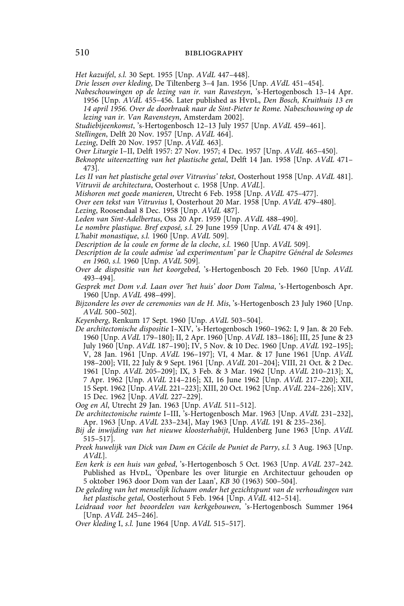*Het kazuifel*, *s.l.* 30 Sept. 1955 [Unp. *AVdL* 447–448].

*Drie lessen over kleding*, De Tiltenberg 3–4 Jan. 1956 [Unp. *AVdL* 451–454].

*Nabeschouwingen op de lezing van ir. van Ravesteyn*, 's-Hertogenbosch 13–14 Apr. 1956 [Unp. *AVdL* 455–456. Later published as HvdL, *Den Bosch, Kruithuis 13 en 14 april 1956. Over de doorbraak naar de Sint-Pieter te Rome. Nabeschouwing op de lezing van ir. Van Ravensteyn*, Amsterdam 2002].

*Studiebijeenkomst*, 's-Hertogenbosch 12–13 July 1957 [Unp. *AVdL* 459–461].

- *Stellingen*, Delft 20 Nov. 1957 [Unp. *AVdL* 464].
- *Lezing*, Delft 20 Nov. 1957 [Unp. *AVdL* 463].
- *Over Liturgie* I–II, Delft 1957: 27 Nov. 1957; 4 Dec. 1957 [Unp. *AVdL* 465–450].

*Beknopte uiteenzetting van het plastische getal*, Delft 14 Jan. 1958 [Unp. *AVdL* 471– 473].

*Les II van het plastische getal over Vitruvius' tekst*, Oosterhout 1958 [Unp. *AVdL* 481]. *Vitruvii de architectura*, Oosterhout c. 1958 [Unp. *AVdL*].

*Mishoren met goede manieren*, Utrecht 6 Feb. 1958 [Unp. *AVdL* 475–477].

*Over een tekst van Vitruvius* I, Oosterhout 20 Mar. 1958 [Unp. *AVdL* 479–480].

*Lezing*, Roosendaal 8 Dec. 1958 [Unp. *AVdL* 487].

*Leden van Sint-Adelbertus*, Oss 20 Apr. 1959 [Unp. *AVdL* 488–490].

*Le nombre plastique. Bref exposé, s.l.* 29 June 1959 [Unp. *AVdL* 474 & 491].

*L'habit monastique*, *s.l.* 1960 [Unp. *AVdL* 509].

*Description de la coule en forme de la cloche*, *s.l.* 1960 [Unp. *AVdL* 509].

*Description de la coule admise 'ad experimentum' par le Chapitre Général de Solesmes en 1960*, *s.l.* 1960 [Unp. *AVdL* 509]*.*

- *Over de dispositie van het koorgebed*, 's-Hertogenbosch 20 Feb. 1960 [Unp. *AVdL*  493–494].
- *Gesprek met Dom v.d. Laan over 'het huis' door Dom Talma*, 's-Hertogenbosch Apr. 1960 [Unp. *AVdL* 498–499].
- *Bijzondere les over de ceremonies van de H. Mis*, 's-Hertogenbosch 23 July 1960 [Unp. *AVdL* 500–502].

*Keyenberg*, Renkum 17 Sept. 1960 [Unp. *AVdL* 503–504].

*De architectonische dispositie* I–XIV, 's-Hertogenbosch 1960–1962: I, 9 Jan. & 20 Feb. 1960 [Unp. *AVdL* 179–180]; II, 2 Apr. 1960 [Unp. *AVdL* 183–186]; III, 25 June & 23 July 1960 [Unp. *AVdL* 187–190]; IV, 5 Nov. & 10 Dec. 1960 [Unp. *AVdL* 192–195]; V, 28 Jan. 1961 [Unp. *AVdL* 196–197]; VI, 4 Mar. & 17 June 1961 [Unp. *AVdL* 198–200]; VII, 22 July & 9 Sept. 1961 [Unp. *AVdL* 201–204]; VIII, 21 Oct. & 2 Dec. 1961 [Unp. *AVdL* 205–209]; IX, 3 Feb. & 3 Mar. 1962 [Unp. *AVdL* 210–213]; X, 7 Apr. 1962 [Unp. *AVdL* 214–216]; XI, 16 June 1962 [Unp. *AVdL* 217–220]; XII, 15 Sept. 1962 [Unp. *AVdL* 221–223]; XIII, 20 Oct. 1962 [Unp. *AVdL* 224–226]; XIV, 15 Dec. 1962 [Unp. *AVdL* 227–229].

*Oog en Al*, Utrecht 29 Jan. 1963 [Unp. *AVdL* 511–512].

- *De architectonische ruimte* I–III, 's-Hertogenbosch Mar. 1963 [Unp. *AVdL* 231–232], Apr. 1963 [Unp. *AVdL* 233–234], May 1963 [Unp. *AVdL* 191 & 235–236].
- *Bij de inwijding van het nieuwe kloosterhabijt*, Huldenberg June 1963 [Unp. *AVdL*  515–517].
- *Preek huwelijk van Dick van Dam en Cécile de Puniet de Parry*, *s.l.* 3 Aug. 1963 [Unp. *AVdL*].
- *Een kerk is een huis van gebed*, 's-Hertogenbosch 5 Oct. 1963 [Unp. *AVdL* 237–242. Published as HvDL, 'Openbare les over liturgie en Architectuur gehouden op 5 oktober 1963 door Dom van der Laan', *KB* 30 (1963) 500–504].
- *De geleding van het menselijk lichaam onder het gezichtspunt van de verhoudingen van het plastische getal*, Oosterhout 5 Feb. 1964 [Unp. *AVdL* 412–514].
- *Leidraad voor het beoordelen van kerkgebouwen*, 's-Hertogenbosch Summer 1964 [Unp. *AVdL* 245–246].
- *Over kleding* I, *s.l.* June 1964 [Unp. *AVdL* 515–517].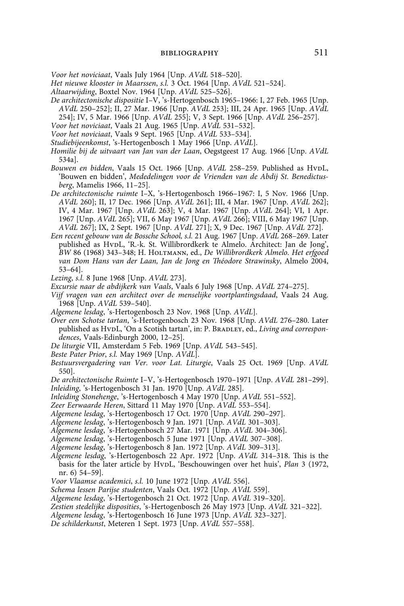*Voor het noviciaat*, Vaals July 1964 [Unp. *AVdL* 518–520].

*Het nieuwe klooster in Maarssen*, *s.l.* 3 Oct. 1964 [Unp. *AVdL* 521–524].

- *Altaarwijding*, Boxtel Nov. 1964 [Unp. *AVdL* 525–526].
- *De architectonische dispositie* I–V, 's-Hertogenbosch 1965–1966: I, 27 Feb. 1965 [Unp. *AVdL* 250–252]; II, 27 Mar. 1966 [Unp. *AVdL* 253]; III, 24 Apr. 1965 [Unp. *AVdL* 254]; IV, 5 Mar. 1966 [Unp. *AVdL* 255]; V, 3 Sept. 1966 [Unp. *AVdL* 256–257].
- *Voor het noviciaat*, Vaals 21 Aug. 1965 [Unp. *AVdL* 531–532].
- *Voor het noviciaat*, Vaals 9 Sept. 1965 [Unp. *AVdL* 533–534].
- *Studiebijeenkomst*, 's-Hertogenbosch 1 May 1966 [Unp. *AVdL*].
- *Homilie bij de uitvaart van Jan van der Laan*, Oegstgeest 17 Aug. 1966 [Unp. *AVdL* 534a].
- Bouwen en bidden, Vaals 15 Oct. 1966 [Unp. AVdL 258-259. Published as HvpL, 'Bouwen en bidden', *Mededelingen voor de Vrienden van de Abdij St. Benedictusberg*, Mamelis 1966, 11–25].
- *De architectonische ruimte* I–X, 's-Hertogenbosch 1966–1967: I, 5 Nov. 1966 [Unp. *AVdL* 260]; II, 17 Dec. 1966 [Unp. *AVdL* 261]; III, 4 Mar. 1967 [Unp. *AVdL* 262]; IV, 4 Mar. 1967 [Unp. *AVdL* 263]; V, 4 Mar. 1967 [Unp. *AVdL* 264]; VI, 1 Apr. 1967 [Unp. *AVdL* 265]; VII, 6 May 1967 [Unp. *AVdL* 266]; VIII, 6 May 1967 [Unp. *AVdL* 267]; IX, 2 Sept. 1967 [Unp. *AVdL* 271]; X, 9 Dec. 1967 [Unp. *AVdL* 272].
- *Een recent gebouw van de Bossche School, s.l.* 21 Aug. 1967 [Unp. *AVdL* 268–269. Later published as HvpL, 'R.-k. St. Willibrordkerk te Almelo. Architect: Jan de Jong', *BW* 86 (1968) 343–348; H. Holtmann, ed., *De Willibrordkerk Almelo. Het erfgoed van Dom Hans van der Laan, Jan de Jong en Théodore Strawinsky*, Almelo 2004, 53–64].
- *Lezing*, *s.l.* 8 June 1968 [Unp. *AVdL* 273].

*Excursie naar de abdijkerk van Vaals*, Vaals 6 July 1968 [Unp. *AVdL* 274–275].

- *Vijf vragen van een architect over de menselijke voortplantingsdaad*, Vaals 24 Aug. 1968 [Unp. *AVdL* 539–540].
- *Algemene lesdag*, 's-Hertogenbosch 23 Nov. 1968 [Unp. *AVdL*].
- *Over een Schotse tartan*, 's-Hertogenbosch 23 Nov. 1968 [Unp. *AVdL* 276–280. Later published as HvpL, 'On a Scotish tartan', in: P. BRADLEY, ed., *Living and correspondences*, Vaals-Edinburgh 2000, 12–25].
- *De liturgie* VII, Amsterdam 5 Feb. 1969 [Unp. *AVdL* 543–545].
- *Beste Pater Prior*, *s.l.* May 1969 [Unp. *AVdL*].
- *Bestuursvergadering van Ver. voor Lat. Liturgie*, Vaals 25 Oct. 1969 [Unp. *AVdL*  550].
- *De architectonische Ruimte* I–V, 's-Hertogenbosch 1970–1971 [Unp. *AVdL* 281–299]. *Inleiding*, 's-Hertogenbosch 31 Jan. 1970 [Unp. *AVdL* 285].
- *Inleiding Stonehenge*, 's-Hertogenbosch 4 May 1970 [Unp. *AVdL* 551–552].
- *Zeer Eerwaarde Heren*, Sittard 11 May 1970 [Unp. *AVdL* 553–554].
- *Algemene lesdag*, 's-Hertogenbosch 17 Oct. 1970 [Unp. *AVdL* 290–297].
- *Algemene lesdag*, 's-Hertogenbosch 9 Jan. 1971 [Unp. *AVdL* 301–303].
- *Algemene lesdag*, 's-Hertogenbosch 27 Mar. 1971 [Unp. *AVdL* 304–306].
- *Algemene lesdag*, 's-Hertogenbosch 5 June 1971 [Unp. *AVdL* 307–308].
- *Algemene lesdag*, 's-Hertogenbosch 8 Jan. 1972 [Unp. *AVdL* 309–313].
- *Algemene lesdag*, 's-Hertogenbosch 22 Apr. 1972 [Unp. *AVdL* 314–318. This is the basis for the later article by HvpL, 'Beschouwingen over het huis', *Plan* 3 (1972, nr. 6) 54–59].
- *Voor Vlaamse academici*, *s.l.* 10 June 1972 [Unp. *AVdL* 556].
- *Schema lessen Parijse studenten*, Vaals Oct. 1972 [Unp. *AVdL* 559].
- *Algemene lesdag*, 's-Hertogenbosch 21 Oct. 1972 [Unp. *AVdL* 319–320].
- *Zestien stedelijke disposities*, 's-Hertogenbosch 26 May 1973 [Unp. *AVdL* 321–322].
- *Algemene lesdag*, 's-Hertogenbosch 16 June 1973 [Unp. *AVdL* 323–327].
- *De schilderkunst*, Meteren 1 Sept. 1973 [Unp. *AVdL* 557–558].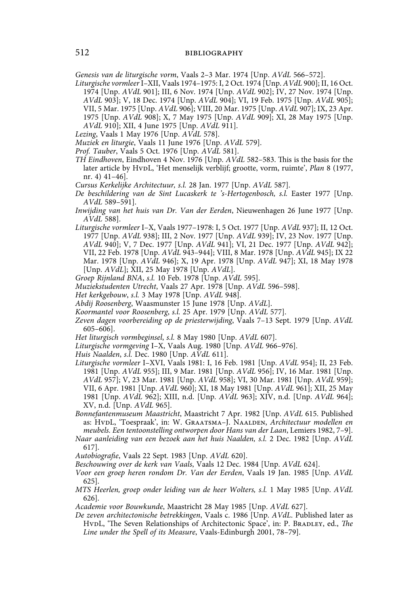*Genesis van de liturgische vorm*, Vaals 2–3 Mar. 1974 [Unp. *AVdL* 566–572].

- *Liturgische vormleer* I–XII, Vaals 1974–1975: I, 2 Oct. 1974 [Unp. *AVdL* 900]; II, 16 Oct. 1974 [Unp. *AVdL* 901]; III, 6 Nov. 1974 [Unp. *AVdL* 902]; IV, 27 Nov. 1974 [Unp. *AVdL* 903]; V, 18 Dec. 1974 [Unp. *AVdL* 904]; VI, 19 Feb. 1975 [Unp. *AVdL* 905]; VII, 5 Mar. 1975 [Unp. *AVdL* 906]; VIII, 20 Mar. 1975 [Unp. *AVdL* 907]; IX, 23 Apr. 1975 [Unp. *AVdL* 908]; X, 7 May 1975 [Unp. *AVdL* 909]; XI, 28 May 1975 [Unp. *AVdL* 910]; XII, 4 June 1975 [Unp. *AVdL* 911].
- *Lezing*, Vaals 1 May 1976 [Unp. *AVdL* 578].
- *Muziek en liturgie*, Vaals 11 June 1976 [Unp. *AVdL* 579].
- *Prof. Tauber*, Vaals 5 Oct. 1976 [Unp. *AVdL* 581].
- *TH Eindhoven*, Eindhoven 4 Nov. 1976 [Unp. *AVdL* 582–583. This is the basis for the later article by HvpL, 'Het menselijk verblijf; grootte, vorm, ruimte', *Plan 8* (1977, nr. 4) 41–46].
- *Cursus Kerkelijke Architectuur, s.l.* 28 Jan. 1977 [Unp. *AVdL* 587].
- *De beschildering van de Sint Lucaskerk te 's-Hertogenbosch, s.l.* Easter 1977 [Unp. *AVdL* 589–591].
- *Inwijding van het huis van Dr. Van der Eerden*, Nieuwenhagen 26 June 1977 [Unp. *AVdL* 588].
- *Liturgische vormleer* I–X, Vaals 1977–1978: I, 5 Oct. 1977 [Unp. *AVdL* 937]; II, 12 Oct. 1977 [Unp. *AVdL* 938]; III, 2 Nov. 1977 [Unp. *AVdL* 939]; IV, 23 Nov. 1977 [Unp. *AVdL* 940]; V, 7 Dec. 1977 [Unp. *AVdL* 941]; VI, 21 Dec. 1977 [Unp. *AVdL* 942]; VII, 22 Feb. 1978 [Unp. *AVdL* 943–944]; VIII, 8 Mar. 1978 [Unp. *AVdL* 945]; IX 22 Mar. 1978 [Unp. *AVdL* 946]; X, 19 Apr. 1978 [Unp. *AVdL* 947]; XI, 18 May 1978 [Unp. *AVdL*]; XII, 25 May 1978 [Unp. *AVdL*].
- *Groep Rijnland BNA*, *s.l.* 10 Feb. 1978 [Unp. *AVdL* 595].
- *Muziekstudenten Utrecht*, Vaals 27 Apr. 1978 [Unp. *AVdL* 596–598].
- *Het kerkgebouw*, *s.l.* 3 May 1978 [Unp. *AVdL* 948].
- *Abdij Roosenberg*, Waasmunster 15 June 1978 [Unp. *AVdL*].
- *Koormantel voor Roosenberg*, *s.l.* 25 Apr. 1979 [Unp. *AVdL* 577].
- *Zeven dagen voorbereiding op de priesterwijding*, Vaals 7–13 Sept. 1979 [Unp. *AVdL* 605–606].
- *Het liturgisch vormbeginsel*, *s.l.* 8 May 1980 [Unp. *AVdL* 607].
- *Liturgische vormgeving* I–X, Vaals Aug. 1980 [Unp. *AVdL* 966–976].
- *Huis Naalden*, *s.l.* Dec. 1980 [Unp. *AVdL* 611].
- *Liturgische vormleer* I–XVI, Vaals 1981: I, 16 Feb. 1981 [Unp. *AVdL* 954]; II, 23 Feb. 1981 [Unp. *AVdL* 955]; III, 9 Mar. 1981 [Unp. *AVdL* 956]; IV, 16 Mar. 1981 [Unp. *AVdL* 957]; V, 23 Mar. 1981 [Unp. *AVdL* 958]; VI, 30 Mar. 1981 [Unp. *AVdL* 959]; VII, 6 Apr. 1981 [Unp. *AVdL* 960]; XI, 18 May 1981 [Unp. *AVdL* 961]; XII, 25 May 1981 [Unp. *AVdL* 962]; XIII, n.d. [Unp. *AVdL* 963]; XIV, n.d. [Unp. *AVdL* 964]; XV, n.d. [Unp. *AVdL* 965].
- *Bonnefantenmuseum Maastricht*, Maastricht 7 Apr. 1982 [Unp. *AVdL* 615. Published as: HvdL, 'Toespraak', in: W. Graatsma–J. Naalden, *Architectuur modellen en meubels. Een tentoonstelling ontworpen door Hans van der Laan*, Lemiers 1982, 7–9].
- *Naar aanleiding van een bezoek aan het huis Naalden, s.l.* 2 Dec. 1982 [Unp. *AVdL* 617].
- *Autobiografie*, Vaals 22 Sept. 1983 [Unp. *AVdL* 620].
- *Beschouwing over de kerk van Vaals*, Vaals 12 Dec. 1984 [Unp. *AVdL* 624].
- *Voor een groep heren rondom Dr. Van der Eerden*, Vaals 19 Jan. 1985 [Unp. *AVdL* 625].
- *MTS Heerlen, groep onder leiding van de heer Wolters, s.l.* 1 May 1985 [Unp. *AVdL* 626].
- *Academie voor Bouwkunde*, Maastricht 28 May 1985 [Unp. *AVdL* 627].
- *De zeven architectonische betrekkingen*, Vaals c. 1986 [Unp. *AVdL*. Published later as HvpL, 'The Seven Relationships of Architectonic Space', in: P. BRADLEY, ed., *The Line under the Spell of its Measure*, Vaals-Edinburgh 2001, 78–79].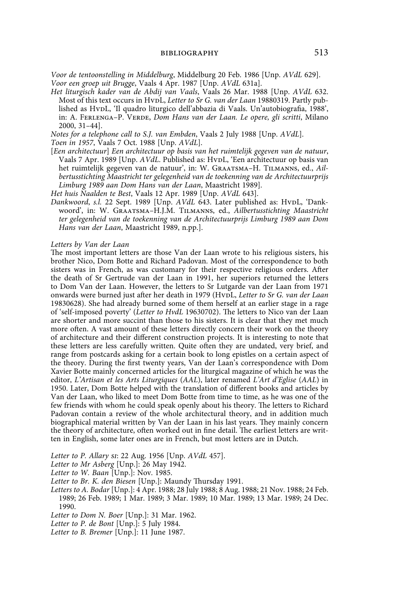*Voor de tentoonstelling in Middelburg*, Middelburg 20 Feb. 1986 [Unp. *AVdL* 629]. *Voor een groep uit Brugge*, Vaals 4 Apr. 1987 [Unp. *AVdL* 631a].

*Het liturgisch kader van de Abdij van Vaals*, Vaals 26 Mar. 1988 [Unp. *AVdL* 632. Most of this text occurs in HypL, *Letter to Sr G. van der Laan* 19880319. Partly published as HvpL, 'Il quadro liturgico dell'abbazia di Vaals. Un'autobiografia, 1988', in: A. Ferlenga–P. Verde, *Dom Hans van der Laan. Le opere, gli scritti*, Milano 2000, 31–44].

*Notes for a telephone call to S.J. van Embden*, Vaals 2 July 1988 [Unp. *AVdL*].

*Toen in 1957*, Vaals 7 Oct. 1988 [Unp. *AVdL*].

[*Een architectuur*] *Een architectuur op basis van het ruimtelijk gegeven van de natuur*, Vaals 7 Apr. 1989 [Unp. *AVdL*. Published as: HvpL, 'Een architectuur op basis van het ruimtelijk gegeven van de natuur', in: W. Graatsma–H. Tilmanns, ed., *Ailbertusstichting Maastricht ter gelegenheid van de toekenning van de Architectuurprijs Limburg 1989 aan Dom Hans van der Laan*, Maastricht 1989].

*Het huis Naalden te Best*, Vaals 12 Apr. 1989 [Unp. *AVdL* 643].

*Dankwoord, s.l.* 22 Sept. 1989 [Unp. AVdL 643. Later published as: HvDL, 'Dankwoord', in: W. Graatsma–H.J.M. Tilmanns, ed., *Ailbertusstichting Maastricht ter gelegenheid van de toekenning van de Architectuurprijs Limburg 1989 aan Dom Hans van der Laan*, Maastricht 1989, n.pp.].

### *Letters by Van der Laan*

The most important letters are those Van der Laan wrote to his religious sisters, his brother Nico, Dom Botte and Richard Padovan. Most of the correspondence to both sisters was in French, as was customary for their respective religious orders. After the death of Sr Gertrude van der Laan in 1991, her superiors returned the letters to Dom Van der Laan. However, the letters to Sr Lutgarde van der Laan from 1971 onwards were burned just after her death in 1979 (HvpL, Letter to Sr G. van der Laan 19830628). She had already burned some of them herself at an earlier stage in a rage of 'self-imposed poverty' (*Letter to HvdL* 19630702). The letters to Nico van der Laan are shorter and more succint than those to his sisters. It is clear that they met much more often. A vast amount of these letters directly concern their work on the theory of architecture and their different construction projects. It is interesting to note that these letters are less carefully written. Quite often they are undated, very brief, and range from postcards asking for a certain book to long epistles on a certain aspect of the theory. During the first twenty years, Van der Laan's correspondence with Dom Xavier Botte mainly concerned articles for the liturgical magazine of which he was the editor, *L'Artisan et les Arts Liturgiques* (*AAL*), later renamed *L'Art d'Eglise* (*AAL*) in 1950. Later, Dom Botte helped with the translation of different books and articles by Van der Laan, who liked to meet Dom Botte from time to time, as he was one of the few friends with whom he could speak openly about his theory. The letters to Richard Padovan contain a review of the whole architectural theory, and in addition much biographical material written by Van der Laan in his last years. They mainly concern the theory of architecture, often worked out in fine detail. The earliest letters are written in English, some later ones are in French, but most letters are in Dutch.

*Letter to P. Allary si*: 22 Aug. 1956 [Unp. *AVdL* 457].

*Letter to Mr Asberg* [Unp.]: 26 May 1942.

*Letter to W. Baan* [Unp.]: Nov. 1985.

*Letter to Br. K. den Biesen* [Unp.]: Maundy Thursday 1991.

*Letters to A. Bodar* [Unp.]: 4 Apr. 1988; 28 July 1988; 8 Aug. 1988; 21 Nov. 1988; 24 Feb. 1989; 26 Feb. 1989; 1 Mar. 1989; 3 Mar. 1989; 10 Mar. 1989; 13 Mar. 1989; 24 Dec. 1990.

*Letter to Dom N. Boer* [Unp.]: 31 Mar. 1962.

*Letter to P. de Bont* [Unp.]: 5 July 1984.

*Letter to B. Bremer* [Unp.]: 11 June 1987.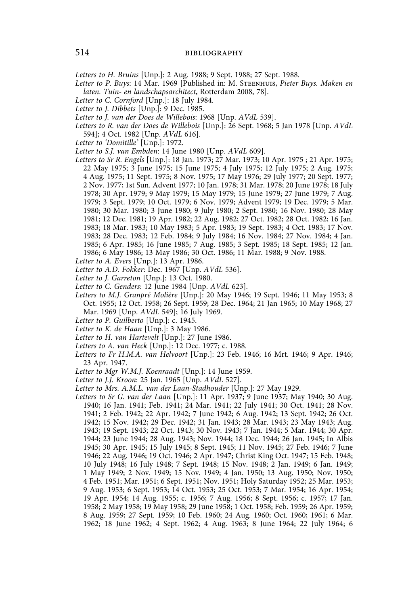*Letters to H. Bruins* [Unp.]: 2 Aug. 1988; 9 Sept. 1988; 27 Sept. 1988.

*Letter to P. Buys*: 14 Mar. 1969 [Published in: M. Steenhuis, *Pieter Buys. Maken en laten. Tuin- en landschapsarchitect*, Rotterdam 2008, 78].

- *Letter to C. Cornford* [Unp.]: 18 July 1984.
- *Letter to J. Dibbets* [Unp.]: 9 Dec. 1985.
- *Letter to J. van der Does de Willebois*: 1968 [Unp. *AVdL* 539].
- *Letters to R. van der Does de Willebois* [Unp.]: 26 Sept. 1968; 5 Jan 1978 [Unp. *AVdL* 594]; 4 Oct. 1982 [Unp. *AVdL* 616].
- *Letter to 'Domitille'* [Unp.]: 1972.
- *Letter to S.J. van Embden*: 14 June 1980 [Unp. *AVdL* 609].
- *Letters to Sr R. Engels* [Unp.]: 18 Jan. 1973; 27 Mar. 1973; 10 Apr. 1975 ; 21 Apr. 1975; 22 May 1975; 3 June 1975; 15 June 1975; 4 July 1975; 12 July 1975; 2 Aug. 1975; 4 Aug. 1975; 11 Sept. 1975; 8 Nov. 1975; 17 May 1976; 29 July 1977; 20 Sept. 1977; 2 Nov. 1977; 1st Sun. Advent 1977; 10 Jan. 1978; 31 Mar. 1978; 20 June 1978; 18 July 1978; 30 Apr. 1979; 9 May 1979; 15 May 1979; 15 June 1979; 27 June 1979; 7 Aug. 1979; 3 Sept. 1979; 10 Oct. 1979; 6 Nov. 1979; Advent 1979; 19 Dec. 1979; 5 Mar. 1980; 30 Mar. 1980; 3 June 1980; 9 July 1980; 2 Sept. 1980; 16 Nov. 1980; 28 May 1981; 12 Dec. 1981; 19 Apr. 1982; 22 Aug. 1982; 27 Oct. 1982; 28 Oct. 1982; 16 Jan. 1983; 18 Mar. 1983; 10 May 1983; 5 Apr. 1983; 19 Sept. 1983; 4 Oct. 1983; 17 Nov. 1983; 28 Dec. 1983; 12 Feb. 1984; 9 July 1984; 16 Nov. 1984; 27 Nov. 1984; 4 Jan. 1985; 6 Apr. 1985; 16 June 1985; 7 Aug. 1985; 3 Sept. 1985; 18 Sept. 1985; 12 Jan. 1986; 6 May 1986; 13 May 1986; 30 Oct. 1986; 11 Mar. 1988; 9 Nov. 1988.
- *Letter to A. Evers* [Unp.]: 13 Apr. 1986.
- *Letter to A.D. Fokker*: Dec. 1967 [Unp. *AVdL* 536].
- *Letter to J. Garreton* [Unp.]: 13 Oct. 1980.
- *Letter to C. Genders*: 12 June 1984 [Unp. *AVdL* 623].
- *Letters to M.J. Granpré Molière* [Unp.]: 20 May 1946; 19 Sept. 1946; 11 May 1953; 8 Oct. 1955; 12 Oct. 1958; 26 Sept. 1959; 28 Dec. 1964; 21 Jan 1965; 10 May 1968; 27 Mar. 1969 [Unp. *AVdL* 549]; 16 July 1969.
- *Letter to P. Guilberto* [Unp.]: c. 1945.
- *Letter to K. de Haan* [Unp.]: 3 May 1986.
- *Letter to H. van Hartevelt* [Unp.]: 27 June 1986.
- *Letters to A. van Heck* [Unp.]: 12 Dec. 1977; c. 1988.
- *Letters to Fr H.M.A. van Helvoort* [Unp.]: 23 Feb. 1946; 16 Mrt. 1946; 9 Apr. 1946; 23 Apr. 1947.
- *Letter to Mgr W.M.J. Koenraadt* [Unp.]: 14 June 1959.
- *Letter to J.J. Kroon*: 25 Jan. 1965 [Unp. *AVdL* 527].
- *Letter to Mrs. A.M.L. van der Laan-Stadhouder* [Unp.]: 27 May 1929.
- *Letters to Sr G. van der Laan* [Unp.]: 11 Apr. 1937; 9 June 1937; May 1940; 30 Aug. 1940; 16 Jan. 1941; Feb. 1941; 24 Mar. 1941; 22 July 1941; 30 Oct. 1941; 28 Nov. 1941; 2 Feb. 1942; 22 Apr. 1942; 7 June 1942; 6 Aug. 1942; 13 Sept. 1942; 26 Oct. 1942; 15 Nov. 1942; 29 Dec. 1942; 31 Jan. 1943; 28 Mar. 1943; 23 May 1943; Aug. 1943; 19 Sept. 1943; 22 Oct. 1943; 30 Nov. 1943; 7 Jan. 1944; 5 Mar. 1944; 30 Apr. 1944; 23 June 1944; 28 Aug. 1943; Nov. 1944; 18 Dec. 1944; 26 Jan. 1945; In Albis 1945; 30 Apr. 1945; 15 July 1945; 8 Sept. 1945; 11 Nov. 1945; 27 Feb. 1946; 7 June 1946; 22 Aug. 1946; 19 Oct. 1946; 2 Apr. 1947; Christ King Oct. 1947; 15 Feb. 1948; 10 July 1948; 16 July 1948; 7 Sept. 1948; 15 Nov. 1948; 2 Jan. 1949; 6 Jan. 1949; 1 May 1949; 2 Nov. 1949; 15 Nov. 1949; 4 Jan. 1950; 13 Aug. 1950; Nov. 1950; 4 Feb. 1951; Mar. 1951; 6 Sept. 1951; Nov. 1951; Holy Saturday 1952; 25 Mar. 1953; 9 Aug. 1953; 6 Sept. 1953; 14 Oct. 1953; 25 Oct. 1953; 7 Mar. 1954; 16 Apr. 1954; 19 Apr. 1954; 14 Aug. 1955; c. 1956; 7 Aug. 1956; 8 Sept. 1956; c. 1957; 17 Jan. 1958; 2 May 1958; 19 May 1958; 29 June 1958; 1 Oct. 1958; Feb. 1959; 26 Apr. 1959; 8 Aug. 1959; 27 Sept. 1959; 10 Feb. 1960; 24 Aug. 1960; Oct. 1960; 1961; 6 Mar. 1962; 18 June 1962; 4 Sept. 1962; 4 Aug. 1963; 8 June 1964; 22 July 1964; 6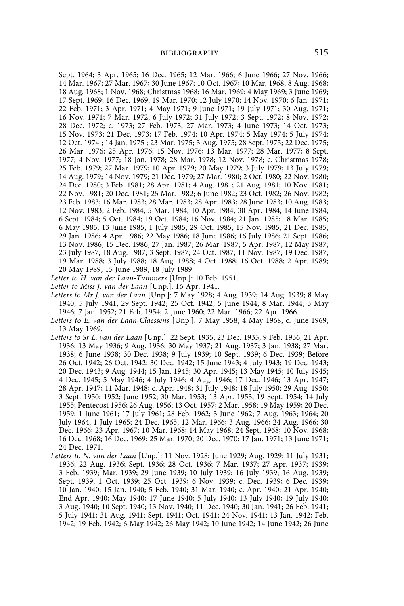Sept. 1964; 3 Apr. 1965; 16 Dec. 1965; 12 Mar. 1966; 6 June 1966; 27 Nov. 1966; 14 Mar. 1967; 27 Mar. 1967; 30 June 1967; 10 Oct. 1967; 10 Mar. 1968; 8 Aug. 1968; 18 Aug. 1968; 1 Nov. 1968; Christmas 1968; 16 Mar. 1969; 4 May 1969; 3 June 1969; 17 Sept. 1969; 16 Dec. 1969; 19 Mar. 1970; 12 July 1970; 14 Nov. 1970; 6 Jan. 1971; 22 Feb. 1971; 3 Apr. 1971; 4 May 1971; 9 June 1971; 19 July 1971; 30 Aug. 1971; 16 Nov. 1971; 7 Mar. 1972; 6 July 1972; 31 July 1972; 3 Sept. 1972; 8 Nov. 1972; 28 Dec. 1972; c. 1973; 27 Feb. 1973; 27 Mar. 1973; 4 June 1973; 14 Oct. 1973; 15 Nov. 1973; 21 Dec. 1973; 17 Feb. 1974; 10 Apr. 1974; 5 May 1974; 5 July 1974; 12 Oct. 1974 ; 14 Jan. 1975 ; 23 Mar. 1975; 3 Aug. 1975; 28 Sept. 1975; 22 Dec. 1975; 26 Mar. 1976; 25 Apr. 1976; 15 Nov. 1976; 13 Mar. 1977; 28 Mar. 1977; 8 Sept. 1977; 4 Nov. 1977; 18 Jan. 1978; 28 Mar. 1978; 12 Nov. 1978; c. Christmas 1978; 25 Feb. 1979; 27 Mar. 1979; 10 Apr. 1979; 20 May 1979; 3 July 1979; 13 July 1979; 14 Aug. 1979; 14 Nov. 1979; 21 Dec. 1979; 27 Mar. 1980; 2 Oct. 1980; 22 Nov. 1980; 24 Dec. 1980; 3 Feb. 1981; 28 Apr. 1981; 4 Aug. 1981; 21 Aug. 1981; 10 Nov. 1981; 22 Nov. 1981; 20 Dec. 1981; 25 Mar. 1982; 6 June 1982; 23 Oct. 1982; 26 Nov. 1982; 23 Feb. 1983; 16 Mar. 1983; 28 Mar. 1983; 28 Apr. 1983; 28 June 1983; 10 Aug. 1983; 12 Nov. 1983; 2 Feb. 1984; 5 Mar. 1984; 10 Apr. 1984; 30 Apr. 1984; 14 June 1984; 6 Sept. 1984; 5 Oct. 1984; 19 Oct. 1984; 16 Nov. 1984; 21 Jan. 1985; 18 Mar. 1985; 6 May 1985; 13 June 1985; 1 July 1985; 29 Oct. 1985; 15 Nov. 1985; 21 Dec. 1985; 29 Jan. 1986; 4 Apr. 1986; 22 May 1986; 18 June 1986; 16 July 1986; 21 Sept. 1986; 13 Nov. 1986; 15 Dec. 1986; 27 Jan. 1987; 26 Mar. 1987; 5 Apr. 1987; 12 May 1987; 23 July 1987; 18 Aug. 1987; 3 Sept. 1987; 24 Oct. 1987; 11 Nov. 1987; 19 Dec. 1987; 19 Mar. 1988; 3 July 1988; 18 Aug. 1988; 4 Oct. 1988; 16 Oct. 1988; 2 Apr. 1989; 20 May 1989; 15 June 1989; 18 July 1989.

*Letter to H. van der Laan-Tummers* [Unp.]: 10 Feb. 1951.

- *Letter to Miss J. van der Laan* [Unp.]: 16 Apr. 1941.
- *Letters to Mr J. van der Laan* [Unp.]: 7 May 1928; 4 Aug. 1939; 14 Aug. 1939; 8 May 1940; 5 July 1941; 29 Sept. 1942; 25 Oct. 1942; 5 June 1944; 8 Mar. 1944; 3 May 1946; 7 Jan. 1952; 21 Feb. 1954; 2 June 1960; 22 Mar. 1966; 22 Apr. 1966.
- *Letters to E. van der Laan-Claessens* [Unp.]: 7 May 1958; 4 May 1968; c. June 1969; 13 May 1969.
- *Letters to Sr L. van der Laan* [Unp.]: 22 Sept. 1935; 23 Dec. 1935; 9 Feb. 1936; 21 Apr. 1936; 13 May 1936; 9 Aug. 1936; 30 May 1937; 21 Aug. 1937; 3 Jan. 1938; 27 Mar. 1938; 6 June 1938; 30 Dec. 1938; 9 July 1939; 10 Sept. 1939; 6 Dec. 1939; Before 26 Oct. 1942; 26 Oct. 1942; 30 Dec. 1942; 15 June 1943; 4 July 1943; 19 Dec. 1943; 20 Dec. 1943; 9 Aug. 1944; 15 Jan. 1945; 30 Apr. 1945; 13 May 1945; 10 July 1945; 4 Dec. 1945; 5 May 1946; 4 July 1946; 4 Aug. 1946; 17 Dec. 1946; 13 Apr. 1947; 28 Apr. 1947; 11 Mar. 1948; c. Apr. 1948; 31 July 1948; 18 July 1950; 29 Aug. 1950; 3 Sept. 1950; 1952; June 1952; 30 Mar. 1953; 13 Apr. 1953; 19 Sept. 1954; 14 July 1955; Pentecost 1956; 26 Aug. 1956; 13 Oct. 1957; 2 Mar. 1958; 19 May 1959; 20 Dec. 1959; 1 June 1961; 17 July 1961; 28 Feb. 1962; 3 June 1962; 7 Aug. 1963; 1964; 20 July 1964; 1 July 1965; 24 Dec. 1965; 12 Mar. 1966; 3 Aug. 1966; 24 Aug. 1966; 30 Dec. 1966; 23 Apr. 1967; 10 Mar. 1968; 14 May 1968; 24 Sept. 1968; 10 Nov. 1968; 16 Dec. 1968; 16 Dec. 1969; 25 Mar. 1970; 20 Dec. 1970; 17 Jan. 1971; 13 June 1971; 24 Dec. 1971.
- *Letters to N. van der Laan* [Unp.]: 11 Nov. 1928; June 1929; Aug. 1929; 11 July 1931; 1936; 22 Aug. 1936; Sept. 1936; 28 Oct. 1936; 7 Mar. 1937; 27 Apr. 1937; 1939; 3 Feb. 1939; Mar. 1939; 29 June 1939; 10 July 1939; 16 July 1939; 16 Aug. 1939; Sept. 1939; 1 Oct. 1939; 25 Oct. 1939; 6 Nov. 1939; c. Dec. 1939; 6 Dec. 1939; 10 Jan. 1940; 15 Jan. 1940; 5 Feb. 1940; 31 Mar. 1940; c. Apr. 1940; 21 Apr. 1940; End Apr. 1940; May 1940; 17 June 1940; 5 July 1940; 13 July 1940; 19 July 1940; 3 Aug. 1940; 10 Sept. 1940; 13 Nov. 1940; 11 Dec. 1940; 30 Jan. 1941; 26 Feb. 1941; 5 July 1941; 31 Aug. 1941; Sept. 1941; Oct. 1941; 24 Nov. 1941; 13 Jan. 1942; Feb. 1942; 19 Feb. 1942; 6 May 1942; 26 May 1942; 10 June 1942; 14 June 1942; 26 June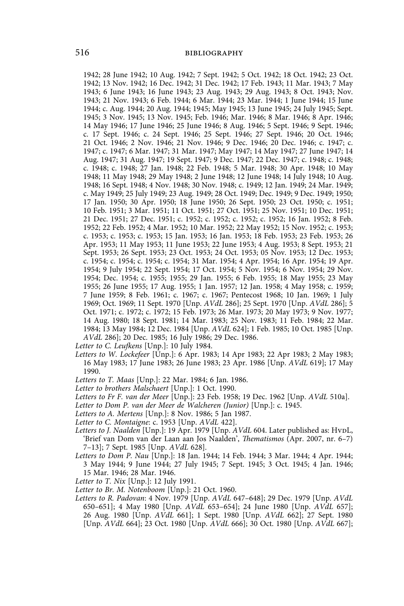1942; 28 June 1942; 10 Aug. 1942; 7 Sept. 1942; 5 Oct. 1942; 18 Oct. 1942; 23 Oct. 1942; 13 Nov. 1942; 16 Dec. 1942; 31 Dec. 1942; 17 Feb. 1943; 11 Mar. 1943; 7 May 1943; 6 June 1943; 16 June 1943; 23 Aug. 1943; 29 Aug. 1943; 8 Oct. 1943; Nov. 1943; 21 Nov. 1943; 6 Feb. 1944; 6 Mar. 1944; 23 Mar. 1944; 1 June 1944; 15 June 1944; c. Aug. 1944; 20 Aug. 1944; 1945; May 1945; 13 June 1945; 24 July 1945; Sept. 1945; 3 Nov. 1945; 13 Nov. 1945; Feb. 1946; Mar. 1946; 8 Mar. 1946; 8 Apr. 1946; 14 May 1946; 17 June 1946; 25 June 1946; 8 Aug. 1946; 5 Sept. 1946; 9 Sept. 1946; c. 17 Sept. 1946; c. 24 Sept. 1946; 25 Sept. 1946; 27 Sept. 1946; 20 Oct. 1946; 21 Oct. 1946; 2 Nov. 1946; 21 Nov. 1946; 9 Dec. 1946; 20 Dec. 1946; c. 1947; c. 1947; c. 1947; 6 Mar. 1947; 31 Mar. 1947; May 1947; 14 May 1947; 27 June 1947; 14 Aug. 1947; 31 Aug. 1947; 19 Sept. 1947; 9 Dec. 1947; 22 Dec. 1947; c. 1948; c. 1948; c. 1948; c. 1948; 27 Jan. 1948; 22 Feb. 1948; 5 Mar. 1948; 30 Apr. 1948; 10 May 1948; 11 May 1948; 29 May 1948; 2 June 1948; 12 June 1948; 14 July 1948; 10 Aug. 1948; 16 Sept. 1948; 4 Nov. 1948; 30 Nov. 1948; c. 1949; 12 Jan. 1949; 24 Mar. 1949; c. May 1949; 25 July 1949; 23 Aug. 1949; 28 Oct. 1949; Dec. 1949; 9 Dec. 1949; 1950; 17 Jan. 1950; 30 Apr. 1950; 18 June 1950; 26 Sept. 1950; 23 Oct. 1950; c. 1951; 10 Feb. 1951; 3 Mar. 1951; 11 Oct. 1951; 27 Oct. 1951; 25 Nov. 1951; 10 Dec. 1951; 21 Dec. 1951; 27 Dec. 1951; c. 1952; c. 1952; c. 1952; c. 1952; 16 Jan. 1952; 8 Feb. 1952; 22 Feb. 1952; 4 Mar. 1952; 10 Mar. 1952; 22 May 1952; 15 Nov. 1952; c. 1953; c. 1953; c. 1953; c. 1953; 15 Jan. 1953; 16 Jan. 1953; 18 Feb. 1953; 23 Feb. 1953; 26 Apr. 1953; 11 May 1953; 11 June 1953; 22 June 1953; 4 Aug. 1953; 8 Sept. 1953; 21 Sept. 1953; 26 Sept. 1953; 23 Oct. 1953; 24 Oct. 1953; 05 Nov. 1953; 12 Dec. 1953; c. 1954; c. 1954; c. 1954; c. 1954; 31 Mar. 1954; 4 Apr. 1954; 16 Apr. 1954; 19 Apr. 1954; 9 July 1954; 22 Sept. 1954; 17 Oct. 1954; 5 Nov. 1954; 6 Nov. 1954; 29 Nov. 1954; Dec. 1954; c. 1955; 1955; 29 Jan. 1955; 6 Feb. 1955; 18 May 1955; 23 May 1955; 26 June 1955; 17 Aug. 1955; 1 Jan. 1957; 12 Jan. 1958; 4 May 1958; c. 1959; 7 June 1959; 8 Feb. 1961; c. 1967; c. 1967; Pentecost 1968; 10 Jan. 1969; 1 July 1969; Oct. 1969; 11 Sept. 1970 [Unp. *AVdL* 286]; 25 Sept. 1970 [Unp. *AVdL* 286]; 5 Oct. 1971; c. 1972; c. 1972; 15 Feb. 1973; 26 Mar. 1973; 20 May 1973; 9 Nov. 1977; 14 Aug. 1980; 18 Sept. 1981; 14 Mar. 1983; 25 Nov. 1983; 11 Feb. 1984; 22 Mar. 1984; 13 May 1984; 12 Dec. 1984 [Unp. *AVdL* 624]; 1 Feb. 1985; 10 Oct. 1985 [Unp. *AVdL* 286]; 20 Dec. 1985; 16 July 1986; 29 Dec. 1986.

*Letter to C. Leufkens* [Unp.]: 10 July 1984.

- *Letters to W. Lockefeer* [Unp.]: 6 Apr. 1983; 14 Apr 1983; 22 Apr 1983; 2 May 1983; 16 May 1983; 17 June 1983; 26 June 1983; 23 Apr. 1986 [Unp. *AVdL* 619]; 17 May 1990.
- *Letters to T. Maas* [Unp.]: 22 Mar. 1984; 6 Jan. 1986.
- *Letter to brothers Malschaert* [Unp.]: 1 Oct. 1990.
- *Letters to Fr F. van der Meer* [Unp.]: 23 Feb. 1958; 19 Dec. 1962 [Unp. *AVdL* 510a].
- Letter to Dom P. van der Meer de Walcheren (Junior) [Unp.]: c. 1945.
- *Letters to A. Mertens* [Unp.]: 8 Nov. 1986; 5 Jan 1987.
- *Letter to C. Montaigne*: c. 1953 [Unp. *AVdL* 422].
- Letters to J. Naalden [Unp.]: 19 Apr. 1979 [Unp. *AVdL* 604. Later published as: HvDL, 'Brief van Dom van der Laan aan Jos Naalden', *Thematismos* (Apr. 2007, nr. 6–7) 7–13]; 7 Sept. 1985 [Unp. *AVdL* 628].
- *Letters to Dom P. Nau* [Unp.]: 18 Jan. 1944; 14 Feb. 1944; 3 Mar. 1944; 4 Apr. 1944; 3 May 1944; 9 June 1944; 27 July 1945; 7 Sept. 1945; 3 Oct. 1945; 4 Jan. 1946; 15 Mar. 1946; 28 Mar. 1946.
- *Letter to T. Nix* [Unp.]: 12 July 1991.
- *Letter to Br. M. Notenboom* [Unp.]: 21 Oct. 1960.
- *Letters to R. Padovan*: 4 Nov. 1979 [Unp. *AVdL* 647–648]; 29 Dec. 1979 [Unp. *AVdL* 650–651]; 4 May 1980 [Unp. *AVdL* 653–654]; 24 June 1980 [Unp. *AVdL* 657]; 26 Aug. 1980 [Unp. *AVdL* 661]; 1 Sept. 1980 [Unp. *AVdL* 662]; 27 Sept. 1980 [Unp. *AVdL* 664]; 23 Oct. 1980 [Unp. *AVdL* 666]; 30 Oct. 1980 [Unp. *AVdL* 667];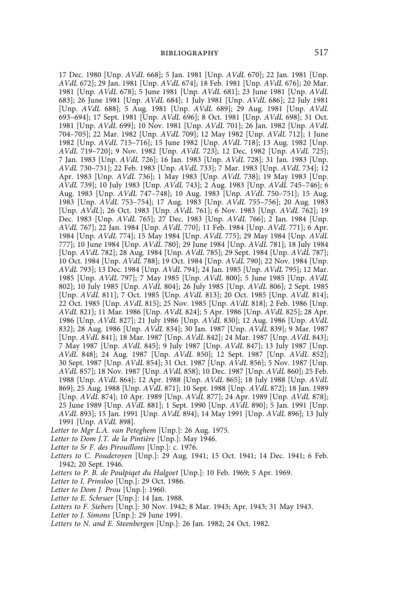17 Dec. 1980 [Unp. *AVdL* 668]; 5 Jan. 1981 [Unp. *AVdL* 670]; 22 Jan. 1981 [Unp. *AVdL* 672]; 29 Jan. 1981 [Unp. *AVdL* 674]; 18 Feb. 1981 [Unp. *AVdL* 676]; 20 Mar. 1981 [Unp. *AVdL* 678]; 5 June 1981 [Unp. *AVdL* 681]; 23 June 1981 [Unp. *AVdL* 683]; 26 June 1981 [Unp. *AVdL* 684]; 1 July 1981 [Unp. *AVdL* 686]; 22 July 1981 [Unp. *AVdL* 688]; 5 Aug. 1981 [Unp. *AVdL* 689]; 29 Aug. 1981 [Unp. *AVdL* 693–694]; 17 Sept. 1981 [Unp. *AVdL* 696]; 8 Oct. 1981 [Unp. *AVdL* 698]; 31 Oct. 1981 [Unp. *AVdL* 699]; 10 Nov. 1981 [Unp. *AVdL* 701]; 26 Jan. 1982 [Unp. *AVdL* 704–705]; 22 Mar. 1982 [Unp. *AVdL* 709]; 12 May 1982 [Unp. *AVdL* 712]; 1 June 1982 [Unp. *AVdL* 715–716]; 15 June 1982 [Unp. *AVdL* 718]; 13 Aug. 1982 [Unp. *AVdL* 719–720]; 9 Nov. 1982 [Unp. *AVdL* 723]; 12 Dec. 1982 [Unp. *AVdL* 725]; 7 Jan. 1983 [Unp. *AVdL* 726]; 16 Jan. 1983 [Unp. *AVdL* 728]; 31 Jan. 1983 [Unp. *AVdL* 730–731]; 22 Feb. 1983 [Unp. *AVdL* 733]; 7 Mar. 1983 [Unp. *AVdL* 734]; 12 Apr. 1983 [Unp. *AVdL* 736]; 1 May 1983 [Unp. *AVdL* 738]; 19 May 1983 [Unp. *AVdL* 739]; 10 July 1983 [Unp. *AVdL* 743]; 2 Aug. 1983 [Unp. *AVdL* 745–746]; 6 Aug. 1983 [Unp. *AVdL* 747–748]; 10 Aug. 1983 [Unp. *AVdL* 750–751]; 15 Aug. 1983 [Unp. *AVdL* 753–754]; 17 Aug. 1983 [Unp. *AVdL* 755–756]; 20 Aug. 1983 [Unp. *AVdL*]; 26 Oct. 1983 [Unp. *AVdL* 761]; 6 Nov. 1983 [Unp. *AVdL* 762]; 19 Dec. 1983 [Unp. *AVdL* 765]; 27 Dec. 1983 [Unp. *AVdL* 766]; 2 Jan. 1984 [Unp. *AVdL* 767]; 22 Jan. 1984 [Unp. *AVdL* 770]; 11 Feb. 1984 [Unp. *AVdL* 771]; 6 Apr. 1984 [Unp. *AVdL* 774]; 15 May 1984 [Unp. *AVdL* 775]; 29 May 1984 [Unp. *AVdL* 777]; 10 June 1984 [Unp. *AVdL* 780]; 29 June 1984 [Unp. *AVdL* 781]; 18 July 1984 [Unp. *AVdL* 782]; 28 Aug. 1984 [Unp. *AVdL* 785]; 29 Sept. 1984 [Unp. *AVdL* 787]; 10 Oct. 1984 [Unp. *AVdL* 788]; 19 Oct. 1984 [Unp. *AVdL* 790]; 22 Nov. 1984 [Unp. *AVdL* 793]; 13 Dec. 1984 [Unp. *AVdL* 794]; 24 Jan. 1985 [Unp. *AVdL* 795]; 12 Mar. 1985 [Unp. *AVdL* 797]; 7 May 1985 [Unp. *AVdL* 800]; 5 June 1985 [Unp. *AVdL* 802]; 10 July 1985 [Unp. *AVdL* 804]; 26 July 1985 [Unp. *AVdL* 806]; 2 Sept. 1985 [Unp. *AVdL* 811]; 7 Oct. 1985 [Unp. *AVdL* 813]; 20 Oct. 1985 [Unp. *AVdL* 814]; 22 Oct. 1985 [Unp. *AVdL* 815]; 25 Nov. 1985 [Unp. *AVdL* 818]; 2 Feb. 1986 [Unp. *AVdL* 821]; 11 Mar. 1986 [Unp. *AVdL* 824]; 5 Apr. 1986 [Unp. *AVdL* 825]; 28 Apr. 1986 [Unp. *AVdL* 827]; 21 July 1986 [Unp. *AVdL* 830]; 12 Aug. 1986 [Unp. *AVdL* 832]; 28 Aug. 1986 [Unp. *AVdL* 834]; 30 Jan. 1987 [Unp. *AVdL* 839]; 9 Mar. 1987 [Unp. *AVdL* 841]; 18 Mar. 1987 [Unp. *AVdL* 842]; 24 Mar. 1987 [Unp. *AVdL* 843]; 7 May 1987 [Unp. *AVdL* 845]; 9 July 1987 [Unp. *AVdL* 847]; 13 July 1987 [Unp. *AVdL* 848]; 24 Aug. 1987 [Unp. *AVdL* 850]; 12 Sept. 1987 [Unp. *AVdL* 852]; 30 Sept. 1987 [Unp. *AVdL* 854]; 31 Oct. 1987 [Unp. *AVdL* 856]; 5 Nov. 1987 [Unp. *AVdL* 857]; 18 Nov. 1987 [Unp. *AVdL* 858]; 10 Dec. 1987 [Unp. *AVdL* 860]; 25 Feb. 1988 [Unp. *AVdL* 864]; 12 Apr. 1988 [Unp. *AVdL* 865]; 18 July 1988 [Unp. *AVdL* 869]; 25 Aug. 1988 [Unp. *AVdL* 871]; 10 Sept. 1988 [Unp. *AVdL* 872]; 18 Jan. 1989 [Unp. *AVdL* 874]; 10 Apr. 1989 [Unp. *AVdL* 877]; 24 Apr. 1989 [Unp. *AVdL* 878]; 25 June 1989 [Unp. *AVdL* 881]; 1 Sept. 1990 [Unp. *AVdL* 890]; 5 Jan. 1991 [Unp. *AVdL* 893]; 15 Jan. 1991 [Unp. *AVdL* 894]; 14 May 1991 [Unp. *AVdL* 896]; 13 July 1991 [Unp. *AVdL* 898].

*Letter to Mgr L.A. van Peteghem* [Unp.]: 26 Aug. 1975.

*Letter to Dom J.T. de la Pintière* [Unp.]: May 1946.

*Letter to Sr F. des Pirouillons* [Unp.]: c. 1976.

*Letters to C. Pouderoyen* [Unp.]: 29 Aug. 1941; 15 Oct. 1941; 14 Dec. 1941; 6 Feb. 1942; 20 Sept. 1946.

*Letters to P. B. de Poulpiqet du Halgoet* [Unp.]: 10 Feb. 1969; 5 Apr. 1969.

*Letter to I. Prinsloo* [Unp.]: 29 Oct. 1986.

*Letter to Dom J. Prou* [Unp.]: 1960.

*Letter to E. Schruer* [Unp.]: 14 Jan. 1988.

*Letters to F. Siebers* [Unp.]: 30 Nov. 1942; 8 Mar. 1943; Apr. 1943; 31 May 1943.

*Letter to J. Simons* [Unp.]: 29 June 1991.

*Letters to N. and E. Steenbergen* [Unp.]: 26 Jan. 1982; 24 Oct. 1982.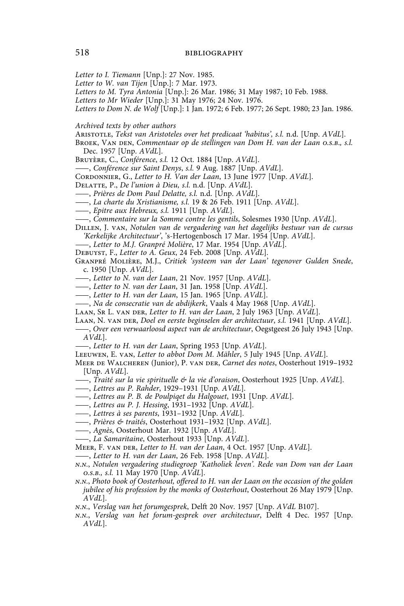- *Letter to I. Tiemann* [Unp.]: 27 Nov. 1985.
- *Letter to W. van Tijen* [Unp.]: 7 Mar. 1973.
- *Letters to M. Tyra Antonia* [Unp.]: 26 Mar. 1986; 31 May 1987; 10 Feb. 1988.
- *Letters to Mr Wieder* [Unp.]: 31 May 1976; 24 Nov. 1976.
- *Letters to Dom N. de Wolf* [Unp.]: 1 Jan. 1972; 6 Feb. 1977; 26 Sept. 1980; 23 Jan. 1986.
- *Archived texts by other authors*
- Aristotle, *Tekst van Aristoteles over het predicaat 'habitus', s.l.* n.d. [Unp. *AVdL*].
- Broek, Van den, *Commentaar op de stellingen van Dom H. van der Laan o.s.b*.*, s.l.* Dec. 1957 [Unp. *AVdL*].
- Bruyère, C., *Conférence*, *s.l.* 12 Oct. 1884 [Unp. *AVdL*].
- ——, *Conférence sur Saint Denys*, *s.l.* 9 Aug. 1887 [Unp. *AVdL*].
- Cordonnier, G., *Letter to H. Van der Laan*, 13 June 1977 [Unp. *AVdL*].
- Delatte, P., *De l'union à Dieu, s.l.* n.d. [Unp. *AVdL*].
- ——, *Prières de Dom Paul Delatte, s.l.* n.d. [Unp. *AVdL*].
- ——, *La charte du Xristianisme, s.l.* 19 & 26 Feb. 1911 [Unp. *AVdL*].
- ——, *Epitre aux Hebreux, s.l.* 1911 [Unp. *AVdL*].
- ——, *Commentaire sur la Somme contre les gentils*, Solesmes 1930 [Unp. *AVdL*].
- Dillen, J. van, *Notulen van de vergadering van het dagelijks bestuur van de cursus 'Kerkelijke Architectuur'*, 's-Hertogenbosch 17 Mar. 1954 [Unp. *AVdL*].
- ——, *Letter to M.J. Granpré Molière*, 17 Mar. 1954 [Unp. *AVdL*].
- Debuyst, F., *Letter to A. Geux*, 24 Feb. 2008 [Unp. *AVdL*].
- Granpré Molière, M.J., *Critiek 'systeem van der Laan' tegenover Gulden Snede*, c. 1950 [Unp. *AVdL*].
- ——, *Letter to N. van der Laan*, 21 Nov. 1957 [Unp. *AVdL*].
- ——, *Letter to N. van der Laan*, 31 Jan. 1958 [Unp. *AVdL*].
- ——, *Letter to H. van der Laan*, 15 Jan. 1965 [Unp. *AVdL*].
- ——, *Na de consecratie van de abdijkerk*, Vaals 4 May 1968 [Unp. *AVdL*].
- Laan, Sr L. van der, *Letter to H. van der Laan*, 2 July 1963 [Unp. *AVdL*].
- Laan, N. van der, *Doel en eerste beginselen der architectuur*, *s.l.* 1941 [Unp. *AVdL*].
- ——, *Over een verwaarloosd aspect van de architectuur*, Oegstgeest 26 July 1943 [Unp. *AVdL*].
- ——, *Letter to H. van der Laan*, Spring 1953 [Unp. *AVdL*].
- Leeuwen, E. van, *Letter to abbot Dom M. Mähler*, 5 July 1945 [Unp. *AVdL*].
- Meer de Walcheren (Junior), P. van der, *Carnet des notes*, Oosterhout 1919–1932 [Unp. *AVdL*].
- ——, *Traité sur la vie spirituelle & la vie d'oraison*, Oosterhout 1925 [Unp. *AVdL*].
- ——, *Lettres au P. Rahder*, 1929–1931 [Unp. *AVdL*].
- ——, *Lettres au P. B. de Poulpiqet du Halgouet*, 1931 [Unp. *AVdL*].
- ——, *Lettres au P. J. Hessing*, 1931–1932 [Unp. *AVdL*].
- ——, *Lettres à ses parents*, 1931–1932 [Unp. *AVdL*].
- ——, *Prières & traités*, Oosterhout 1931–1932 [Unp. *AVdL*].
- ——, *Agnès*, Oosterhout Mar. 1932 [Unp. *AVdL*].
- ——, *La Samaritaine*, Oosterhout 1933 [Unp. *AVdL*].
- Meer, F. van der, *Letter to H. van der Laan*, 4 Oct. 1957 [Unp. *AVdL*].
- ——, *Letter to H. van der Laan*, 26 Feb. 1958 [Unp. *AVdL*].
- *n.n.*, *Notulen vergadering studiegroep 'Katholiek leven'. Rede van Dom van der Laan o.s.b., s.l.* 11 May 1970 [Unp. *AVdL*].
- *n.n.*, *Photo book of Oosterhout, offered to H. van der Laan on the occasion of the golden jubilee of his profession by the monks of Oosterhout*, Oosterhout 26 May 1979 [Unp. *AVdL*].
- *n.n.*, *Verslag van het forumgesprek*, Delft 20 Nov. 1957 [Unp. *AVdL* B107].
- *n.n.*, *Verslag van het forum-gesprek over architectuur*, Delft 4 Dec. 1957 [Unp. *AVdL*].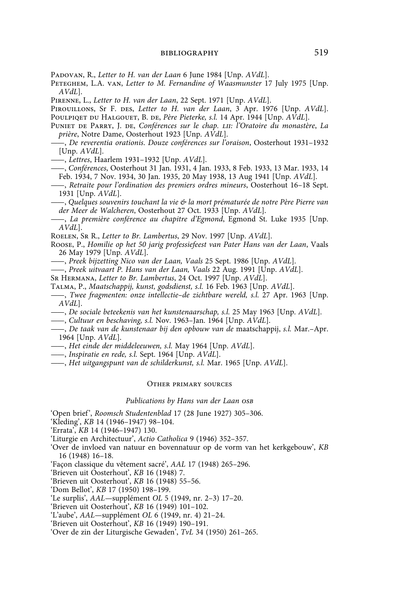Padovan, R., *Letter to H. van der Laan* 6 June 1984 [Unp. *AVdL*].

Peteghem, L.A. van, *Letter to M. Fernandine of Waasmunster* 17 July 1975 [Unp. *AVdL*].

Pirenne, L., *Letter to H. van der Laan*, 22 Sept. 1971 [Unp. *AVdL*].

Pirouillons, Sr F. des, *Letter to H. van der Laan*, 3 Apr. 1976 [Unp. *AVdL*]. Poulpiqet du Halgouet, B. de, *Père Pieterke, s.l.* 14 Apr. 1944 [Unp. *AVdL*].

- Puniet de Parry, J. de, *Conférences sur le chap. lii: l'Oratoire du monastère*, *La prière*, Notre Dame, Oosterhout 1923 [Unp. *AVdL*].
- ——, *De reverentia orationis*. *Douze conférences sur l'oraison*, Oosterhout 1931–1932 [Unp. *AVdL*].

——, *Lettres*, Haarlem 1931–1932 [Unp. *AVdL*].

- ——, *Conférences*, Oosterhout 31 Jan. 1931, 4 Jan. 1933, 8 Feb. 1933, 13 Mar. 1933, 14 Feb. 1934, 7 Nov. 1934, 30 Jan. 1935, 20 May 1938, 13 Aug 1941 [Unp. *AVdL*].
- ——, *Retraite pour l'ordination des premiers ordres mineurs*, Oosterhout 16–18 Sept. 1931 [Unp. *AVdL*].

——, *Quelques souvenirs touchant la vie & la mort prématurée de notre Père Pierre van der Meer de Walcheren*, Oosterhout 27 Oct. 1933 [Unp. *AVdL*].

- ——, *La première conférence au chapitre d'Egmond*, Egmond St. Luke 1935 [Unp. *AVdL*].
- Roelen, Sr R., *Letter to Br. Lambertus*, 29 Nov. 1997 [Unp. *AVdL*].
- Roose, P., *Homilie op het 50 jarig professiefeest van Pater Hans van der Laan*, Vaals 26 May 1979 [Unp. *AVdL*].
- ——, *Preek bijzetting Nico van der Laan, Vaals* 25 Sept. 1986 [Unp. *AVdL*].
- ——, *Preek uitvaart P. Hans van der Laan, Vaals* 22 Aug. 1991 [Unp. *AVdL*].
- Sr Hermana, *Letter to Br. Lambertus*, 24 Oct. 1997 [Unp. *AVdL*].
- Talma, P., *Maatschappij, kunst, godsdienst, s.l.* 16 Feb. 1963 [Unp. *AVdL*].
- ——, *Twee fragmenten: onze intellectie–de zichtbare wereld, s.l.* 27 Apr. 1963 [Unp. *AVdL*].
- ——, *De sociale beteekenis van het kunstenaarschap, s.l.* 25 May 1963 [Unp. *AVdL*].
- ——, *Cultuur en beschaving, s.l.* Nov. 1963–Jan. 1964 [Unp. *AVdL*].
- ——, *De taak van de kunstenaar bij den opbouw van de* maatschappij, *s.l.* Mar.–Apr. 1964 [Unp. *AVdL*].
- ——, *Het einde der middeleeuwen, s.l.* May 1964 [Unp. *AVdL*].
- ——, *Inspiratie en rede, s.l.* Sept. 1964 [Unp. *AVdL*].
- ——, *Het uitgangspunt van de schilderkunst, s.l.* Mar. 1965 [Unp. *AVdL*].

### Other primary sources

### *Publications by Hans van der Laan osb*

'Open brief', *Roomsch Studentenblad* 17 (28 June 1927) 305–306.

- 'Kleding', *KB* 14 (1946–1947) 98–104.
- 'Errata', *KB* 14 (1946–1947) 130.
- 'Liturgie en Architectuur', *Actio Catholica* 9 (1946) 352–357.
- 'Over de invloed van natuur en bovennatuur op de vorm van het kerkgebouw', *KB*  16 (1948) 16–18.
- 'Façon classique du vêtement sacré', *AAL* 17 (1948) 265–296.
- 'Brieven uit Oosterhout', *KB* 16 (1948) 7.

'Brieven uit Oosterhout', *KB* 16 (1948) 55–56.

- 'Dom Bellot', *KB* 17 (1950) 198–199.
- 'Le surplis', *AAL—*supplément *OL* 5 (1949, nr. 2–3) 17–20.
- 'Brieven uit Oosterhout', *KB* 16 (1949) 101–102.
- 'L'aube', *AAL—*supplément *OL* 6 (1949, nr. 4) 21–24.
- 'Brieven uit Oosterhout', *KB* 16 (1949) 190–191.
- 'Over de zin der Liturgische Gewaden', *TvL* 34 (1950) 261–265.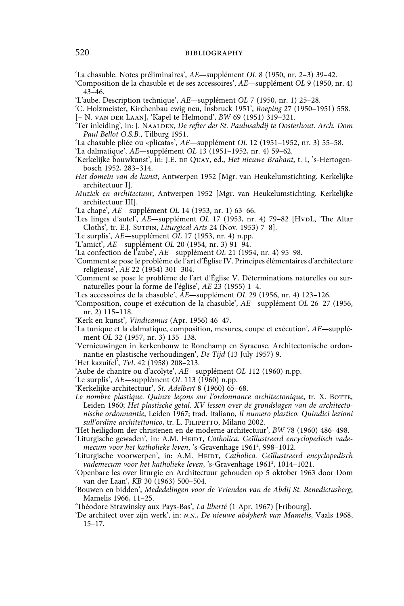'La chasuble. Notes préliminaires', *AE*—supplément *OL* 8 (1950, nr. 2–3) 39–42.

- 'Composition de la chasuble et de ses accessoires', *AE*—supplément *OL* 9 (1950, nr. 4) 43–46.
- 'L'aube. Description technique', *AE*—supplément *OL* 7 (1950, nr. 1) 25–28.
- 'C. Holzmeister, Kirchenbau ewig neu, Insbruck 1951', *Roeping* 27 (1950–1951) 558. [– N. van der Laan], 'Kapel te Helmond', *BW* 69 (1951) 319–321.
- 'Ter inleiding', in: J. NAALDEN, *De refter der St. Paulusabdij te Oosterhout. Arch. Dom Paul Bellot O.S.B.*, Tilburg 1951.
- 'La chasuble pliée ou «plicata»', *AE*—supplément *OL* 12 (1951–1952, nr. 3) 55–58.
- 'La dalmatique', *AE*—supplément *OL* 13 (1951–1952, nr. 4) 59–62.
- 'Kerkelijke bouwkunst', in: J.E. de Quay, ed., *Het nieuwe Brabant*, t. I, 's-Hertogenbosch 1952, 283–314.
- *Het domein van de kunst*, Antwerpen 1952 [Mgr. van Heukelumstichting. Kerkelijke architectuur I].
- *Muziek en architectuur*, Antwerpen 1952 [Mgr. van Heukelumstichting. Kerkelijke architectuur III].
- 'La chape', *AE*—supplément *OL* 14 (1953, nr. 1) 63–66.
- 'Les linges d'autel', *AE*—supplément *OL* 17 (1953, nr. 4) 79-82 [HvpL, 'The Altar Cloths', tr. E.J. Sutfin, *Liturgical Arts* 24 (Nov. 1953) 7–8].
- 'Le surplis', *AE*—supplément *OL* 17 (1953, nr. 4) n.pp.
- 'L'amict', *AE*—supplément *OL* 20 (1954, nr. 3) 91–94.
- 'La confection de l'aube', *AE*—supplément *OL* 21 (1954, nr. 4) 95–98.
- 'Comment se pose le problème de l'art d'Église IV. Principes élémentaires d'architecture religieuse', *AE* 22 (1954) 301–304.
- 'Comment se pose le problème de l'art d'Église V. Déterminations naturelles ou surnaturelles pour la forme de l'église', *AE* 23 (1955) 1–4.
- 'Les accessoires de la chasuble', *AE*—supplément *OL* 29 (1956, nr. 4) 123–126.
- 'Composition, coupe et exécution de la chasuble', *AE*—supplément *OL* 26–27 (1956, nr. 2) 115–118.
- 'Kerk en kunst', *Vindicamus* (Apr. 1956) 46–47.
- 'La tunique et la dalmatique, composition, mesures, coupe et exécution', *AE*—supplément *OL* 32 (1957, nr. 3) 135–138.
- 'Vernieuwingen in kerkenbouw te Ronchamp en Syracuse. Architectonische ordonnantie en plastische verhoudingen', *De Tija* (13 July 1957) 9.
- 'Het kazuifel', *TvL* 42 (1958) 208–213.
- 'Aube de chantre ou d'acolyte', *AE*—supplément *OL* 112 (1960) n.pp.
- 'Le surplis', *AE*—supplément *OL* 113 (1960) n.pp.
- 'Kerkelijke architectuur', *St. Adelbert* 8 (1960) 65–68.
- Le nombre plastique. Quinze leçons sur l'ordonnance architectonique, tr. X. BOTTE, Leiden 1960; *Het plastische getal. XV lessen over de grondslagen van de architectonische ordonnantie*, Leiden 1967; trad. Italiano, *Il numero plastico. Quindici lezioni*  sull'ordine architettonico, tr. L. FILIPETTO, Milano 2002.
- 'Het heiligdom der christenen en de moderne architectuur', *BW* 78 (1960) 486–498.
- 'Liturgische gewaden', in: A.M. HEIDT, *Catholica. Geïllustreerd encyclopedisch vade*mecum voor het katholieke leven, 's-Gravenhage 1961<sup>2</sup>, 998–1012.
- 'Liturgische voorwerpen', in: A.M. HEIDT, *Catholica. Geïllustreerd encyclopedisch* vademecum voor het katholieke leven, 's-Gravenhage 1961<sup>2</sup>, 1014–1021.
- 'Openbare les over liturgie en Architectuur gehouden op 5 oktober 1963 door Dom van der Laan', *KB* 30 (1963) 500–504.
- 'Bouwen en bidden', *Mededelingen voor de Vrienden van de Abdij St. Benedictusberg*, Mamelis 1966, 11–25.
- 'Théodore Strawinsky aux Pays-Bas', *La liberté* (1 Apr. 1967) [Fribourg].
- 'De architect over zijn werk', in: *n.n.*, *De nieuwe abdykerk van Mamelis*, Vaals 1968, 15–17.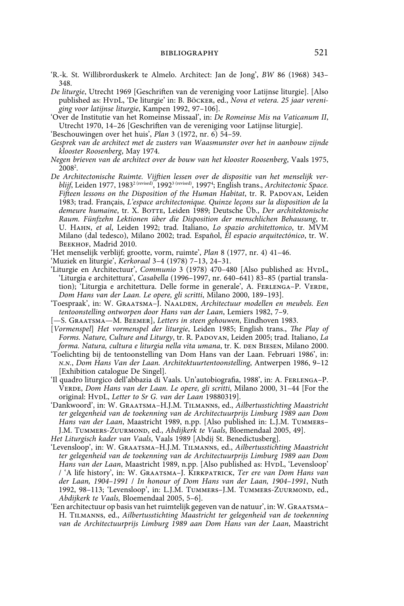- 'R.-k. St. Willibrorduskerk te Almelo. Architect: Jan de Jong', *BW* 86 (1968) 343– 348.
- *De liturgie*, Utrecht 1969 [Geschriften van de vereniging voor Latijnse liturgie]. [Also published as: HVDL, 'De liturgie' in: B. Böcker, ed., *Nova et vetera. 25 jaar vereniging voor latijnse liturgie*, Kampen 1992, 97–106].
- 'Over de Institutie van het Romeinse Missaal', in: *De Romeinse Mis na Vaticanum II*, Utrecht 1970, 14–26 [Geschriften van de vereniging voor Latijnse liturgie].
- 'Beschouwingen over het huis', *Plan* 3 (1972, nr. 6) 54–59.
- *Gesprek van de architect met de zusters van Waasmunster over het in aanbouw zijnde klooster Roosenberg*, May 1974.
- *Negen brieven van de architect over de bouw van het klooster Roosenberg*, Vaals 1975, 20082 .
- *De Architectonische Ruimte. Vijftien lessen over de dispositie van het menselijk verblijf*, Leiden 1977, 19832 (revised), 19923 (revised), 19974 ; English trans., *Architectonic Space. Fifteen lessons on the Disposition of the Human Habitat, tr. R. PADOVAN, Leiden* 1983; trad. Français, *L'espace architectonique. Quinze leçons sur la disposition de la*  demeure humaine, tr. X. BOTTE, Leiden 1989; Deutsche Üb., Der architektonische *Raum. Fünfzehn Lektionen über die Disposition der menschlichen Behausung*, tr. U. Hahn, *et al*, Leiden 1992; trad. Italiano, *Lo spazio architettonico*, tr. MVM Milano (dal tedesco), Milano 2002; trad. Español, *El espacio arquitectónico*, tr. W. BEEKHOF, Madrid 2010.
- 'Het menselijk verblijf; grootte, vorm, ruimte', *Plan* 8 (1977, nr. 4) 41–46.
- 'Muziek en liturgie', *Kerkoraal* 3–4 (1978) 7–13, 24–31.
- 'Liturgie en Architectuur', *Communio* 3 (1978) 470-480 [Also published as: HvDL, 'Liturgia e architettura', *Casabella* (1996–1997, nr. 640–641) 83–85 (partial translation); 'Liturgia e architettura. Delle forme in generale', A. FERLENGA-P. VERDE, *Dom Hans van der Laan. Le opere, gli scritti*, Milano 2000, 189–193].
- 'Toespraak', in: W. Graatsma–J. Naalden, *Architectuur modellen en meubels. Een tentoonstelling ontworpen door Hans van der Laan*, Lemiers 1982, 7–9.
- [—S. Graatsma—M. Beemer], *Letters in steen gehouwen*, Eindhoven 1983.
- [*Vormenspel*] *Het vormenspel der liturgie*, Leiden 1985; English trans., *The Play of Forms. Nature, Culture and Liturgy*, tr. R. Padovan, Leiden 2005; trad. Italiano, *La*  forma. Natura, cultura e liturgia nella vita umana, tr. K. DEN BIESEN, Milano 2000.
- 'Toelichting bij de tentoonstelling van Dom Hans van der Laan. Februari 1986', in: *n.n.*, *Dom Hans Van der Laan. Architektuurtentoonstelling*, Antwerpen 1986, 9–12 [Exhibition catalogue De Singel].
- 'Il quadro liturgico dell'abbazia di Vaals. Un'autobiografia, 1988', in: A. Ferlenga–P. Verde, *Dom Hans van der Laan. Le opere, gli scritti*, Milano 2000, 31–44 [For the original: HvpL, Letter to Sr G. van der Laan 19880319].
- 'Dankwoord', in: W. Graatsma–H.J.M. Tilmanns, ed., *Ailbertusstichting Maastricht ter gelegenheid van de toekenning van de Architectuurprijs Limburg 1989 aan Dom Hans van der Laan*, Maastricht 1989, n.pp. [Also published in: L.J.M. Tummers– J.M. TUMMERS-ZUURMOND, ed., *Abdijkerk te Vaals*, Bloemendaal 2005, 49].
- *Het Liturgisch kader van Vaals*, Vaals 1989 [Abdij St. Benedictusberg].
- 'Levensloop', in: W. Graatsma–H.J.M. Tilmanns, ed., *Ailbertusstichting Maastricht ter gelegenheid van de toekenning van de Architectuurprijs Limburg 1989 aan Dom*  Hans van der Laan, Maastricht 1989, n.pp. [Also published as: HvpL, 'Levensloop' / 'A life history', in: W. Graatsma–J. Kirkpatrick, *Ter ere van Dom Hans van der Laan, 1904–1991* / *In honour of Dom Hans van der Laan, 1904–1991*, Nuth 1992, 98-113; 'Levensloop', in: L.J.M. TUMMERS-J.M. TUMMERS-ZUURMOND, ed., *Abdijkerk te Vaals,* Bloemendaal 2005, 5–6].
- 'Een architectuur op basis van het ruimtelijk gegeven van de natuur', in: W. Graatsma– H. Tilmanns, ed., *Ailbertusstichting Maastricht ter gelegenheid van de toekenning van de Architectuurprijs Limburg 1989 aan Dom Hans van der Laan*, Maastricht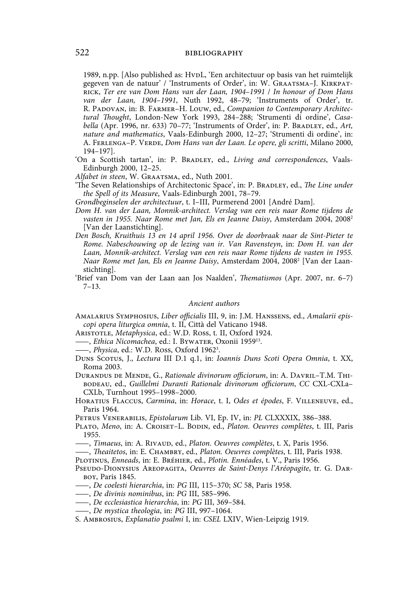1989, n.pp. [Also published as: HvDL, 'Een architectuur op basis van het ruimtelijk gegeven van de natuur' / 'Instruments of Order', in: W. Graatsma–J. Kirkpatrick, *Ter ere van Dom Hans van der Laan, 1904–1991* / *In honour of Dom Hans van der Laan, 1904–1991*, Nuth 1992, 48–79; 'Instruments of Order', tr. R. Padovan, in: B. Farmer–H. Louw, ed., *Companion to Contemporary Architectural Thought*, London-New York 1993, 284–288; 'Strumenti di ordine', *Casabella* (Apr. 1996, nr. 633) 70-77; 'Instruments of Order', in: P. BRADLEY, ed., Art, *nature and mathematics*, Vaals-Edinburgh 2000, 12–27; 'Strumenti di ordine', in: A. Ferlenga–P. Verde, *Dom Hans van der Laan. Le opere, gli scritti*, Milano 2000, 194–197].

'On a Scottish tartan', in: P. BRADLEY, ed., *Living and correspondences*, Vaals-Edinburgh 2000, 12–25.

*Alfabet in steen*, W. Graatsma, ed., Nuth 2001.

'The Seven Relationships of Architectonic Space', in: P. BRADLEY, ed., *The Line under the Spell of its Measure*, Vaals-Edinburgh 2001, 78–79.

*Grondbeginselen der architectuur*, t. I–III, Purmerend 2001 [André Dam].

- *Dom H. van der Laan, Monnik-architect. Verslag van een reis naar Rome tijdens de vasten in 1955. Naar Rome met Jan, Els en Jeanne Daisy*, Amsterdam 2004, 20082 [Van der Laanstichting].
- *Den Bosch, Kruithuis 13 en 14 april 1956. Over de doorbraak naar de Sint-Pieter te Rome. Nabeschouwing op de lezing van ir. Van Ravensteyn*, in: *Dom H. van der Laan, Monnik-architect. Verslag van een reis naar Rome tijdens de vasten in 1955. Naar Rome met Jan, Els en Jeanne Daisy*, Amsterdam 2004, 20082 [Van der Laanstichting].
- 'Brief van Dom van der Laan aan Jos Naalden', *Thematismos* (Apr. 2007, nr. 6–7) 7–13.

### *Ancient authors*

- Amalarius Symphosius, *Liber officialis* III, 9, in: J.M. Hanssens, ed., *Amalarii episcopi opera liturgica omnia*, t. II, Città del Vaticano 1948.
- Aristotle, *Metaphysica*, ed.: W.D. Ross, t. II, Oxford 1924.
- ——, *Ethica Nicomachea*, ed.: I. Bywater, Oxonii 195913.
- ——, *Physica*, ed.: W.D. Ross, Oxford 19623 .
- Duns Scotus, J., *Lectura* III D.1 q.1, in: *Ioannis Duns Scoti Opera Omnia*, t. XX, Roma 2003.
- Durandus de Mende, G., *Rationale divinorum officiorum*, in: A. Davril–T.M. Thibodeau, ed., *Guillelmi Duranti Rationale divinorum officiorum*, *CC* CXL-CXLa– CXLb, Turnhout 1995–1998–2000.
- Horatius Flaccus, *Carmina*, in: *Horace*, t. I, *Odes et épodes*, F. Villeneuve, ed., Paris 1964.

Petrus Venerabilis, *Epistolarum* Lib. VI, Ep. IV, in: *PL* CLXXXIX, 386–388.

- Plato, *Meno*, in: A. Croiset–L. Bodin, ed., *Platon. Oeuvres complètes*, t. III, Paris 1955.
- ——, *Timaeus*, in: A. Rivaud, ed., *Platon. Oeuvres complètes*, t. X, Paris 1956.
- ——, *Theaitetos*, in: E. Chambry, ed., *Platon. Oeuvres complètes*, t. III, Paris 1938.

Plotinus, *Enneads*, in: E. Bréhier, ed., *Plotin. Ennéades*, t. V., Paris 1956.

- Pseudo-Dionysius Areopagita, *Oeuvres de Saint-Denys l'Aréopagite*, tr. G. Darboy, Paris 1845.
- ——, *De coelesti hierarchia*, in: *PG* III, 115–370; *SC* 58, Paris 1958.
- ——, *De divinis nominibus*, in: *PG* III, 585–996.
- ——, *De ecclesiastica hierarchia*, in: *PG* III, 369–584.
- ——, *De mystica theologia*, in: *PG* III, 997–1064.
- S. Ambrosius, *Explanatio psalmi* I, in: *CSEL* LXIV, Wien-Leipzig 1919.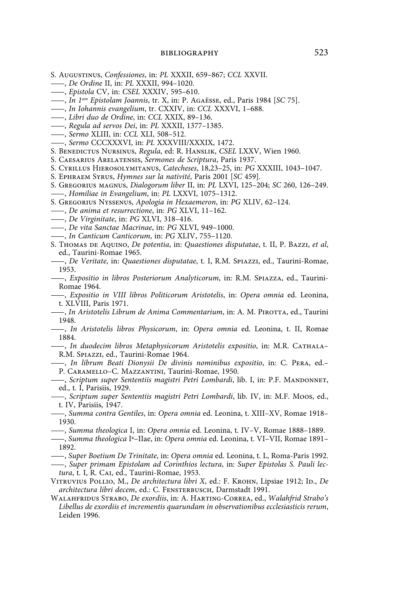- S. Augustinus, *Confessiones*, in: *PL* XXXII, 659–867; *CCL* XXVII.
- ——, *De Ordine* II, in: *PL* XXXII, 994–1020.
- ——, *Epistola* CV, in: *CSEL* XXXIV, 595–610.
- ——, *In 1am Epistolam Joannis*, tr. X, in: P. Agaësse, ed., Paris 1984 [*SC* 75].
- ——, *In Iohannis evangelium*, tr. CXXIV, in: *CCL* XXXVI, 1–688.
- ——, *Libri duo de Ordine*, in: *CCL* XXIX, 89–136.
- ——, *Regula ad servos Dei*, in: *PL* XXXII, 1377–1385.
- ——, *Sermo* XLIII, in: *CCL* XLI, 508–512.
- ——, *Sermo* CCCXXXVI, in: *PL* XXXVIII/XXXIX, 1472.
- S. Benedictus Nursinus, *Regula*, ed: R. Hanslik, *CSEL* LXXV, Wien 1960.
- S. Caesarius Arelatensis, *Sermones de Scriptura*, Paris 1937.
- S. Cyrillus Hierosolymitanus, *Catecheses*, 18,23–25, in: *PG* XXXIII, 1043–1047.
- S. Ephraem Syrus, *Hymnes sur la nativité*, Paris 2001 [*SC* 459]*.*
- S. Gregorius magnus, *Dialogorum liber* II, in: *PL* LXVI, 125–204; *SC* 260, 126–249. ——, *Homiliae in Evangelium*, in: *PL* LXXVI, 1075–1312.
- S. Gregorius Nyssenus, *Apologia in Hexaemeron*, in: *PG* XLIV, 62–124.
- ——, *De anima et resurrectione*, in: *PG* XLVI, 11–162.
- ——, *De Virginitate*, in: *PG* XLVI, 318–416.
- ——, *De vita Sanctae Macrinae*, in: *PG* XLVI, 949–1000.
- ——, *In Canticum Canticorum*, in: *PG* XLIV, 755–1120.
- S. Thomas de Aquino, *De potentia*, in: *Quaestiones disputatae*, t. II, P. Bazzi, *et al*, ed., Taurini-Romae 1965.
- ——, *De Veritate*, in: *Quaestiones disputatae*, t. I, R.M. Spiazzi, ed., Taurini-Romae, 1953.
- ——, *Expositio in libros Posteriorum Analyticorum*, in: R.M. Spiazza, ed., Taurini-Romae 1964.
- ——, *Expositio in VIII libros Politicorum Aristotelis*, in: *Opera omnia* ed. Leonina, t. XLVIII, Paris 1971.
- ——, *In Aristotelis Librum de Anima Commentarium*, in: A. M. Pirotta, ed., Taurini 1948.
- ——, *In Aristotelis libros Physicorum*, in: *Opera omnia* ed. Leonina, t. II, Romae 1884.
- ——, *In duodecim libros Metaphysicorum Aristotelis expositio*, in: M.R. Cathala– R.M. Spiazzi, ed., Taurini-Romae 1964.
- ——, *In librum Beati Dionysii De divinis nominibus expositio*, in: C. Pera, ed.– P. Caramello–C. Mazzantini, Taurini-Romae, 1950.
- ——, *Scriptum super Sententiis magistri Petri Lombardi*, lib. I, in: P.F. Mandonnet, ed., t. I, Parisiis, 1929.
- ——, *Scriptum super Sententiis magistri Petri Lombardi*, lib. IV, in: M.F. Moos, ed., t. IV, Parisiis, 1947.
- ——, *Summa contra Gentiles*, in: *Opera omnia* ed. Leonina, t. XIII–XV, Romae 1918– 1930.
- ——, *Summa theologica* I, in: *Opera omnia* ed. Leonina, t. IV–V, Romae 1888–1889.
- ——, *Summa theologica* Iª–IIae, in: *Opera omnia* ed. Leonina, t. VI–VII, Romae 1891– 1892.
- ——, *Super Boetium De Trinitate*, in: *Opera omnia* ed. Leonina, t. L, Roma-Paris 1992.
- ——, *Super primam Epistolam ad Corinthios lectura*, in: *Super Epistolas S. Pauli lectura*, t. I, R. Cai, ed., Taurini-Romae, 1953.
- VITRUVIUS POLLIO, M., *De architectura libri X*, ed.: F. KROHN, Lipsiae 1912; ID., *De architectura libri decem*, ed.: C. Fensterbusch, Darmstadt 1991.
- Walahfridus Strabo, *De exordiis*, in: A. Harting-Correa, ed., *Walahfrid Strabo's Libellus de exordiis et incrementis quarundam in observationibus ecclesiasticis rerum*, Leiden 1996.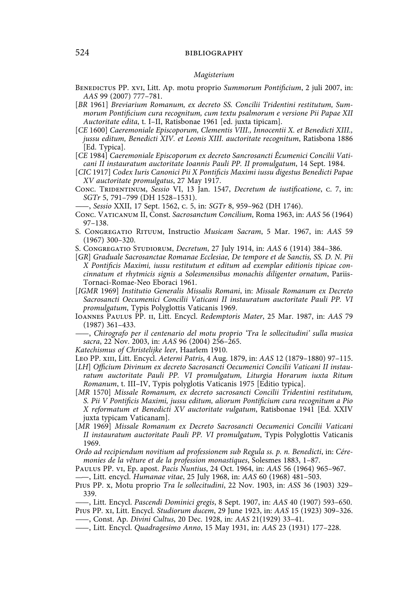# 524 **bibliography bibliography**

#### *Magisterium*

- Benedictus PP. xvi, Litt. Ap. motu proprio *Summorum Pontificium*, 2 juli 2007, in: *AAS* 99 (2007) 777–781.
- [*BR* 1961] *Breviarium Romanum, ex decreto SS. Concilii Tridentini restitutum, Summorum Pontificium cura recognitum, cum textu psalmorum e versione Pii Papae XII Auctoritate edita*, t. I–II, Ratisbonae 1961 [ed. juxta tipicam].
- [*CE* 1600] *Caeremoniale Episcoporum, Clementis VIII., Innocentii X. et Benedicti XIII., jussu editum, Benedicti XIV. et Leonis XIII. auctoritate recognitum*, Ratisbona 1886 [Ed. Typica].
- [*CE* 1984] *Caeremoniale Episcoporum ex decreto Sancrosancti Êcumenici Concilii Vaticani II instauratum auctoritate Ioannis Pauli PP. II promulgatum*, 14 Sept. 1984.
- [*CIC* 1917] *Codex Iuris Canonici Pii X Pontificis Maximi iussu digestus Benedicti Papae XV auctoritate promulgatus*, 27 May 1917.
- Conc. Tridentinum, *Sessio* VI, 13 Jan. 1547, *Decretum de iustificatione*, c. 7, in: *SGTr* 5, 791–799 (DH 1528–1531).
- ——, *Sessio* XXII, 17 Sept. 1562, c. 5, in: *SGTr* 8, 959–962 (DH 1746).

Conc. Vaticanum II, Const. *Sacrosanctum Concilium*, Roma 1963, in: *AAS* 56 (1964) 97–138.

- S. Congregatio Rituum, Instructio *Musicam Sacram*, 5 Mar. 1967, in: *AAS* 59 (1967) 300–320.
- S. Congregatio Studiorum, *Decretum*, 27 July 1914, in: *AAS* 6 (1914) 384–386.
- [*GR*] *Graduale Sacrosanctae Romanae Ecclesiae, De tempore et de Sanctis, SS. D. N. Pii X Pontificis Maximi, iussu restitutum et editum ad exemplar editionis tipicae concinnatum et rhytmicis signis a Solesmensibus monachis diligenter ornatum*, Pariis-Tornaci-Romae-Neo Eboraci 1961.
- [*IGMR* 1969] *Institutio Generalis Missalis Romani*, in: *Missale Romanum ex Decreto Sacrosancti Oecumenici Concilii Vaticani II instauratum auctoritate Pauli PP. VI promulgatum*, Typis Polyglottis Vaticanis 1969.
- Ioannes Paulus PP. ii, Litt. Encycl. *Redemptoris Mater*, 25 Mar. 1987, in: *AAS* 79 (1987) 361–433.
- ——, *Chirografo per il centenario del motu proprio 'Tra le sollecitudini' sulla musica sacra*, 22 Nov. 2003, in: *AAS* 96 (2004) 256–265.

*Katechismus of Christelijke leer*, Haarlem 1910.

- Leo PP. xiii, Litt. Encycl. *Aeterni Patris*, 4 Aug. 1879, in: *AAS* 12 (1879–1880) 97–115.
- [*LH*] *Officium Divinum ex decreto Sacrosancti Oecumenici Concilii Vaticani II instauratum auctoritate Pauli PP. VI promulgatum, Liturgia Horarum iuxta Ritum Romanum*, t. III–IV, Typis polyglotis Vaticanis 1975 [Editio typica].
- [*MR* 1570] *Missale Romanum, ex decreto sacrosancti Concilii Tridentini restitutum, S. Pii V Pontificis Maximi, jussu editum, aliorum Pontificium cura recognitum a Pio X reformatum et Benedicti XV auctoritate vulgatum*, Ratisbonae 1941 [Ed. XXIV juxta typicam Vaticanam].
- [*MR* 1969] *Missale Romanum ex Decreto Sacrosancti Oecumenici Concilii Vaticani II instauratum auctoritate Pauli PP. VI promulgatum*, Typis Polyglottis Vaticanis 1969.
- *Ordo ad recipiendum novitium ad professionem sub Regula ss. p. n. Benedicti*, in: *Céremonies de la vêture et de la profession monastiques*, Solesmes 1883, 1–87.
- Paulus PP. vi, Ep. apost. *Pacis Nuntius*, 24 Oct. 1964, in: *AAS* 56 (1964) 965–967. ——, Litt. encycl. *Humanae vitae*, 25 July 1968, in: *AAS* 60 (1968) 481–503.

Pius PP. x, Motu proprio *Tra le sollecitudini*, 22 Nov. 1903, in: *ASS* 36 (1903) 329– 339.

- ——, Litt. Encycl. *Pascendi Dominici gregis*, 8 Sept. 1907, in: *AAS* 40 (1907) 593–650. Pius PP. xi, Litt. Encycl. *Studiorum ducem*, 29 June 1923, in: *AAS* 15 (1923) 309–326.
- ——, Const. Ap. *Divini Cultus*, 20 Dec. 1928, in: *AAS* 21(1929) 33–41.
- ——, Litt. Encycl. *Quadragesimo Anno*, 15 May 1931, in: *AAS* 23 (1931) 177–228.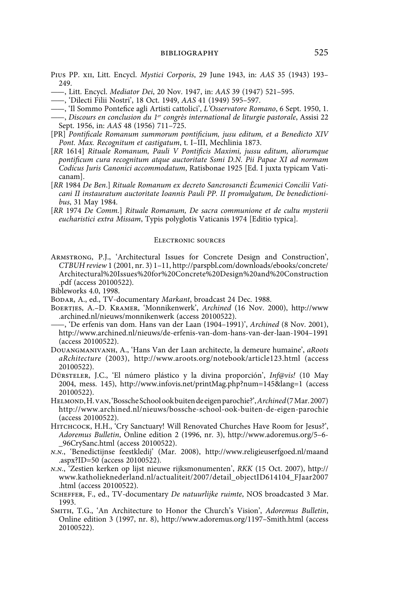- Pius PP. xii, Litt. Encycl. *Mystici Corporis*, 29 June 1943, in: *AAS* 35 (1943) 193–  $249$
- ——, Litt. Encycl. *Mediator Dei*, 20 Nov. 1947, in: *AAS* 39 (1947) 521–595.

——, 'Dilecti Filii Nostri', 18 Oct. 1949, *AAS* 41 (1949) 595–597.

- ——, 'Il Sommo Pontefice agli Artisti cattolici', *L'Osservatore Romano*, 6 Sept. 1950, 1.
- ——, *Discours en conclusion du 1er congrès international de liturgie pastorale*, Assisi 22 Sept. 1956, in: *AAS* 48 (1956) 711–725.
- [PR] *Pontificale Romanum summorum pontificium, jusu editum, et a Benedicto XIV Pont. Max. Recognitum et castigatum*, t. I–III, Mechlinia 1873.
- [*RR* 1614] *Rituale Romanum, Pauli V Pontificis Maximi, jussu editum, aliorumque pontificum cura recognitum atque auctoritate Ssmi D.N. Pii Papae XI ad normam Codicus Juris Canonici accommodatum*, Ratisbonae 1925 [Ed. I juxta typicam Vaticanam].
- [*RR* 1984 *De Ben*.] *Rituale Romanum ex decreto Sancrosancti Êcumenici Concilii Vaticani II instauratum auctoritate Ioannis Pauli PP. II promulgatum, De benedictionibus*, 31 May 1984.
- [*RR* 1974 *De Comm.*] *Rituale Romanum, De sacra communione et de cultu mysterii eucharistici extra Missam*, Typis polyglotis Vaticanis 1974 [Editio typica].

### Electronic sources

Armstrong, P.J., 'Architectural Issues for Concrete Design and Construction', *CTBUH review* 1 (2001, nr. 3) 1–11, http://parspbl.com/downloads/ebooks/concrete/ Architectural%20Issues%20for%20Concrete%20Design%20and%20Construction .pdf (access 20100522).

Bibleworks 4.0, 1998.

Bodar, A., ed., TV-documentary *Markant*, broadcast 24 Dec. 1988.

- Boertjes, A.–D. Kramer, 'Monnikenwerk', *Archined* (16 Nov. 2000), http://www .archined.nl/nieuws/monnikenwerk (access 20100522).
- ——, 'De erfenis van dom. Hans van der Laan (1904–1991)', *Archined* (8 Nov. 2001), http://www.archined.nl/nieuws/de-erfenis-van-dom-hans-van-der-laan-1904–1991 (access 20100522).
- Douangmanivanh, A., 'Hans Van der Laan architecte, la demeure humaine', *aRoots aRchitecture* (2003), http://www.aroots.org/notebook/article123.html (access 20100522).
- Dürsteler, J.C., 'El número plástico y la divina proporción', *Inf@vis!* (10 May 2004, mess. 145), http://www.infovis.net/printMag.php?num=145&lang=1 (access 20100522).
- Helmond, H. van, 'Bossche School ook buiten de eigen parochie?', *Archined* (7 Mar. 2007) http://www.archined.nl/nieuws/bossche-school-ook-buiten-de-eigen-parochie (access 20100522).
- Hitchcock, H.H., 'Cry Sanctuary! Will Renovated Churches Have Room for Jesus?', *Adoremus Bulletin*, Online edition 2 (1996, nr. 3), http://www.adoremus.org/5–6- \_96CrySanc.html (access 20100522).
- *n.n.*, 'Benedictijnse feestkledij' (Mar. 2008), http://www.religieuserfgoed.nl/maand .aspx?ID=50 (access 20100522).
- *n.n.*, 'Zestien kerken op lijst nieuwe rijksmonumenten', *RKK* (15 Oct. 2007), http:// www.katholieknederland.nl/actualiteit/2007/detail\_objectID614104\_FJaar2007 .html (access 20100522).
- Scheffer, F., ed., TV-documentary *De natuurlijke ruimte*, NOS broadcasted 3 Mar. 1993.
- Smith, T.G., 'An Architecture to Honor the Church's Vision', *Adoremus Bulletin*, Online edition 3 (1997, nr. 8), http://www.adoremus.org/1197–Smith.html (access 20100522).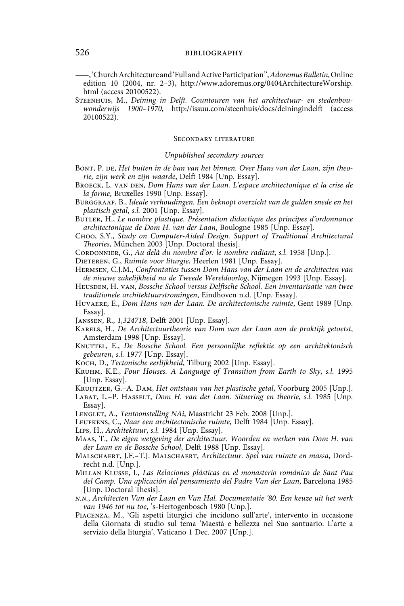——, 'Church Architecture and 'Full and Active Participation'', *Adoremus Bulletin*, Online edition 10 (2004, nr. 2–3), http://www.adoremus.org/0404ArchitectureWorship. html (access 20100522).

Steenhuis, M., *Deining in Delft. Countouren van het architectuur- en stedenbouwonderwijs 1900–1970*, http://issuu.com/steenhuis/docs/deiningindelft (access 20100522).

### Secondary literature

### *Unpublished secondary sources*

- BONT, P. DE, *Het buiten in de ban van het binnen*. Over Hans van der Laan, zijn theo*rie, zijn werk en zijn waarde*, Delft 1984 [Unp. Essay].
- BROECK, L. VAN DEN, *Dom Hans van der Laan. L'espace architectonique et la crise de la forme*, Bruxelles 1990 [Unp. Essay].
- Burggraaf, B., *Ideale verhoudingen. Een beknopt overzicht van de gulden snede en het plastisch getal*, *s.l.* 2001 [Unp. Essay].
- BUTLER, H., *Le nombre plastique. Présentation didactique des principes d'ordonnance architectonique de Dom H. van der Laan*, Boulogne 1985 [Unp. Essay].
- Choo, S.Y., *Study on Computer-Aided Design. Support of Traditional Architectural Theories*, München 2003 [Unp. Doctoral thesis].
- CORDONNIER, G., Au delà du nombre d'or: le nombre radiant, s.l. 1958 [Unp.].
- Dieteren, G., *Ruimte voor liturgie*, Heerlen 1981 [Unp. Essay].
- Hermsen, C.J.M., *Confrontaties tussen Dom Hans van der Laan en de architecten van de nieuwe zakelijkheid na de Tweede Wereldoorlog*, Nijmegen 1993 [Unp. Essay].
- HEUSDEN, H. VAN, *Bossche School versus Delftsche School. Een inventarisatie van twee traditionele architektuurstromingen*, Eindhoven n.d. [Unp. Essay].
- Huvaere, E., *Dom Hans van der Laan. De architectonische ruimte*, Gent 1989 [Unp. Essay].
- Janssen, R., *1,324718*, Delft 2001 [Unp. Essay].
- Karels, H., *De Architectuurtheorie van Dom van der Laan aan de praktijk getoetst*, Amsterdam 1998 [Unp. Essay].
- KNUTTEL, E., *De Bossche School. Een persoonlijke reflektie op een architektonisch gebeuren*, *s.l.* 1977 [Unp. Essay].
- Koch, D., *Tectonische eerlijkheid*, Tilburg 2002 [Unp. Essay].
- Kruhm, K.E., *Four Houses. A Language of Transition from Earth to Sky*, *s.l.* 1995 [Unp. Essay].
- Kruijtzer, G.–A. Dam, *Het ontstaan van het plastische getal*, Voorburg 2005 [Unp.].
- LABAT, L.-P. HASSELT, *Dom H. van der Laan. Situering en theorie*, *s.l.* 1985 [Unp. Essay].
- LENGLET, A., *Tentoonstelling NAi*, Maastricht 23 Feb. 2008 [Unp.].
- Leufkens, C., *Naar een architectonische ruimte*, Delft 1984 [Unp. Essay].
- Lips, H., *Architektuur*, *s.l.* 1984 [Unp. Essay].
- Maas, T., *De eigen wetgeving der architectuur. Woorden en werken van Dom H. van der Laan en de Bossche School*, Delft 1988 [Unp. Essay].
- Malschaert, J.F.–T.J. Malschaert, *Architectuur. Spel van ruimte en massa*, Dordrecht n.d. [Unp.].
- Millan Klusse, I., *Las Relaciones plásticas en el monasterio románico de Sant Pau del Camp. Una aplicación del pensamiento del Padre Van der Laan*, Barcelona 1985 [Unp. Doctoral Thesis].
- *n.n.*, *Architecten Van der Laan en Van Hal. Documentatie '80. Een keuze uit het werk van 1946 tot nu toe*, 's-Hertogenbosch 1980 [Unp.].
- Piacenza, M., 'Gli aspetti liturgici che incidono sull'arte', intervento in occasione della Giornata di studio sul tema 'Maestà e bellezza nel Suo santuario. L'arte a servizio della liturgia', Vaticano 1 Dec. 2007 [Unp.].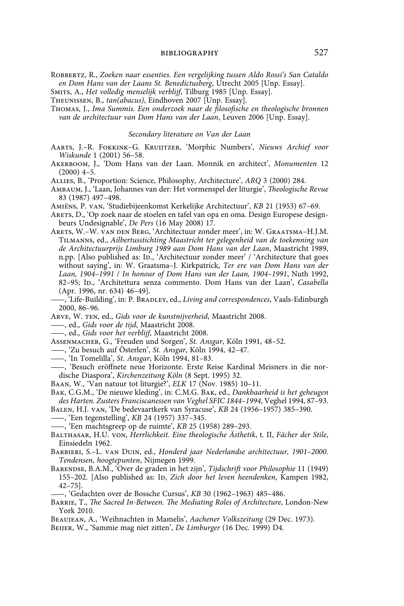Robbertz, R., *Zoeken naar essenties. Een vergelijking tussen Aldo Rossi's San Cataldo en Dom Hans van der Laans St. Benedictusberg*, Utrecht 2005 [Unp. Essay].

Smits, A., *Het volledig menselijk verblijf*, Tilburg 1985 [Unp. Essay].

Theunissen, B., *tan(abacus)*, Eindhoven 2007 [Unp. Essay].

Thomas, J., *Ima Summis. Een onderzoek naar de filosofische en theologische bronnen van de architectuur van Dom Hans van der Laan*, Leuven 2006 [Unp. Essay].

### *Secondary literature on Van der Laan*

- Aarts, J.–R. Fokkink–G. Kruijtzer, 'Morphic Numbers', *Nieuws Archief voor Wiskunde* 1 (2001) 56–58.
- Akerboom, J., 'Dom Hans van der Laan. Monnik en architect', *Monumenten* 12  $(2000)$  4-5.

Allies, B., 'Proportion: Science, Philosophy, Architecture', *ARQ* 3 (2000) 284.

Ambaum, J., 'Laan, Johannes van der: Het vormenspel der liturgie', *Theologische Revue* 83 (1987) 497–498.

Amiëns, P. van, 'Studiebijeenkomst Kerkelijke Architectuur', *KB* 21 (1953) 67–69.

Arets, D., 'Op zoek naar de stoelen en tafel van opa en oma. Design Europese designbeurs Undesignable', *De Pers* (16 May 2008) 17.

- Arets, W.–W. van den Berg, 'Architectuur zonder meer', in: W. Graatsma–H.J.M. Tilmanns, ed., *Ailbertusstichting Maastricht ter gelegenheid van de toekenning van de Architectuurprijs Limburg 1989 aan Dom Hans van der Laan*, Maastricht 1989, n.pp. [Also published as: ID., 'Architectuur zonder meer' / 'Architecture that goes without saying', in: W. Graatsma–J. Kirkpatrick, *Ter ere van Dom Hans van der Laan, 1904–1991* / *In honour of Dom Hans van der Laan, 1904–1991*, Nuth 1992, 82-95; Ip., 'Architettura senza commento. Dom Hans van der Laan', *Casabella* (Apr. 1996, nr. 634) 46–49].
- ——, 'Life-Building', in: P. Bradley, ed., *Living and correspondences*, Vaals-Edinburgh 2000, 86–96.

Arve, W. ten, ed., *Gids voor de kunstnijverheid*, Maastricht 2008.

——, ed., *Gids voor de tijd*, Maastricht 2008.

——, ed., *Gids voor het verblijf*, Maastricht 2008.

Assenmacher, G., 'Freuden und Sorgen', *St. Ansgar*, Köln 1991, 48–52.

——, 'Zu besuch auf Österlen', *St. Ansgar*, Köln 1994, 42–47.

- ——, 'In Tomelilla', *St. Ansgar*, Köln 1994, 81–83.
- ——, 'Besuch eröffnete neue Horizonte. Erste Reise Kardinal Meisners in die nordische Diaspora', *Kirchenzeitung Köln* (8 Sept. 1995) 32.
- Baan, W., 'Van natuur tot liturgie?', *ELK* 17 (Nov. 1985) 10–11.
- Bak, C.G.M., 'De nieuwe kleding', in: C.M.G. Bak, ed., *Dankbaarheid is het geheugen des Harten. Zusters Franciscanessen van Veghel SFIC 1844–1994*, Veghel 1994, 87–93.
- Balen, H.J. van, 'De bedevaartkerk van Syracuse', *KB* 24 (1956–1957) 385–390.
- ——, 'Een tegenstelling', *KB* 24 (1957) 337–345.

——, 'Een machtsgreep op de ruimte', *KB* 25 (1958) 289–293.

- Balthasar, H.U. von, *Herrlichkeit. Eine theologische Ästhetik*, t. II, *Fächer der Stile*, Einsiedeln 1962.
- Barbieri, S.–L. van Duin, ed., *Honderd jaar Nederlandse architectuur, 1901–2000. Tendensen, hoogtepunten*, Nijmegen 1999.
- Barendse, B.A.M., 'Over de graden in het zijn', *Tijdschrift voor Philosophie* 11 (1949) 155-202. [Also published as: Ip, *Zich door het leven heendenken*, Kampen 1982, 42–75].
- ——, 'Gedachten over de Bossche Cursus', *KB* 30 (1962–1963) 485–486.
- Barrie, T., *The Sacred In-Between. The Mediating Roles of Architecture*, London-New York 2010.
- Beaujean, A., 'Weihnachten in Mamelis', *Aachener Volkszeitung* (29 Dec. 1973).
- Beijer, W., 'Sammie mag niet zitten', *De Limburger* (16 Dec. 1999) D4.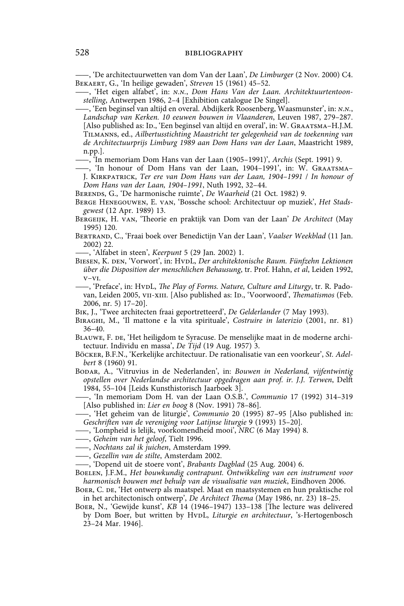——, 'De architectuurwetten van dom Van der Laan', *De Limburger* (2 Nov. 2000) C4. Bekaert, G., 'In heilige gewaden', *Streven* 15 (1961) 45–52.

——, 'Het eigen alfabet', in: *n.n.*, *Dom Hans Van der Laan. Architektuurtentoonstelling*, Antwerpen 1986, 2–4 [Exhibition catalogue De Singel].

——, 'Een beginsel van altijd en overal. Abdijkerk Roosenberg, Waasmunster', in: *n.n.*, *Landschap van Kerken. 10 eeuwen bouwen in Vlaanderen*, Leuven 1987, 279–287. [Also published as: ID., 'Een beginsel van altijd en overal', in: W. GRAATSMA–H.J.M. Tilmanns, ed., *Ailbertusstichting Maastricht ter gelegenheid van de toekenning van de Architectuurprijs Limburg 1989 aan Dom Hans van der Laan*, Maastricht 1989, n.pp.].

——, 'In memoriam Dom Hans van der Laan (1905–1991)', *Archis* (Sept. 1991) 9.

——, 'In honour of Dom Hans van der Laan, 1904–1991', in: W. Graatsma– J. Kirkpatrick, *Ter ere van Dom Hans van der Laan, 1904–1991* / *In honour of Dom Hans van der Laan, 1904–1991*, Nuth 1992, 32–44.

Berends, G., 'De harmonische ruimte', *De Waarheid* (21 Oct. 1982) 9.

Berge Henegouwen, E. van, 'Bossche school: Architectuur op muziek', *Het Stadsgewest* (12 Apr. 1989) 13.

Bergeijk, H. van, 'Theorie en praktijk van Dom van der Laan' *De Architect* (May 1995) 120.

Bertrand, C., 'Fraai boek over Benedictijn Van der Laan', *Vaalser Weekblad* (11 Jan. 2002) 22.

——, 'Alfabet in steen', *Keerpunt* 5 (29 Jan. 2002) 1.

BIESEN, K. DEN, 'Vorwort', in: HvDL, *Der architektonische Raum. Fünfzehn Lektionen über die Disposition der menschlichen Behausung*, tr. Prof. Hahn, *et al*, Leiden 1992, v–vi.

——, 'Preface', in: HvdL, *The Play of Forms. Nature, Culture and Liturgy*, tr. R. Padovan, Leiden 2005, VII-XIII. [Also published as: ID., 'Voorwoord', *Thematismos* (Feb. 2006, nr. 5) 17–20].

Bik, J., 'Twee architecten fraai geportretteerd', *De Gelderlander* (7 May 1993).

Biraghi, M., 'Il mattone e la vita spirituale', *Costruire in laterizio* (2001, nr. 81) 36–40.

BLAUWE, F. DE, 'Het heiligdom te Syracuse. De menselijke maat in de moderne architectuur. Individu en massa', *De Tijd* (19 Aug. 1957) 3.

- Böcker, B.F.N., 'Kerkelijke architectuur. De rationalisatie van een voorkeur', *St. Adelbert* 8 (1960) 91.
- Bodar, A., 'Vitruvius in de Nederlanden', in: *Bouwen in Nederland, vijfentwintig opstellen over Nederlandse architectuur opgedragen aan prof. ir. J.J. Terwen*, Delft 1984, 55–104 [Leids Kunsthistorisch Jaarboek 3].

——, 'In memoriam Dom H. van der Laan O.S.B.', *Communio* 17 (1992) 314–319 [Also published in: *Lier en boog* 8 (Nov. 1991) 78–86].

- ——, 'Het geheim van de liturgie', *Communio* 20 (1995) 87–95 [Also published in: *Geschriften van de vereniging voor Latijnse liturgie* 9 (1993) 15–20].
- ——, 'Lompheid is lelijk, voorkomendheid mooi', *NRC* (6 May 1994) 8.
- ——, *Geheim van het geloof*, Tielt 1996.
- ——, *Nochtans zal ik juichen*, Amsterdam 1999.
- ——, *Gezellin van de stilte*, Amsterdam 2002.

——, 'Dopend uit de stoere vont', *Brabants Dagblad* (25 Aug. 2004) 6.

- Boelen, J.F.M., *Het bouwkundig contrapunt. Ontwikkeling van een instrument voor harmonisch bouwen met behulp van de visualisatie van muziek*, Eindhoven 2006.
- Boer, C. de, 'Het ontwerp als maatspel. Maat en maatsystemen en hun praktische rol in het architectonisch ontwerp', *De Architect Thema* (May 1986, nr. 23) 18–25.
- Boer, N., 'Gewijde kunst', *KB* 14 (1946–1947) 133–138 [The lecture was delivered by Dom Boer, but written by HvpL, *Liturgie en architectuur*, 's-Hertogenbosch 23–24 Mar. 1946].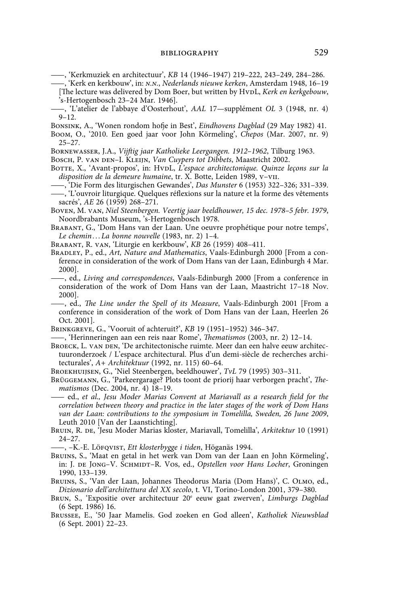——, 'Kerkmuziek en architectuur', *KB* 14 (1946–1947) 219–222, 243–249, 284–286.

- ——, 'Kerk en kerkbouw', in: *n.n.*, *Nederlands nieuwe kerken*, Amsterdam 1948, 16–19 [The lecture was delivered by Dom Boer, but written by HvdL, *Kerk en kerkgebouw*, 's-Hertogenbosch 23–24 Mar. 1946].
- ——, 'L'atelier de l'abbaye d'Oosterhout', *AAL* 17—supplément *OL* 3 (1948, nr. 4) 9–12.
- Bonsink, A., 'Wonen rondom hofje in Best', *Eindhovens Dagblad* (29 May 1982) 41.
- Boom, O., '2010. Een goed jaar voor John Körmeling', *Chepos* (Mar. 2007, nr. 9) 25–27.
- Bornewasser, J.A., *Vijftig jaar Katholieke Leergangen. 1912–1962*, Tilburg 1963.

Bosch, P. van den–I. Kleijn, *Van Cuypers tot Dibbets*, Maastricht 2002.

- BOTTE, X., 'Avant-propos', in: HvDL, L'espace architectonique. Quinze leçons sur la *disposition de la demeure humaine*, tr. X. Botte, Leiden 1989, v–vii.
- ——, 'Die Form des liturgischen Gewandes', *Das Munster* 6 (1953) 322–326; 331–339. ——, 'L'ouvroir liturgique. Quelques réflexions sur la nature et la forme des vêtements sacrés', *AE* 26 (1959) 268–271.
- Boven, M. van, *Niel Steenbergen. Veertig jaar beeldhouwer, 15 dec. 1978–5 febr. 1979*, Noordbrabants Museum, 's-Hertogenbosch 1978.
- Brabant, G., 'Dom Hans van der Laan. Une oeuvre prophétique pour notre temps', *Le chemin . . . La bonne nouvelle* (1983, nr. 2) 1–4.
- Brabant, R. van, 'Liturgie en kerkbouw', *KB* 26 (1959) 408–411.
- Bradley, P., ed., *Art, Nature and Mathematics*, Vaals-Edinburgh 2000 [From a conference in consideration of the work of Dom Hans van der Laan, Edinburgh 4 Mar. 2000].
- ——, ed., *Living and correspondences*, Vaals-Edinburgh 2000 [From a conference in consideration of the work of Dom Hans van der Laan, Maastricht 17–18 Nov. 2000].
- ——, ed., *The Line under the Spell of its Measure*, Vaals-Edinburgh 2001 [From a conference in consideration of the work of Dom Hans van der Laan, Heerlen 26 Oct. 2001].
- Brinkgreve, G., 'Vooruit of achteruit?', *KB* 19 (1951–1952) 346–347.
- ——, 'Herinneringen aan een reis naar Rome', *Thematismos* (2003, nr. 2) 12–14.
- BROECK, L. VAN DEN, 'De architectonische ruimte. Meer dan een halve eeuw architectuuronderzoek / L'espace architectural. Plus d'un demi-siècle de recherches architecturales', *A+ Architektuur* (1992, nr. 115) 60–64.

Broekhuijsen, G., 'Niel Steenbergen, beeldhouwer', *TvL* 79 (1995) 303–311.

- Brüggemann, G., 'Parkeergarage? Plots toont de priorij haar verborgen pracht', *Thematismos* (Dec. 2004, nr. 4) 18–19.
- —— ed., *et al., Jesu Moder Marias Convent at Mariavall as a research field for the correlation between theory and practice in the later stages of the work of Dom Hans van der Laan: contributions to the symposium in Tomelilla, Sweden, 26 June 2009*, Leuth 2010 [Van der Laanstichting].
- Bruin, R. de, 'Jesu Moder Marias kloster, Mariavall, Tomelilla', *Arkitektur* 10 (1991) 24–27.
- ——, –K.-E. Löfqvist, *Ett klosterbygge i tiden*, Höganäs 1994.
- Bruins, S., 'Maat en getal in het werk van Dom van der Laan en John Körmeling', in: J. DE JONG-V. SCHMIDT-R. VOS, ed., *Opstellen voor Hans Locher*, Groningen 1990, 133–139.
- Bruins, S., 'Van der Laan, Johannes Theodorus Maria (Dom Hans)', C. Olmo, ed., *Dizionario dell'architettura del XX secolo*, t. VI, Torino-London 2001, 379–380.
- BRUN, S., 'Expositie over architectuur 20<sup>e</sup> eeuw gaat zwerven', Limburgs Dagblad (6 Sept. 1986) 16.
- Brussee, E., '50 Jaar Mamelis. God zoeken en God alleen', *Katholiek Nieuwsblad* (6 Sept. 2001) 22–23.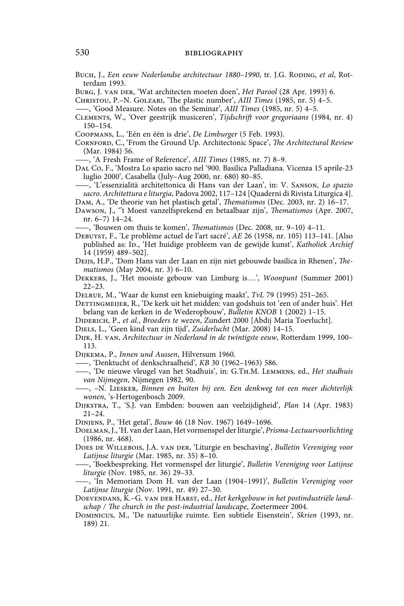Buch, J., *Een eeuw Nederlandse architectuur 1880–1990*, tr. J.G. Roding, *et al*, Rotterdam 1993.

Burg, J. van der, 'Wat architecten moeten doen', *Het Parool* (28 Apr. 1993) 6.

Christou, P.–N. Golzari, 'The plastic number', *AIII Times* (1985, nr. 5) 4–5.

——, 'Good Measure. Notes on the Seminar', *AIII Times* (1985, nr. 5) 4–5.

Clements, W., 'Over geestrijk musiceren', *Tijdschrift voor gregoriaans* (1984, nr. 4) 150–154.

Coopmans, L., 'Eén en één is drie', *De Limburger* (5 Feb. 1993).

Cornford, C., 'From the Ground Up. Architectonic Space', *The Architectural Review* (Mar. 1984) 56.

——, 'A Fresh Frame of Reference', *AIII Times* (1985, nr. 7) 8–9.

Dal Co, F., 'Mostra Lo spazio sacro nel '900. Basilica Palladiana. Vicenza 15 aprile-23 luglio 2000', Casabella (July–Aug 2000, nr. 680) 80–85.

——, 'L'essenzialità architettonica di Hans van der Laan', in: V. Sanson, *Lo spazio sacro. Architettura e liturgia*, Padova 2002, 117–124 [Quaderni di Rivista Liturgica 4].

Dam, A., 'De theorie van het plastisch getal', *Thematismos* (Dec. 2003, nr. 2) 16–17.

Dawson, J., ''t Moest vanzelfsprekend en betaalbaar zijn', *Thematismos* (Apr. 2007, nr. 6–7) 14–24.

——, 'Bouwen om thuis te komen', *Thematismos* (Dec. 2008, nr. 9–10) 4–11.

- Debuyst, F., 'Le problème actuel de l'art sacré', *AE* 26 (1958, nr. 105) 113–141. [Also published as: Ip., 'Het huidige probleem van de gewijde kunst', *Katholiek Archief* 14 (1959) 489–502].
- Deijs, H.P., 'Dom Hans van der Laan en zijn niet gebouwde basilica in Rhenen', *Thematismos* (May 2004, nr. 3) 6–10.
- Dekkers, J., 'Het mooiste gebouw van Limburg is . . .', *Woonpunt* (Summer 2001) 22–23.
- Delrue, M., 'Waar de kunst een kniebuiging maakt', *TvL* 79 (1995) 251–265.

DETTINGMEIJER, R., 'De kerk uit het midden: van godshuis tot 'een of ander huis'. Het belang van de kerken in de Wederopbouw', *Bulletin KNOB* 1 (2002) 1–15.

Diderich, P., *et al.*, *Broeders te wezen*, Zundert 2000 [Abdij Maria Toevlucht].

Dijk, H. van, *Architectuur in Nederland in de twintigste eeuw*, Rotterdam 1999, 100– 113.

Dijkema, P., *Innen und Aussen*, Hilversum 1960.

——, 'Denktucht of denkschraalheid', *KB* 30 (1962–1963) 586.

——, 'De nieuwe vleugel van het Stadhuis', in: G.Th.M. Lemmens, ed., *Het stadhuis van Nijmegen*, Nijmegen 1982, 90.

——, –N. Liesker, *Binnen en buiten bij een. Een denkweg tot een meer dichterlijk wonen*, 's-Hertogenbosch 2009.

Dijkstra, T., 'S.J. van Embden: bouwen aan veelzijdigheid', *Plan* 14 (Apr. 1983) 21–24.

Dinjens, P., 'Het getal', *Bouw* 46 (18 Nov. 1967) 1649–1696.

Doelman, J., 'H. van der Laan, Het vormenspel der liturgie', *Prisma-Lectuurvoorlichting* (1986, nr. 468).

Does de Willebois, J.A. van der, 'Liturgie en beschaving', *Bulletin Vereniging voor Latijnse liturgie* (Mar. 1985, nr. 35) 8–10.

——, 'Boekbespreking. Het vormenspel der liturgie', *Bulletin Vereniging voor Latijnse liturgie* (Nov. 1985, nr. 36) 29–33.

——, 'In Memoriam Dom H. van der Laan (1904–1991)', *Bulletin Vereniging voor Latijnse liturgie* (Nov. 1991, nr. 49) 27–30.

DOEVENDANS, K.-G. VAN DER HARST, ed., *Het kerkgebouw in het postindustriële landschap / The church in the post-industrial landscape*, Zoetermeer 2004.

Dominicus, M., 'De natuurlijke ruimte. Een subtiele Eisenstein', *Skrien* (1993, nr. 189) 21.

Diels, L., 'Geen kind van zijn tijd', *Zuiderlucht* (Mar. 2008) 14–15.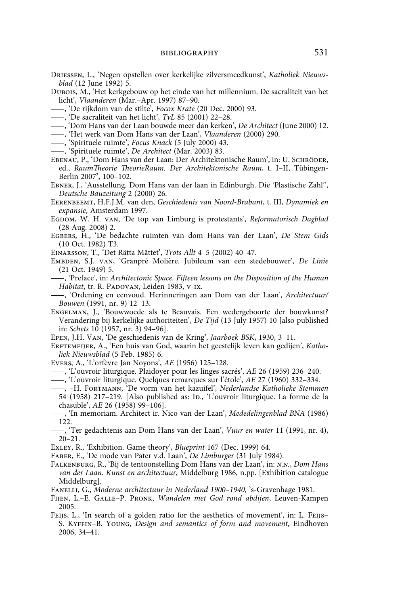- Driessen, L., 'Negen opstellen over kerkelijke zilversmeedkunst', *Katholiek Nieuwsblad* (12 June 1992) 5.
- Dubois, M., 'Het kerkgebouw op het einde van het millennium. De sacraliteit van het licht', *Vlaanderen* (Mar.–Apr. 1997) 87–90.
- ——, 'De rijkdom van de stilte', *Focox Krate* (20 Dec. 2000) 93.
- ——, 'De sacraliteit van het licht', *TvL* 85 (2001) 22–28.
- ——, 'Dom Hans van der Laan bouwde meer dan kerken', *De Architect* (June 2000) 12.
- ——, 'Het werk van Dom Hans van der Laan', *Vlaanderen* (2000) 290.
- ——, 'Spirituele ruimte', *Focus Knack* (5 July 2000) 43.
- ——, 'Spirituele ruimte', *De Architect* (Mar. 2003) 83.
- EBENAU, P., 'Dom Hans van der Laan: Der Architektonische Raum', in: U. SCHRÖDER, ed., *RaumTheorie TheorieRaum. Der Architektonische Raum*, t. I–II, Tübingen-Berlin 2007<sup>2</sup>, 100–102.
- Ebner, J., 'Ausstellung. Dom Hans van der laan in Edinburgh. Die 'Plastische Zahl'', *Deutsche Bauzeitung* 2 (2000) 26.
- Eerenbeemt, H.F.J.M. van den, *Geschiedenis van Noord-Brabant*, t. III, *Dynamiek en expansie*, Amsterdam 1997.
- Egdom, W. H. van, 'De top van Limburg is protestants', *Reformatorisch Dagblad* (28 Aug. 2008) 2.
- Egbers, H., 'De bedachte ruimten van dom Hans van der Laan', *De Stem Gids* (10 Oct. 1982) T3.
- Einarsson, T., 'Det Rätta Måttet', *Trots Allt* 4–5 (2002) 40–47.
- Embden, S.J. van, 'Granpré Molière. Jubileum van een stedebouwer', *De Linie* (21 Oct. 1949) 5.
- ——, 'Preface', in: *Architectonic Space. Fifteen lessons on the Disposition of the Human*  Habitat, tr. R. PADOVAN, Leiden 1983, V-IX.
- ——, 'Ordening en eenvoud. Herinneringen aan Dom van der Laan', *Architectuur/ Bouwen* (1991, nr. 9) 12–13.
- Engelman, J., 'Bouwwoede als te Beauvais. Een wedergeboorte der bouwkunst? Verandering bij kerkelijke authoriteiten', *De Tijd* (13 July 1957) 10 [also published in: *Schets* 10 (1957, nr. 3) 94–96].
- Epen, J.H. Van, 'De geschiedenis van de Kring', *Jaarboek BSK*, 1930, 3–11.
- ERFTEMEIJER, A., 'Een huis van God, waarin het geestelijk leven kan gedijen', Katho*liek Nieuwsblad* (5 Feb. 1985) 6.
- Evers, A., 'L'orfèvre Jan Noyons', *AE* (1956) 125–128.
- ——, 'L'ouvroir liturgique. Plaidoyer pour les linges sacrés', *AE* 26 (1959) 236–240.
- ——, 'L'ouvroir liturgique. Quelques remarques sur l'étole', *AE* 27 (1960) 332–334.
- ——, –H. Fortmann, 'De vorm van het kazuifel', *Nederlandse Katholieke Stemmen* 54 (1958) 217-219. [Also published as: Ip., 'L'ouvroir liturgique. La forme de la chasuble', *AE* 26 (1958) 99–106].
- ——, 'In memoriam. Architect ir. Nico van der Laan', *Mededelingenblad BNA* (1986) 122.
- ——, 'Ter gedachtenis aan Dom Hans van der Laan', *Vuur en water* 11 (1991, nr. 4), 20–21.
- Exley, R., 'Exhibition. Game theory', *Blueprint* 167 (Dec. 1999) 64.
- Faber, E., 'De mode van Pater v.d. Laan', *De Limburger* (31 July 1984).
- Falkenburg, R., 'Bij de tentoonstelling Dom Hans van der Laan', in: *n.n.*, *Dom Hans van der Laan. Kunst en architectuur*, Middelburg 1986, n.pp. [Exhibition catalogue Middelburg].
- Fanelli, G., *Moderne architectuur in Nederland 1900–1940*, 's-Gravenhage 1981.
- Fijen, L.–E. Galle–P. Pronk, *Wandelen met God rond abdijen*, Leuven-Kampen 2005.
- FEIJS, L., 'In search of a golden ratio for the aesthetics of movement', in: L. FEIJS-S. Kyffin–B. Young, *Design and semantics of form and movement*, Eindhoven 2006, 34–41.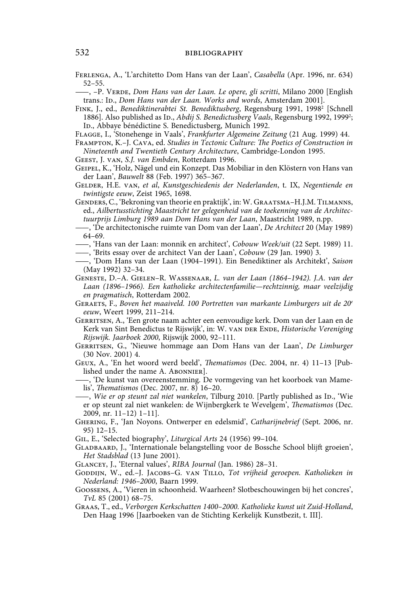Ferlenga, A., 'L'architetto Dom Hans van der Laan', *Casabella* (Apr. 1996, nr. 634) 52–55.

——, –P. Verde, *Dom Hans van der Laan. Le opere, gli scritti*, Milano 2000 [English trans.: Ip., *Dom Hans van der Laan. Works and words*, Amsterdam 2001].

- FINK, J., ed., *Benediktinerabtei St. Benediktusberg*, Regensburg 1991, 1998<sup>2</sup> [Schnell 1886]. Also published as Ip., *Abdij S. Benedictusberg Vaals*, Regensburg 1992, 1999<sup>2</sup>; ID., Abbaye bénédictine S. Benedictusberg, Munich 1992.
- Flagge, I., 'Stonehenge in Vaals', *Frankfurter Algemeine Zeitung* (21 Aug. 1999) 44.
- Frampton, K.–J. Cava, ed. *Studies in Tectonic Culture: The Poetics of Construction in Nineteenth and Twentieth Century Architecture*, Cambridge-London 1995.
- Geest, J. van, *S.J. van Embden*, Rotterdam 1996.
- Geipel, K., 'Holz, Nägel und ein Konzept. Das Mobiliar in den Klöstern von Hans van der Laan', *Bauwelt* 88 (Feb. 1997) 365–367.
- Gelder, H.E. van, *et al*, *Kunstgeschiedenis der Nederlanden*, t. IX, *Negentiende en twintigste eeuw*, Zeist 1965, 1698.
- Genders, C., 'Bekroning van theorie en praktijk', in: W. Graatsma–H.J.M. Tilmanns, ed., *Ailbertusstichting Maastricht ter gelegenheid van de toekenning van de Architectuurprijs Limburg 1989 aan Dom Hans van der Laan*, Maastricht 1989, n.pp.
- ——, 'De architectonische ruimte van Dom van der Laan', *De Architect* 20 (May 1989) 64–69.
- ——, 'Hans van der Laan: monnik en architect', *Cobouw Week/uit* (22 Sept. 1989) 11.
- ——, 'Brits essay over de architect Van der Laan', *Cobouw* (29 Jan. 1990) 3.
- ——, 'Dom Hans van der Laan (1904–1991). Ein Benediktiner als Architekt', *Saison*  (May 1992) 32–34.
- Geneste, D.–A. Gielen–R. Wassenaar, *L. van der Laan (1864–1942). J.A. van der Laan (1896–1966). Een katholieke architectenfamilie—rechtzinnig, maar veelzijdig en pragmatisch*, Rotterdam 2002.
- Geraets, F., *Boven het maaiveld. 100 Portretten van markante Limburgers uit de 20e eeuw*, Weert 1999, 211–214.
- Gerritsen, A., 'Een grote naam achter een eenvoudige kerk. Dom van der Laan en de Kerk van Sint Benedictus te Rijswijk', in: W. van der Ende, *Historische Vereniging Rijswijk. Jaarboek 2000*, Rijswijk 2000, 92–111.
- Gerritsen, G., 'Nieuwe hommage aan Dom Hans van der Laan', *De Limburger* (30 Nov. 2001) 4.
- Geux, A., 'En het woord werd beeld', *Thematismos* (Dec. 2004, nr. 4) 11–13 [Published under the name A. ABONNIER.
- -, 'De kunst van overeenstemming. De vormgeving van het koorboek van Mamelis', *Thematismos* (Dec. 2007, nr. 8) 16–20.
- -, *Wie er op steunt zal niet wankelen*, Tilburg 2010. [Partly published as ID., 'Wie er op steunt zal niet wankelen: de Wijnbergkerk te Wevelgem', *Thematismos* (Dec. 2009, nr. 11–12) 1–11].
- Ghering, F., 'Jan Noyons. Ontwerper en edelsmid', *Catharijnebrief* (Sept. 2006, nr. 95) 12–15.
- Gil, E., 'Selected biography', *Liturgical Arts* 24 (1956) 99–104.
- Gladbaard, J., 'Internationale belangstelling voor de Bossche School blijft groeien', *Het Stadsblad* (13 June 2001).
- Glancey, J., 'Eternal values', *RIBA Journal* (Jan. 1986) 28–31.
- GODDIJN, W., ed.-J. JACOBS-G. VAN TILLO, Tot vrijheid geroepen. Katholieken in *Nederland: 1946–2000*, Baarn 1999.
- Goossens, A., 'Vieren in schoonheid. Waarheen? Slotbeschouwingen bij het concres', *TvL* 85 (2001) 68–75.
- Graas, T., ed., *Verborgen Kerkschatten 1400–2000. Katholieke kunst uit Zuid-Holland*, Den Haag 1996 [Jaarboeken van de Stichting Kerkelijk Kunstbezit, t. III].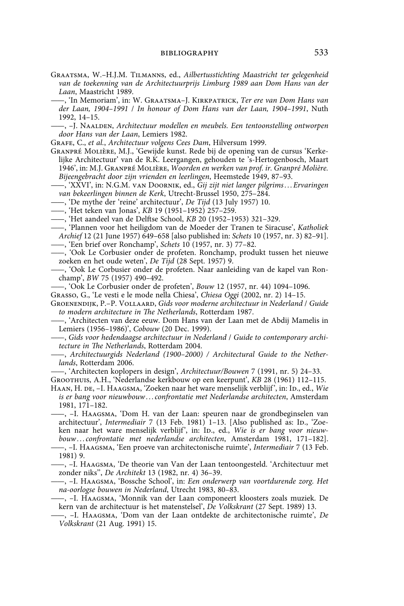- Graatsma, W.–H.J.M. Tilmanns, ed., *Ailbertusstichting Maastricht ter gelegenheid van de toekenning van de Architectuurprijs Limburg 1989 aan Dom Hans van der Laan*, Maastricht 1989.
- ——, 'In Memoriam', in: W. Graatsma–J. Kirkpatrick, *Ter ere van Dom Hans van der Laan, 1904–1991* / *In honour of Dom Hans van der Laan, 1904–1991*, Nuth 1992, 14–15.
- ——, –J. Naalden, *Architectuur modellen en meubels. Een tentoonstelling ontworpen door Hans van der Laan*, Lemiers 1982.
- Grafe, C., *et al.*, *Architectuur volgens Cees Dam*, Hilversum 1999.
- Granpré Molière, M.J., 'Gewijde kunst. Rede bij de opening van de cursus 'Kerkelijke Architectuur' van de R.K. Leergangen, gehouden te 's-Hertogenbosch, Maart 1946', in: M.J. Granpré Molière, *Woorden en werken van prof. ir. Granpré Molière. Bijeengebracht door zijn vrienden en leerlingen*, Heemstede 1949, 87–93.
- ——, 'XXVI', in: N.G.M. van Doornik, ed., *Gij zijt niet langer pilgrims . . . Ervaringen van bekeerlingen binnen de Kerk*, Utrecht-Brussel 1950, 275–284.
- ——, 'De mythe der 'reine' architectuur', *De Tijd* (13 July 1957) 10.
- ——, 'Het teken van Jonas', *KB* 19 (1951–1952) 257–259.
- ——, 'Het aandeel van de Delftse School, *KB* 20 (1952–1953) 321–329.
- ——, 'Plannen voor het heiligdom van de Moeder der Tranen te Siracuse', *Katholiek Archief* 12 (21 June 1957) 649–658 [also published in: *Schets* 10 (1957, nr. 3) 82–91].
- ——, 'Een brief over Ronchamp', *Schets* 10 (1957, nr. 3) 77–82.
- ——, 'Ook Le Corbusier onder de profeten. Ronchamp, produkt tussen het nieuwe zoeken en het oude weten', *De Tijd* (28 Sept. 1957) 9.
- ——, 'Ook Le Corbusier onder de profeten. Naar aanleiding van de kapel van Ronchamp', *BW* 75 (1957) 490–492.
- ——, 'Ook Le Corbusier onder de profeten', *Bouw* 12 (1957, nr. 44) 1094–1096.
- Grasso, G., 'Le vesti e le mode nella Chiesa', *Chiesa Oggi* (2002, nr. 2) 14–15.
- Groenendijk, P.–P. Vollaard, *Gids voor moderne architectuur in Nederland* / *Guide to modern architecture in The Netherlands*, Rotterdam 1987.
- ——, 'Architecten van deze eeuw. Dom Hans van der Laan met de Abdij Mamelis in Lemiers (1956–1986)', *Cobouw* (20 Dec. 1999).
- ——, *Gids voor hedendaagse architectuur in Nederland* / *Guide to contemporary architecture in The Netherlands*, Rotterdam 2004.
- -, *Architectuurgids Nederland* (1900-2000) / Architectural Guide to the Nether*lands*, Rotterdam 2006.
- ——, 'Architecten koplopers in design', *Architectuur/Bouwen* 7 (1991, nr. 5) 24–33.
- Groothuis, A.H., 'Nederlandse kerkbouw op een keerpunt', *KB* 28 (1961) 112–115.
- HAAN, H. DE, -I. HAAGSMA, 'Zoeken naar het ware menselijk verblijf', in: ID., ed., *Wie is er bang voor nieuwbouw . . . confrontatie met Nederlandse architecten*, Amsterdam 1981, 171–182.
- ——, –I. Haagsma, 'Dom H. van der Laan: speuren naar de grondbeginselen van architectuur', *Intermediair* 7 (13 Feb. 1981) 1-13. [Also published as: ID., 'Zoeken naar het ware menselijk verblijf', in: Ip., ed., Wie is er bang voor nieuw*bouw . . . confrontatie met nederlandse architecten*, Amsterdam 1981, 171–182].
- ——, –I. Haagsma, 'Een proeve van architectonische ruimte', *Intermediair* 7 (13 Feb. 1981) 9.
- ——, –I. Haagsma, 'De theorie van Van der Laan tentoongesteld. 'Architectuur met zonder niks'', *De Architekt* 13 (1982, nr. 4) 36–39.
- ——, –I. Haagsma, 'Bossche School', in: *Een onderwerp van voortdurende zorg. Het na-oorlogse bouwen in Nederland*, Utrecht 1983, 80–83.
- ——, –I. Haagsma, 'Monnik van der Laan componeert kloosters zoals muziek. De kern van de architectuur is het matenstelsel', *De Volkskrant* (27 Sept. 1989) 13.
- ——, –I. Haagsma, 'Dom van der Laan ontdekte de architectonische ruimte', *De Volkskrant* (21 Aug. 1991) 15.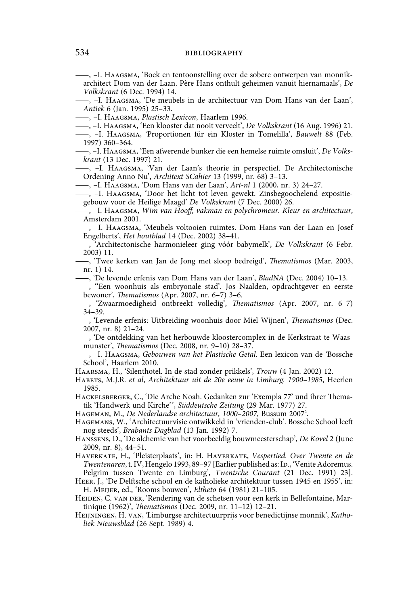## 534 **bibliography bibliography**

——, –I. Haagsma, 'Boek en tentoonstelling over de sobere ontwerpen van monnikarchitect Dom van der Laan. Père Hans onthult geheimen vanuit hiernamaals', *De Volkskrant* (6 Dec. 1994) 14.

——, –I. Haagsma, 'De meubels in de architectuur van Dom Hans van der Laan', *Antiek* 6 (Jan. 1995) 25–33.

——, –I. Haagsma, *Plastisch Lexicon*, Haarlem 1996.

——, –I. Haagsma, 'Een klooster dat nooit verveelt', *De Volkskrant* (16 Aug. 1996) 21.

——, –I. Haagsma, 'Proportionen für ein Kloster in Tomelilla', *Bauwelt* 88 (Feb. 1997) 360–364.

——, –I. Haagsma, 'Een afwerende bunker die een hemelse ruimte omsluit', *De Volkskrant* (13 Dec. 1997) 21.

——, –I. Haagsma, 'Van der Laan's theorie in perspectief. De Architectonische Ordening Anno Nu', *Architext SCahier* 13 (1999, nr. 68) 3–13.

——, –I. Haagsma, 'Dom Hans van der Laan', *Art-nl* 1 (2000, nr. 3) 24–27.

——, –I. Haagsma, 'Door het licht tot leven gewekt. Zinsbegoochelend expositiegebouw voor de Heilige Maagd' *De Volkskrant* (7 Dec. 2000) 26.

——, –I. Haagsma, *Wim van Hooff, vakman en polychromeur. Kleur en architectuur*, Amsterdam 2001.

——, –I. Haagsma, 'Meubels voltooien ruimtes. Dom Hans van der Laan en Josef Engelberts', *Het houtblad* 14 (Dec. 2002) 38–41.

——, 'Architectonische harmonieleer ging vóór babymelk', *De Volkskrant* (6 Febr. 2003) 11.

——, 'Twee kerken van Jan de Jong met sloop bedreigd', *Thematismos* (Mar. 2003, nr. 1) 14.

——, 'De levende erfenis van Dom Hans van der Laan', *BladNA* (Dec. 2004) 10–13.

——, ''Een woonhuis als embryonale stad'. Jos Naalden, opdrachtgever en eerste bewoner', *Thematismos* (Apr. 2007, nr. 6–7) 3–6.

——, 'Zwaarmoedigheid ontbreekt volledig', *Thematismos* (Apr. 2007, nr. 6–7) 34–39.

——, 'Levende erfenis: Uitbreiding woonhuis door Miel Wijnen', *Thematismos* (Dec. 2007, nr. 8) 21–24.

——, 'De ontdekking van het herbouwde kloostercomplex in de Kerkstraat te Waasmunster', *Thematismos* (Dec. 2008, nr. 9–10) 28–37.

——, –I. Haagsma, *Gebouwen van het Plastische Getal*. Een lexicon van de 'Bossche School', Haarlem 2010.

Haarsma, H., 'Silenthotel. In de stad zonder prikkels', *Trouw* (4 Jan. 2002) 12.

Habets, M.J.R. *et al*, *Architektuur uit de 20e eeuw in Limburg. 1900–1985*, Heerlen 1985.

Hackelsberger, C., 'Die Arche Noah. Gedanken zur 'Exempla 77' und ihrer Thematik 'Handwerk und Kirche' ', *Süddeutsche Zeitung* (29 Mar. 1977) 27.

Hageman, M., *De Nederlandse architectuur, 1000–2007*, Bussum 20072 .

Hagemans, W., 'Architectuurvisie ontwikkeld in 'vrienden-club'. Bossche School leeft nog steeds', *Brabants Dagblad* (13 Jan. 1992) 7.

Hanssens, D., 'De alchemie van het voorbeeldig bouwmeesterschap', *De Kovel* 2 (June 2009, nr. 8), 44–51.

Haverkate, H., 'Pleisterplaats', in: H. Haverkate, *Vespertied. Over Twente en de*  Twentenaren, t. IV, Hengelo 1993, 89-97 [Earlier published as: Ip., 'Venite Adoremus. Pelgrim tussen Twente en Limburg', *Twentsche Courant* (21 Dec. 1991) 23].

Heer, J., 'De Delftsche school en de katholieke architektuur tussen 1945 en 1955', in: H. Meijer, ed., 'Rooms bouwen', *Eltheto* 64 (1981) 21–105.

HEIDEN, C. VAN DER, 'Rendering van de schetsen voor een kerk in Bellefontaine, Martinique (1962)', *Thematismos* (Dec. 2009, nr. 11–12) 12–21.

Heijningen, H. van, 'Limburgse architectuurprijs voor benedictijnse monnik', *Katholiek Nieuwsblad* (26 Sept. 1989) 4.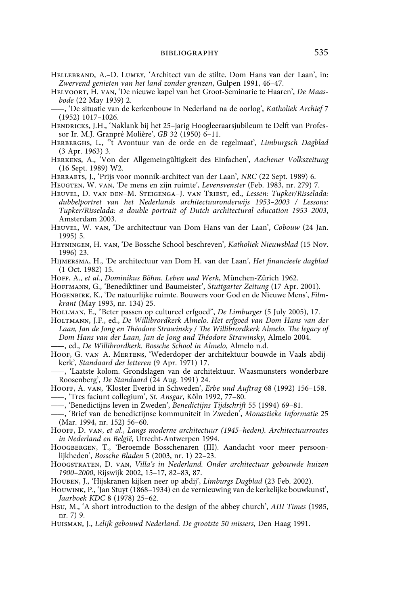- Hellebrand, A.–D. Lumey, 'Architect van de stilte. Dom Hans van der Laan', in: *Zwervend genieten van het land zonder grenzen*, Gulpen 1991, 46–47.
- Helvoort, H. van, 'De nieuwe kapel van het Groot-Seminarie te Haaren', *De Maasbode* (22 May 1939) 2.
- ——, 'De situatie van de kerkenbouw in Nederland na de oorlog', *Katholiek Archief* 7 (1952) 1017–1026.
- HENDRICKS, J.H., 'Naklank bij het 25-jarig Hoogleeraarsjubileum te Delft van Professor Ir. M.J. Granpré Molière', *GB* 32 (1950) 6–11.
- Herberghs, L., ''t Avontuur van de orde en de regelmaat', *Limburgsch Dagblad* (3 Apr. 1963) 3.
- Herkens, A., 'Von der Allgemeingültigkeit des Einfachen', *Aachener Volkszeitung* (16 Sept. 1989) W2.
- Herraets, J., 'Prijs voor monnik-architect van der Laan', *NRC* (22 Sept. 1989) 6.
- Heugten, W. van, 'De mens en zijn ruimte', *Levensvenster* (Feb. 1983, nr. 279) 7.
- Heuvel, D. van den–M. Steigenga–J. van Triest, ed., *Lessen: Tupker/Risselada: dubbelportret van het Nederlands architectuuronderwijs 1953–2003 / Lessons: Tupker/Risselada: a double portrait of Dutch architectural education 1953–2003*, Amsterdam 2003.
- Heuvel, W. van, 'De architectuur van Dom Hans van der Laan', *Cobouw* (24 Jan. 1995) 5.
- Heyningen, H. van, 'De Bossche School beschreven', *Katholiek Nieuwsblad* (15 Nov. 1996) 23.
- Hijmersma, H., 'De architectuur van Dom H. van der Laan', *Het financieele dagblad* (1 Oct. 1982) 15.

Hoff, A., *et al.*, *Dominikus Böhm. Leben und Werk*, München-Zürich 1962.

- Hoffmann, G., 'Benediktiner und Baumeister', *Stuttgarter Zeitung* (17 Apr. 2001).
- Hogenbirk, K., 'De natuurlijke ruimte. Bouwers voor God en de Nieuwe Mens', *Filmkrant* (May 1993, nr. 134) 25.
- Hollman, E., "Beter passen op cultureel erfgoed", *De Limburger* (5 July 2005), 17.
- Holtmann, J.F., ed., *De Willibrordkerk Almelo. Het erfgoed van Dom Hans van der Laan, Jan de Jong en Théodore Strawinsky* / *The Willibrordkerk Almelo. The legacy of Dom Hans van der Laan, Jan de Jong and Théodore Strawinsky*, Almelo 2004. ——, ed., *De Willibrordkerk. Bossche School in Almelo*, Almelo n.d.
- 
- HOOF, G. VAN-A. MERTENS, 'Wederdoper der architektuur bouwde in Vaals abdijkerk', *Standaard der letteren* (9 Apr. 1971) 17.
- ——, 'Laatste kolom. Grondslagen van de architektuur. Waasmunsters wonderbare Roosenberg', *De Standaard* (24 Aug. 1991) 24.
- Hooff, A. van, 'Kloster Everöd in Schweden', *Erbe und Auftrag* 68 (1992) 156–158. ——, 'Tres faciunt collegium', *St. Ansgar*, Köln 1992, 77–80.
- ——, 'Benedictijns leven in Zweden', *Benedictijns Tijdschrift* 55 (1994) 69–81.
- ——, 'Brief van de benedictijnse kommuniteit in Zweden', *Monastieke Informatie* 25 (Mar. 1994, nr. 152) 56–60.
- Hooff, D. van, *et al*., *Langs moderne architectuur (1945–heden). Architectuurroutes in Nederland en België*, Utrecht-Antwerpen 1994.
- Hoogbergen, T., 'Beroemde Bosschenaren (III). Aandacht voor meer persoonlijkheden', *Bossche Bladen* 5 (2003, nr. 1) 22–23.
- Hoogstraten, D. van, *Villa's in Nederland. Onder architectuur gebouwde huizen 1900–2000*, Rijswijk 2002, 15–17, 82–83, 87.
- Houben, J., 'Hijskranen kijken neer op abdij', *Limburgs Dagblad* (23 Feb. 2002).
- Houwink, P., 'Jan Stuyt (1868–1934) en de vernieuwing van de kerkelijke bouwkunst', *Jaarboek KDC* 8 (1978) 25–62.
- Hsu, M., 'A short introduction to the design of the abbey church', *AIII Times* (1985, nr. 7) 9.
- Huisman, J., *Lelijk gebouwd Nederland. De grootste 50 missers*, Den Haag 1991.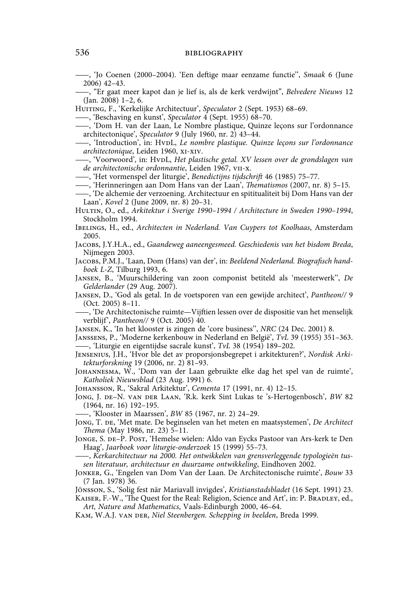——, 'Jo Coenen (2000–2004). 'Een deftige maar eenzame functie'', *Smaak* 6 (June 2006) 42–43.

——, "Er gaat meer kapot dan je lief is, als de kerk verdwijnt", *Belvedere Nieuws* 12 (Jan. 2008) 1–2, 6.

Huiting, F., 'Kerkelijke Architectuur', *Speculator* 2 (Sept. 1953) 68–69.

——, 'Beschaving en kunst', *Speculator* 4 (Sept. 1955) 68–70.

——, 'Dom H. van der Laan, Le Nombre plastique, Quinze leçons sur l'ordonnance architectonique', *Speculator* 9 (July 1960, nr. 2) 43–44.

——, 'Introduction', in: HvdL, *Le nombre plastique. Quinze leçons sur l'ordonnance architectonique*, Leiden 1960, xi-xiv.

 $-$ , 'Voorwoord', in: HvpL, *Het plastische getal. XV lessen over de grondslagen van de architectonische ordonnantie*, Leiden 1967, vii-x.

——, 'Het vormenspel der liturgie', *Benedictijns tijdschrift* 46 (1985) 75–77.

——, 'Herinneringen aan Dom Hans van der Laan', *Thematismos* (2007, nr. 8) 5–15. ——, 'De alchemie der verzoening. Architectuur en spititualiteit bij Dom Hans van der

Laan', *Kovel* 2 (June 2009, nr. 8) 20–31. Hultin, O., ed., *Arkitektur i Sverige 1990–1994 / Architecture in Sweden 1990–1994*,

Stockholm 1994. Ibelings, H., ed., *Architecten in Nederland. Van Cuypers tot Koolhaas*, Amsterdam 2005.

Jacobs, J.Y.H.A., ed., *Gaandeweg aaneengesmeed. Geschiedenis van het bisdom Breda*, Nijmegen 2003.

Jacobs, P.M.J., 'Laan, Dom (Hans) van der', in: *Beeldend Nederland. Biografisch handboek L-Z*, Tilburg 1993, 6.

Jansen, B., 'Muurschildering van zoon componist betiteld als 'meesterwerk'', *De Gelderlander* (29 Aug. 2007).

Jansen, D., 'God als getal. In de voetsporen van een gewijde architect', *Pantheon//* 9 (Oct. 2005) 8–11.

——, 'De Architectonische ruimte—Vijftien lessen over de dispositie van het menselijk verblijf', *Pantheon//* 9 (Oct. 2005) 40.

Jansen, K., 'In het klooster is zingen de 'core business'', *NRC* (24 Dec. 2001) 8.

Janssens, P., 'Moderne kerkenbouw in Nederland en België', *TvL* 39 (1955) 351–363. ——, 'Liturgie en eigentijdse sacrale kunst', *TvL* 38 (1954) 189–202.

Jensenius, J.H., 'Hvor ble det av proporsjonsbegrepet i arkitekturen?', *Nordisk Arkitekturforskning* 19 (2006, nr. 2) 81–93.

Johannesma, W., 'Dom van der Laan gebruikte elke dag het spel van de ruimte', *Katholiek Nieuwsblad* (23 Aug. 1991) 6.

Johansson, R., 'Sakral Arkitektur', *Cementa* 17 (1991, nr. 4) 12–15.

Jong, J. de–N. van der Laan, 'R.k. kerk Sint Lukas te 's-Hertogenbosch', *BW* 82 (1964, nr. 16) 192–195.

——, 'Klooster in Maarssen', *BW* 85 (1967, nr. 2) 24–29.

Jong, T. de, 'Met mate. De beginselen van het meten en maatsystemen', *De Architect Thema* (May 1986, nr. 23) 5–11.

Jonge, S. de–P. Post, 'Hemelse wielen: Aldo van Eycks Pastoor van Ars-kerk te Den Haag', *Jaarboek voor liturgie-onderzoek* 15 (1999) 55–73.

——, *Kerkarchitectuur na 2000. Het ontwikkelen van grensverleggende typologieën tussen literatuur, architectuur en duurzame ontwikkeling*, Eindhoven 2002.

Jonker, G., 'Engelen van Dom Van der Laan. De Architectonische ruimte', *Bouw* 33 (7 Jan. 1978) 36.

Jönsson, S., 'Solig fest när Mariavall invigdes', *Kristianstadsbladet* (16 Sept. 1991) 23.

KAISER, F.-W., 'The Quest for the Real: Religion, Science and Art', in: P. BRADLEY, ed., *Art, Nature and Mathematics*, Vaals-Edinburgh 2000, 46–64.

Kam, W.A.J. van der, *Niel Steenbergen. Schepping in beelden*, Breda 1999.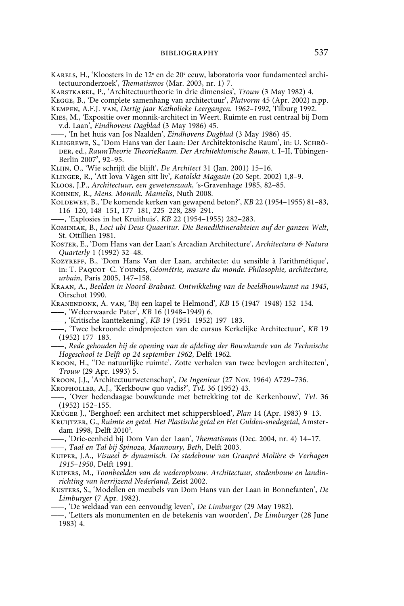- Karels, H., 'Kloosters in de 12° en de 20° eeuw, laboratoria voor fundamenteel architectuuronderzoek', *Thematismos* (Mar. 2003, nr. 1) 7.
- Karstkarel, P., 'Architectuurtheorie in drie dimensies', *Trouw* (3 May 1982) 4.
- Kegge, B., 'De complete samenhang van architectuur', *Platvorm* 45 (Apr. 2002) n.pp.
- Kempen, A.F.J. van, *Dertig jaar Katholieke Leergangen. 1962–1992*, Tilburg 1992.
- Kies, M., 'Expositie over monnik-architect in Weert. Ruimte en rust centraal bij Dom v.d. Laan', *Eindhovens Dagblad* (3 May 1986) 45.
- ——, 'In het huis van Jos Naalden', *Eindhovens Dagblad* (3 May 1986) 45.
- Kleigrewe, S., 'Dom Hans van der Laan: Der Architektonische Raum', in: U. Schröder, ed., *RaumTheorie TheorieRaum. Der Architektonische Raum*, t. I–II, Tübingen-Berlin 2007<sup>2</sup>, 92-95.
- Klijn, O., 'Wie schrijft die blijft', *De Architect* 31 (Jan. 2001) 15–16.
- Klinger, R., 'Att lova Vägen sitt liv', *Katolskt Magasin* (20 Sept. 2002) 1,8–9.
- Kloos, J.P., *Architectuur, een gewetenszaak*, 's-Gravenhage 1985, 82–85.
- Kohnen, R., *Mens. Monnik. Mamelis*, Nuth 2008.
- KOLDEWEY, B., 'De komende kerken van gewapend beton?', *KB* 22 (1954-1955) 81-83, 116–120, 148–151, 177–181, 225–228, 289–291.

——, 'Explosies in het Kruithuis', *KB* 22 (1954–1955) 282–283.

- Kominiak, B., *Loci ubi Deus Quaeritur. Die Benediktinerabteien auf der ganzen Welt*, St. Ottillien 1981.
- Koster, E., 'Dom Hans van der Laan's Arcadian Architecture', *Architectura & Natura Quarterly* 1 (1992) 32–48.
- KOZYREFF, B., 'Dom Hans Van der Laan, architecte: du sensible à l'arithmétique', in: T. Paquot–C. Younès, *Géométrie, mesure du monde. Philosophie, architecture, urbain*, Paris 2005, 147–158.
- Kraan, A., *Beelden in Noord-Brabant. Ontwikkeling van de beeldhouwkunst na 1945*, Oirschot 1990.

Kranendonk, A. van, 'Bij een kapel te Helmond', *KB* 15 (1947–1948) 152–154. ——, 'Weleerwaarde Pater', *KB* 16 (1948–1949) 6.

- ——, 'Kritische kanttekening', *KB* 19 (1951–1952) 197–183.
- ——, 'Twee bekroonde eindprojecten van de cursus Kerkelijke Architectuur', *KB* 19 (1952) 177–183.
- ——, *Rede gehouden bij de opening van de afdeling der Bouwkunde van de Technische Hogeschool te Delft op 24 september 1962*, Delft 1962.
- Kroon, H., ''De natuurlijke ruimte'. Zotte verhalen van twee bevlogen architecten', *Trouw* (29 Apr. 1993) 5.
- Kroon, J.J., 'Architectuurwetenschap', *De Ingenieur* (27 Nov. 1964) A729–736.

Kropholler, A.J., 'Kerkbouw quo vadis?', *TvL* 36 (1952) 43.

- ——, 'Over hedendaagse bouwkunde met betrekking tot de Kerkenbouw', *TvL* 36 (1952) 152–155.
- Krüger J., 'Berghoef: een architect met schippersbloed', *Plan* 14 (Apr. 1983) 9–13.
- Kruijtzer, G., *Ruimte en getal. Het Plastische getal en Het Gulden-snedegetal*, Amsterdam 1998, Delft 2010<sup>2</sup>.
- ——, 'Drie-eenheid bij Dom Van der Laan', *Thematismos* (Dec. 2004, nr. 4) 14–17.

——, *Taal en Tal bij Spinoza, Mannoury, Beth*, Delft 2003.

- Kuiper, J.A., *Visueel & dynamisch. De stedebouw van Granpré Molière & Verhagen 1915–1950*, Delft 1991.
- Kuipers, M., *Toonbeelden van de wederopbouw. Architectuur, stedenbouw en landinrichting van herrijzend Nederland*, Zeist 2002.
- Kusters, S., 'Modellen en meubels van Dom Hans van der Laan in Bonnefanten', *De Limburger* (7 Apr. 1982).
- ——, 'De weldaad van een eenvoudig leven', *De Limburger* (29 May 1982).
- ——, 'Letters als monumenten en de betekenis van woorden', *De Limburger* (28 June 1983) 4.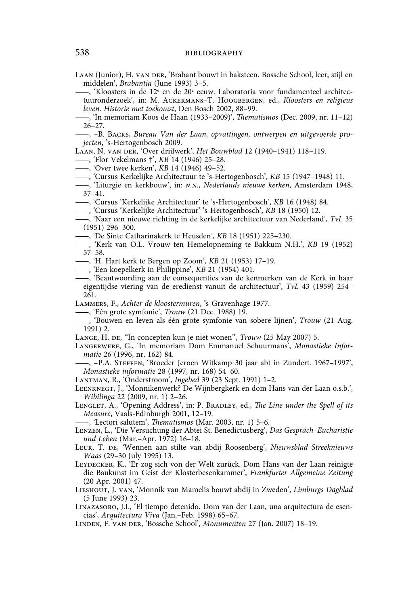LAAN (Junior), H. VAN DER, 'Brabant bouwt in baksteen. Bossche School, leer, stijl en middelen', *Brabantia* (June 1993) 3–5.

——, 'Kloosters in de 12<sup>e</sup> en de 20<sup>e</sup> eeuw. Laboratoria voor fundamenteel architectuuronderzoek', in: M. Ackermans–T. Hoogbergen, ed., *Kloosters en religieus leven. Historie met toekomst*, Den Bosch 2002, 88–99.

——, 'In memoriam Koos de Haan (1933–2009)', *Thematismos* (Dec. 2009, nr. 11–12) 26–27.

——, –B. Backs, *Bureau Van der Laan, opvattingen, ontwerpen en uitgevoerde projecten*, 's-Hertogenbosch 2009.

Laan, N. van der, 'Over drijfwerk', *Het Bouwblad* 12 (1940–1941) 118–119.

- ——, 'Flor Vekelmans †', *KB* 14 (1946) 25–28.
- ——, 'Over twee kerken', *KB* 14 (1946) 49–52.
- ——, 'Cursus Kerkelijke Architectuur te 's-Hertogenbosch', *KB* 15 (1947–1948) 11.

——, 'Liturgie en kerkbouw', in: *n.n.*, *Nederlands nieuwe kerken*, Amsterdam 1948, 37–41.

——, 'Cursus 'Kerkelijke Architectuur' te 's-Hertogenbosch', *KB* 16 (1948) 84.

——, 'Cursus 'Kerkelijke Architectuur' 's-Hertogenbosch', *KB* 18 (1950) 12.

- ——, 'Naar een nieuwe richting in de kerkelijke architectuur van Nederland', *TvL* 35 (1951) 296–300.
- ——, 'De Sinte Catharinakerk te Heusden', *KB* 18 (1951) 225–230.
- ——, 'Kerk van O.L. Vrouw ten Hemelopneming te Bakkum N.H.', *KB* 19 (1952) 57–58.
- ——, 'H. Hart kerk te Bergen op Zoom', *KB* 21 (1953) 17–19.
- ——, 'Een koepelkerk in Philippine', *KB* 21 (1954) 401.
- ——, 'Beantwoording aan de consequenties van de kenmerken van de Kerk in haar eigentijdse viering van de eredienst vanuit de architectuur', *TvL* 43 (1959) 254– 261.
- Lammers, F., *Achter de kloostermuren*, 's-Gravenhage 1977.
- ——, 'Eén grote symfonie', *Trouw* (21 Dec. 1988) 19.
- ——, 'Bouwen en leven als één grote symfonie van sobere lijnen', *Trouw* (21 Aug. 1991) 2.
- Lange, H. de, ''In concepten kun je niet wonen'', *Trouw* (25 May 2007) 5.
- LANGERWERF, G., 'In memoriam Dom Emmanuel Schuurmans', Monastieke Infor*matie* 26 (1996, nr. 162) 84.
	- ——, –P.A. Steffen, 'Broeder Jeroen Witkamp 30 jaar abt in Zundert. 1967–1997', *Monastieke informatie* 28 (1997, nr. 168) 54–60.
- Lantman, R., 'Onderstroom', *Ingebed* 39 (23 Sept. 1991) 1–2.
- Leenknegt, J., 'Monnikenwerk? De Wijnbergkerk en dom Hans van der Laan o.s.b.', *Wibilinga* 22 (2009, nr. 1) 2–26.
- LENGLET, A., 'Opening Address', in: P. BRADLEY, ed., *The Line under the Spell of its Measure*, Vaals-Edinburgh 2001, 12–19.

——, 'Lectori salutem', *Thematismos* (Mar. 2003, nr. 1) 5–6.

- Lenzen, L., 'Die Versuchung der Abtei St. Benedictusberg', *Das Gespräch–Eucharistie und Leben* (Mar.–Apr. 1972) 16–18.
- Leur, T. de, 'Wennen aan stilte van abdij Roosenberg', *Nieuwsblad Streeknieuws Waas* (29–30 July 1995) 13.
- LEYDECKER, K., 'Er zog sich von der Welt zurück. Dom Hans van der Laan reinigte die Baukunst im Geist der Klosterbesenkammer', *Frankfurter Allgemeine Zeitung* (20 Apr. 2001) 47.
- Lieshout, J. van, 'Monnik van Mamelis bouwt abdij in Zweden', *Limburgs Dagblad* (5 June 1993) 23.
- Linazasoro, J.I., 'El tiempo detenido. Dom van der Laan, una arquitectura de esencias', *Arquitectura Viva* (Jan.–Feb. 1998) 65–67.

Linden, F. van der, 'Bossche School', *Monumenten* 27 (Jan. 2007) 18–19.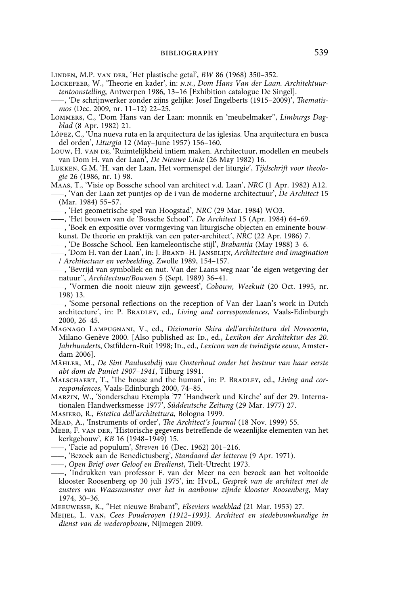Linden, M.P. van der, 'Het plastische getal', *BW* 86 (1968) 350–352.

- Lockefeer, W., 'Theorie en kader', in: *n.n.*, *Dom Hans Van der Laan. Architektuurtentoonstelling*, Antwerpen 1986, 13–16 [Exhibition catalogue De Singel].
- ——, 'De schrijnwerker zonder zijns gelijke: Josef Engelberts (1915–2009)', *Thematismos* (Dec. 2009, nr. 11–12) 22–25.
- Lommers, C., 'Dom Hans van der Laan: monnik en 'meubelmaker'', *Limburgs Dagblad* (8 Apr. 1982) 21.
- López, C., 'Una nueva ruta en la arquitectura de las iglesias. Una arquitectura en busca del orden', *Liturgia* 12 (May–June 1957) 156–160.
- Louw, H. van de, 'Ruimtelijkheid intiem maken. Architectuur, modellen en meubels van Dom H. van der Laan', *De Nieuwe Linie* (26 May 1982) 16.
- Lukken, G.M, 'H. van der Laan, Het vormenspel der liturgie', *Tijdschrift voor theologie* 26 (1986, nr. 1) 98.
- Maas, T., 'Visie op Bossche school van architect v.d. Laan', *NRC* (1 Apr. 1982) A12.
- ——, 'Van der Laan zet puntjes op de i van de moderne architectuur', *De Architect* 15 (Mar. 1984) 55–57.
- ——, 'Het geometrische spel van Hoogstad', *NRC* (29 Mar. 1984) WO3.
- ——, 'Het bouwen van de 'Bossche School'', *De Architect* 15 (Apr. 1984) 64–69.
- ——, 'Boek en expositie over vormgeving van liturgische objecten en eminente bouwkunst. De theorie en praktijk van een pater-architect', *NRC* (22 Apr. 1986) 7.
- ——, 'De Bossche School. Een kameleontische stijl', *Brabantia* (May 1988) 3–6.
- ——, 'Dom H. van der Laan', in: J. Brand–H. Janselijn, *Architecture and imagination* / *Architectuur en verbeelding*, Zwolle 1989, 154–157.
- ——, 'Bevrijd van symboliek en nut. Van der Laans weg naar 'de eigen wetgeving der natuur'', *Architectuur/Bouwen* 5 (Sept. 1989) 36–41.
- ——, 'Vormen die nooit nieuw zijn geweest', *Cobouw, Weekuit* (20 Oct. 1995, nr. 198) 13.
- ——, 'Some personal reflections on the reception of Van der Laan's work in Dutch architecture', in: P. BRADLEY, ed., *Living and correspondences*, Vaals-Edinburgh 2000, 26–45.
- Magnago Lampugnani, V., ed., *Dizionario Skira dell'architettura del Novecento*, Milano-Genève 2000. [Also published as: Id., ed., *Lexikon der Architektur des 20.*  Jahrhunderts, Ostfildern-Ruit 1998; Ip., ed., *Lexicon van de twintigste eeuw*, Amsterdam 2006].
- Mähler, M., *De Sint Paulusabdij van Oosterhout onder het bestuur van haar eerste abt dom de Puniet 1907–1941*, Tilburg 1991.
- MALSCHAERT, T., 'The house and the human', in: P. BRADLEY, ed., *Living and correspondences*, Vaals-Edinburgh 2000, 74–85.
- Marzin, W., 'Sonderschau Exempla '77 'Handwerk und Kirche' auf der 29. Internationalen Handwerksmesse 1977', *Süddeutsche Zeitung* (29 Mar. 1977) 27.
- Masiero, R., *Estetica dell'architettura*, Bologna 1999.
- Mead, A., 'Instruments of order', *The Architect's Journal* (18 Nov. 1999) 55.
- Meer, F. van der, 'Historische gegevens betreffende de wezenlijke elementen van het kerkgebouw', *KB* 16 (1948–1949) 15.
- ——, 'Facie ad populum', *Streven* 16 (Dec. 1962) 201–216.
- ——, 'Bezoek aan de Benedictusberg', *Standaard der letteren* (9 Apr. 1971).
- ——, *Open Brief over Geloof en Eredienst*, Tielt-Utrecht 1973.
- ——, 'Indrukken van professor F. van der Meer na een bezoek aan het voltooide klooster Roosenberg op 30 juli 1975', in: HvpL, *Gesprek van de architect met de zusters van Waasmunster over het in aanbouw zijnde klooster Roosenberg*, May 1974, 30–36.
- Meeuwesse, K., "Het nieuwe Brabant", *Elseviers weekblad* (21 Mar. 1953) 27.
- Meijel, L. van, *Cees Pouderoyen (1912–1993). Architect en stedebouwkundige in dienst van de wederopbouw*, Nijmegen 2009.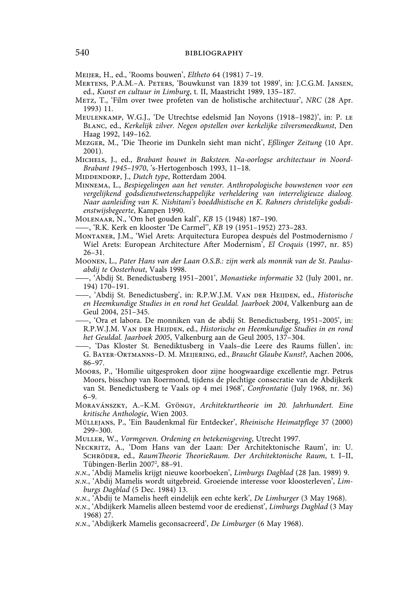Meijer, H., ed., 'Rooms bouwen', *Eltheto* 64 (1981) 7–19.

- Mertens, P.A.M.–A. Peters, 'Bouwkunst van 1839 tot 1989', in: J.C.G.M. Jansen, ed., *Kunst en cultuur in Limburg*, t. II, Maastricht 1989, 135–187.
- Metz, T., 'Film over twee profeten van de holistische architectuur', *NRC* (28 Apr. 1993) 11.
- Meulenkamp, W.G.J., 'De Utrechtse edelsmid Jan Noyons (1918–1982)', in: P. le Blanc, ed., *Kerkelijk zilver. Negen opstellen over kerkelijke zilversmeedkunst*, Den Haag 1992, 149–162.
- Mezger, M., 'Die Theorie im Dunkeln sieht man nicht', *Eßlinger Zeitung* (10 Apr. 2001).
- Michels, J., ed., *Brabant bouwt in Baksteen. Na-oorlogse architectuur in Noord-Brabant 1945–1970*, 's-Hertogenbosch 1993, 11–18.
- MIDDENDORP, J., *Dutch type*, Rotterdam 2004.
- Minnema, L., *Bespiegelingen aan het venster. Anthropologische bouwstenen voor een vergelijkend godsdienstwetenschappelijke verheldering van interreligieuze dialoog. Naar aanleiding van K. Nishitani's boeddhistische en K. Rahners christelijke godsdienstwijsbegeerte*, Kampen 1990.
- Molenaar, N., 'Om het gouden kalf', *KB* 15 (1948) 187–190.
- ——, 'R.K. Kerk en klooster 'De Carmel'', *KB* 19 (1951–1952) 273–283.
- Montaner, J.M., 'Wiel Arets: Arquitectura Europea después del Postmodernismo / Wiel Arets: European Architecture After Modernism', *El Croquis* (1997, nr. 85) 26–31.
- Moonen, L., *Pater Hans van der Laan O.S.B.: zijn werk als monnik van de St. Paulusabdij te Oosterhout*, Vaals 1998.
- ——, 'Abdij St. Benedictusberg 1951–2001', *Monastieke informatie* 32 (July 2001, nr. 194) 170–191.
- ——, 'Abdij St. Benedictusberg', in: R.P.W.J.M. Van der Heijden, ed., *Historische en Heemkundige Studies in en rond het Geuldal. Jaarboek 2004*, Valkenburg aan de Geul 2004, 251–345.
- ——, 'Ora et labora. De monniken van de abdij St. Benedictusberg, 1951–2005', in: R.P.W.J.M. Van der Heijden, ed., *Historische en Heemkundige Studies in en rond het Geuldal. Jaarboek 2005*, Valkenburg aan de Geul 2005, 137–304.
- ——, 'Das Kloster St. Benediktusberg in Vaals–die Leere des Raums füllen', in: G. Bayer-Ortmanns–D. M. Meijering, ed., *Braucht Glaube Kunst?*, Aachen 2006, 86–97.
- Moors, P., 'Homilie uitgesproken door zijne hoogwaardige excellentie mgr. Petrus Moors, bisschop van Roermond, tijdens de plechtige consecratie van de Abdijkerk van St. Benedictusberg te Vaals op 4 mei 1968', *Confrontatie* (July 1968, nr. 36) 6–9.
- Moravánszky, A.–K.M. Gyöngy, *Architekturtheorie im 20. Jahrhundert. Eine kritische Anthologie*, Wien 2003.
- Müllejans, P., 'Ein Baudenkmal für Entdecker', *Rheinische Heimatpflege* 37 (2000) 299–300.
- Muller, W., *Vormgeven. Ordening en betekenisgeving*, Utrecht 1997.
- Neckritz, A., 'Dom Hans van der Laan: Der Architektonische Raum', in: U. Schröder, ed., *RaumTheorie TheorieRaum. Der Architektonische Raum*, t. I–II, Tübingen-Berlin 2007<sup>2</sup>, 88–91.
- *n.n.*, 'Abdij Mamelis krijgt nieuwe koorboeken', *Limburgs Dagblad* (28 Jan. 1989) 9.
- *n.n.*, 'Abdij Mamelis wordt uitgebreid. Groeiende interesse voor kloosterleven', *Limburgs Dagblad* (5 Dec. 1984) 13.
- *n.n.*, 'Abdij te Mamelis heeft eindelijk een echte kerk', *De Limburger* (3 May 1968).
- *n.n.*, 'Abdijkerk Mamelis alleen bestemd voor de eredienst', *Limburgs Dagblad* (3 May 1968) 27.
- *n.n.*, 'Abdijkerk Mamelis geconsacreerd', *De Limburger* (6 May 1968).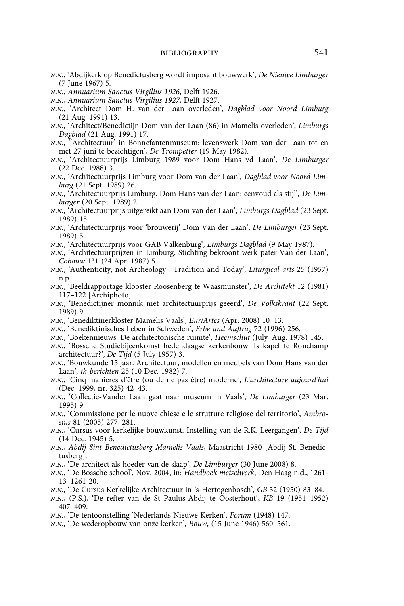- *n.n.*, 'Abdijkerk op Benedictusberg wordt imposant bouwwerk', *De Nieuwe Limburger* (7 June 1967) 5.
- *n.n.*, *Annuarium Sanctus Virgilius 1926*, Delft 1926.
- *n.n.*, *Annuarium Sanctus Virgilius 1927*, Delft 1927.
- *n.n.*, 'Architect Dom H. van der Laan overleden', *Dagblad voor Noord Limburg* (21 Aug. 1991) 13.
- *n.n.*, 'Architect/Benedictijn Dom van der Laan (86) in Mamelis overleden', *Limburgs Dagblad* (21 Aug. 1991) 17.
- *n.n.*, ''Architectuur' in Bonnefantenmuseum: levenswerk Dom van der Laan tot en met 27 juni te bezichtigen', *De Trompetter* (19 May 1982).
- *n.n.*, 'Architectuurprijs Limburg 1989 voor Dom Hans vd Laan', *De Limburger* (22 Dec. 1988) 3.
- *n.n.*, 'Architectuurprijs Limburg voor Dom van der Laan', *Dagblad voor Noord Limburg* (21 Sept. 1989) 26.
- *n.n.*, 'Architectuurprijs Limburg. Dom Hans van der Laan: eenvoud als stijl', *De Limburger* (20 Sept. 1989) 2.
- *n.n.*, 'Architectuurprijs uitgereikt aan Dom van der Laan', *Limburgs Dagblad* (23 Sept. 1989) 15.
- *n.n.*, 'Architectuurprijs voor 'brouwerij' Dom Van der Laan', *De Limburger* (23 Sept. 1989) 5.
- *n.n.*, 'Architectuurprijs voor GAB Valkenburg', *Limburgs Dagblad* (9 May 1987).
- *n.n.*, 'Architectuurprijzen in Limburg. Stichting bekroont werk pater Van der Laan', *Cobouw* 131 (24 Apr. 1987) 5.
- *n.n.*, 'Authenticity, not Archeology—Tradition and Today', *Liturgical arts* 25 (1957) n.p.
- *n.n.*, 'Beeldrapportage klooster Roosenberg te Waasmunster', *De Architekt* 12 (1981) 117–122 [Archiphoto].
- *n.n.*, 'Benedictijner monnik met architectuurprijs geëerd', *De Volkskrant* (22 Sept. 1989) 9.
- *n.n.*, 'Benediktinerkloster Mamelis Vaals', *EuriArtes* (Apr. 2008) 10–13.
- *n.n.*, 'Benediktinisches Leben in Schweden', *Erbe und Auftrag* 72 (1996) 256.
- *n.n.*, 'Boekennieuws. De architectonische ruimte', *Heemschut* (July–Aug. 1978) 145.
- *n.n.*, 'Bossche Studiebijeenkomst hedendaagse kerkenbouw. Is kapel te Ronchamp architectuur?', *De Tijd* (5 July 1957) 3.
- *n.n.*, 'Bouwkunde 15 jaar. Architectuur, modellen en meubels van Dom Hans van der Laan', *th-berichten* 25 (10 Dec. 1982) 7.
- *n.n.*, 'Cinq manières d'être (ou de ne pas être) moderne', *L'architecture aujourd'hui* (Dec. 1999, nr. 325) 42–43.
- *n.n.*, 'Collectie-Vander Laan gaat naar museum in Vaals', *De Limburger* (23 Mar. 1995) 9.
- *n.n.*, 'Commissione per le nuove chiese e le strutture religiose del territorio', *Ambrosius* 81 (2005) 277–281.
- *n.n.*, 'Cursus voor kerkelijke bouwkunst. Instelling van de R.K. Leergangen', *De Tijd* (14 Dec. 1945) 5.
- *n.n.*, *Abdij Sint Benedictusberg Mamelis Vaals*, Maastricht 1980 [Abdij St. Benedictusberg].
- *n.n.*, 'De architect als hoeder van de slaap', *De Limburger* (30 June 2008) 8.
- *n.n.*, 'De Bossche school', Nov. 2004, in: *Handboek metselwerk*, Den Haag n.d., 1261- 13–1261-20.
- *n.n.*, 'De Cursus Kerkelijke Architectuur in 's-Hertogenbosch', *GB* 32 (1950) 83–84.
- *n.n.*, (P.S.), 'De refter van de St Paulus-Abdij te Oosterhout', *KB* 19 (1951–1952) 407–409.
- *n.n.*, 'De tentoonstelling 'Nederlands Nieuwe Kerken', *Forum* (1948) 147.
- *n.n.*, 'De wederopbouw van onze kerken', *Bouw*, (15 June 1946) 560–561.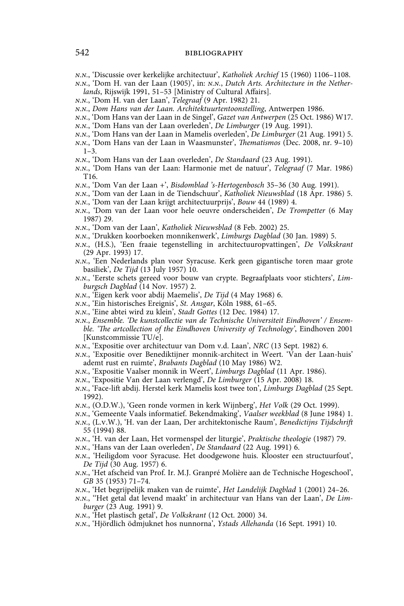*n.n.*, 'Discussie over kerkelijke architectuur', *Katholiek Archief* 15 (1960) 1106–1108.

*n.n.*, 'Dom H. van der Laan (1905)', in: *n.n.*, *Dutch Arts. Architecture in the Netherlands*, Rijswijk 1991, 51–53 [Ministry of Cultural Affairs].

- *n.n.*, 'Dom H. van der Laan', *Telegraaf* (9 Apr. 1982) 21.
- *n.n.*, *Dom Hans van der Laan. Architektuurtentoonstelling*, Antwerpen 1986.
- *n.n.*, 'Dom Hans van der Laan in de Singel', *Gazet van Antwerpen* (25 Oct. 1986) W17.
- *n.n.*, 'Dom Hans van der Laan overleden', *De Limburger* (19 Aug. 1991).
- *n.n.*, 'Dom Hans van der Laan in Mamelis overleden', *De Limburger* (21 Aug. 1991) 5.
- *n.n.*, 'Dom Hans van der Laan in Waasmunster', *Thematismos* (Dec. 2008, nr. 9–10)  $1 - 3$ .
- *n.n.*, 'Dom Hans van der Laan overleden', *De Standaard* (23 Aug. 1991).
- *n.n.*, 'Dom Hans van der Laan: Harmonie met de natuur', *Telegraaf* (7 Mar. 1986) T16.
- *n.n.*, 'Dom Van der Laan +', *Bisdomblad 's-Hertogenbosch* 35–36 (30 Aug. 1991).
- *n.n.*, 'Dom van der Laan in de Tiendschuur', *Katholiek Nieuwsblad* (18 Apr. 1986) 5.
- *n.n.*, 'Dom van der Laan krijgt architectuurprijs', *Bouw* 44 (1989) 4.
- *n.n.*, 'Dom van der Laan voor hele oeuvre onderscheiden', *De Trompetter* (6 May 1987) 29.
- *n.n.*, 'Dom van der Laan', *Katholiek Nieuwsblad* (8 Feb. 2002) 25.
- *n.n.*, 'Drukken koorboeken monnikenwerk', *Limburgs Dagblad* (30 Jan. 1989) 5.
- *n.n.*, (H.S.), 'Een fraaie tegenstelling in architectuuropvattingen', *De Volkskrant* (29 Apr. 1993) 17.
- *n.n.*, 'Een Nederlands plan voor Syracuse. Kerk geen gigantische toren maar grote basiliek', *De Tijd* (13 July 1957) 10.
- *n.n.*, 'Eerste schets gereed voor bouw van crypte. Begraafplaats voor stichters', *Limburgsch Dagblad* (14 Nov. 1957) 2.
- *n.n.*, 'Eigen kerk voor abdij Maemelis', *De Tijd* (4 May 1968) 6.
- *n.n.*, 'Ein historisches Ereignis', *St. Ansgar*, Köln 1988, 61–65.
- *n.n.*, 'Eine abtei wird zu klein', *Stadt Gottes* (12 Dec. 1984) 17.
- *n.n.*, *Ensemble. 'De kunstcollectie van de Technische Universiteit Eindhoven' / Ensemble. 'The artcollection of the Eindhoven University of Technology'*, Eindhoven 2001 [Kunstcommissie TU/e].
- *n.n.*, 'Expositie over architectuur van Dom v.d. Laan', *NRC* (13 Sept. 1982) 6.
- *n.n.*, 'Expositie over Benediktijner monnik-architect in Weert. 'Van der Laan-huis' ademt rust en ruimte', *Brabants Dagblad* (10 May 1986) W2.
- *n.n.*, 'Expositie Vaalser monnik in Weert', *Limburgs Dagblad* (11 Apr. 1986).
- *n.n.*, 'Expositie Van der Laan verlengd', *De Limburger* (15 Apr. 2008) 18.
- *n.n.*, 'Face-lift abdij. Herstel kerk Mamelis kost twee ton', *Limburgs Dagblad* (25 Sept. 1992).
- *n.n.*, (O.D.W.), 'Geen ronde vormen in kerk Wijnberg', *Het Volk* (29 Oct. 1999).
- *n.n.*, 'Gemeente Vaals informatief. Bekendmaking', *Vaalser weekblad* (8 June 1984) 1.
- *n.n.*, (L.v.W.), 'H. van der Laan, Der architektonische Raum', *Benedictijns Tijdschrift*  55 (1994) 88.
- *n.n.*, 'H. van der Laan, Het vormenspel der liturgie', *Praktische theologie* (1987) 79.
- *n.n.*, 'Hans van der Laan overleden', *De Standaard* (22 Aug. 1991) 6.
- *n.n.*, 'Heiligdom voor Syracuse. Het doodgewone huis. Klooster een structuurfout', *De Tijd* (30 Aug. 1957) 6.
- *n.n.*, 'Het afscheid van Prof. Ir. M.J. Granpré Molière aan de Technische Hogeschool', *GB* 35 (1953) 71–74.
- *n.n.*, 'Het begrijpelijk maken van de ruimte', *Het Landelijk Dagblad* 1 (2001) 24–26.
- *n.n.*, ''Het getal dat levend maakt' in architectuur van Hans van der Laan', *De Limburger* (23 Aug. 1991) 9.
- *n.n.*, 'Het plastisch getal', *De Volkskrant* (12 Oct. 2000) 34.
- *n.n.*, 'Hjördlich ödmjuknet hos nunnorna', *Ystads Allehanda* (16 Sept. 1991) 10.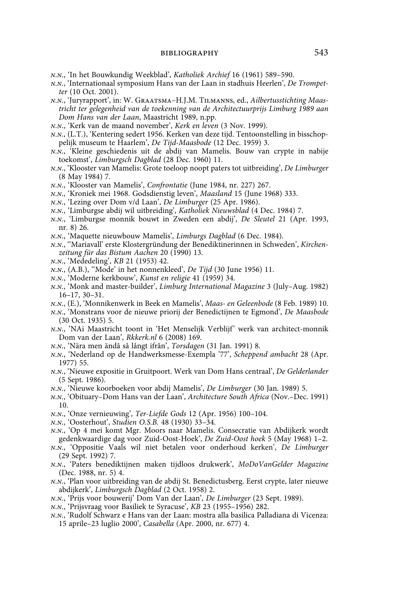- *n.n.*, 'In het Bouwkundig Weekblad', *Katholiek Archief* 16 (1961) 589–590.
- *n.n.*, 'Internationaal symposium Hans van der Laan in stadhuis Heerlen', *De Trompetter* (10 Oct. 2001).
- *n.n.*, 'Juryrapport', in: W. Graatsma–H.J.M. Tilmanns, ed., *Ailbertusstichting Maastricht ter gelegenheid van de toekenning van de Architectuurprijs Limburg 1989 aan Dom Hans van der Laan*, Maastricht 1989, n.pp.
- *n.n.*, 'Kerk van de maand november', *Kerk en leven* (3 Nov. 1999).
- *n.n.*, (L.T.), 'Kentering sedert 1956. Kerken van deze tijd. Tentoonstelling in bisschoppelijk museum te Haarlem', *De Tijd-Maasbode* (12 Dec. 1959) 3.
- *n.n.*, 'Kleine geschiedenis uit de abdij van Mamelis. Bouw van crypte in nabije toekomst', *Limburgsch Dagblad* (28 Dec. 1960) 11.
- *n.n.*, 'Klooster van Mamelis: Grote toeloop noopt paters tot uitbreiding', *De Limburger* (8 May 1984) 7.
- *n.n.*, 'Klooster van Mamelis', *Confrontatie* (June 1984, nr. 227) 267.
- *n.n.*, 'Kroniek mei 1968. Godsdienstig leven', *Maasland* 15 (June 1968) 333.
- *n.n.*, 'Lezing over Dom v/d Laan', *De Limburger* (25 Apr. 1986).
- *n.n.*, 'Limburgse abdij wil uitbreiding', *Katholiek Nieuwsblad* (4 Dec. 1984) 7.
- *n.n.*, 'Limburgse monnik bouwt in Zweden een abdij', *De Sleutel* 21 (Apr. 1993, nr. 8) 26.
- *n.n.*, 'Maquette nieuwbouw Mamelis', *Limburgs Dagblad* (6 Dec. 1984).
- *n.n.*, ''Mariavall' erste Klostergründung der Benediktinerinnen in Schweden', *Kirchenzeitung für das Bistum Aachen* 20 (1990) 13.
- *n.n*., 'Mededeling', *KB* 21 (1953) 42.
- *n.n.*, (A.B.), ''Mode' in het nonnenkleed', *De Tijd* (30 June 1956) 11.
- *n.n.*, 'Moderne kerkbouw', *Kunst en religie* 41 (1959) 34.
- *n.n.*, 'Monk and master-builder', *Limburg International Magazine* 3 (July–Aug. 1982) 16–17, 30–31.
- *n.n.*, (E.), 'Monnikenwerk in Beek en Mamelis', *Maas- en Geleenbode* (8 Feb. 1989) 10.
- *n.n.*, 'Monstrans voor de nieuwe priorij der Benedictijnen te Egmond', *De Maasbode* (30 Oct. 1935) 5.
- *n.n.*, 'NAi Maastricht toont in 'Het Menselijk Verblijf' werk van architect-monnik Dom van der Laan', *Rkkerk.nl* 6 (2008) 169.
- *n.n.*, 'Nära men ändå så långt ifrån', *Torsdagen* (31 Jan. 1991) 8.
- *n.n.*, 'Nederland op de Handwerksmesse-Exempla '77', *Scheppend ambacht* 28 (Apr. 1977) 55.
- *n.n.*, 'Nieuwe expositie in Gruitpoort. Werk van Dom Hans centraal', *De Gelderlander* (5 Sept. 1986).
- *n.n.*, 'Nieuwe koorboeken voor abdij Mamelis', *De Limburger* (30 Jan. 1989) 5.
- *n.n.*, 'Obituary–Dom Hans van der Laan', *Architecture South Africa* (Nov.–Dec. 1991) 10.
- *n.n.*, 'Onze vernieuwing', *Ter-Liefde Gods* 12 (Apr. 1956) 100–104.
- *n.n.*, 'Oosterhout', *Studien O.S.B.* 48 (1930) 33–34.
- *n.n.*, 'Op 4 mei komt Mgr. Moors naar Mamelis. Consecratie van Abdijkerk wordt gedenkwaardige dag voor Zuid-Oost-Hoek', *De Zuid-Oost hoek* 5 (May 1968) 1–2.
- *n.n.*, 'Oppositie Vaals wil niet betalen voor onderhoud kerken', *De Limburger* (29 Sept. 1992) 7.
- *n.n.*, 'Paters benediktijnen maken tijdloos drukwerk', *MoDoVanGelder Magazine* (Dec. 1988, nr. 5) 4.
- *n.n.*, 'Plan voor uitbreiding van de abdij St. Benedictusberg. Eerst crypte, later nieuwe abdijkerk', *Limburgsch Dagblad* (2 Oct. 1958) 2.
- *n.n.*, 'Prijs voor bouwerij' Dom Van der Laan', *De Limburger* (23 Sept. 1989).
- *n.n.*, 'Prijsvraag voor Basiliek te Syracuse', *KB* 23 (1955–1956) 282.
- *n.n.*, 'Rudolf Schwarz e Hans van der Laan: mostra alla basilica Palladiana di Vicenza: 15 aprile–23 luglio 2000', *Casabella* (Apr. 2000, nr. 677) 4.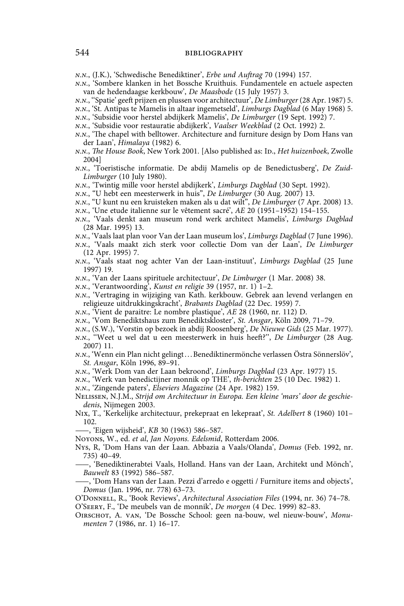*n.n.*, (J.K.), 'Schwedische Benediktiner', *Erbe und Auftrag* 70 (1994) 157.

- *n.n.*, 'Sombere klanken in het Bossche Kruithuis. Fundamentele en actuele aspecten van de hedendaagse kerkbouw', *De Maasbode* (15 July 1957) 3.
- *n.n.*, ''Spatie' geeft prijzen en plussen voor architectuur', *De Limburger* (28 Apr. 1987) 5.
- *n.n.*, 'St. Antipas te Mamelis in altaar ingemetseld', *Limburgs Dagblad* (6 May 1968) 5.
- *n.n.*, 'Subsidie voor herstel abdijkerk Mamelis', *De Limburger* (19 Sept. 1992) 7.
- *n.n.*, 'Subsidie voor restauratie abdijkerk', *Vaalser Weekblad* (2 Oct. 1992) 2.
- *n.n.*, 'The chapel with belltower. Architecture and furniture design by Dom Hans van der Laan', *Himalaya* (1982) 6.
- *n.n.*, *The House Book*, New York 2001. [Also published as: Id., *Het huizenboek*, Zwolle 2004]
- *n.n.*, 'Toeristische informatie. De abdij Mamelis op de Benedictusberg', *De Zuid-Limburger* (10 July 1980).
- *n.n.*, 'Twintig mille voor herstel abdijkerk', *Limburgs Dagblad* (30 Sept. 1992).
- *n.n.*, "U hebt een meesterwerk in huis", *De Limburger* (30 Aug. 2007) 13.
- *n.n.*, "U kunt nu een kruisteken maken als u dat wilt", *De Limburger* (7 Apr. 2008) 13.
- *n.n.*, 'Une etude italienne sur le vêtement sacré', *AE* 20 (1951–1952) 154–155.
- *n.n.*, 'Vaals denkt aan museum rond werk architect Mamelis', *Limburgs Dagblad* (28 Mar. 1995) 13.
- *n.n.*, 'Vaals laat plan voor Van der Laan museum los', *Limburgs Dagblad* (7 June 1996).
- *n.n.*, 'Vaals maakt zich sterk voor collectie Dom van der Laan', *De Limburger* (12 Apr. 1995) 7.
- *n.n.*, 'Vaals staat nog achter Van der Laan-instituut', *Limburgs Dagblad* (25 June 1997) 19.
- *n.n.*, 'Van der Laans spirituele architectuur', *De Limburger* (1 Mar. 2008) 38.
- *n.n.*, 'Verantwoording', *Kunst en religie* 39 (1957, nr. 1) 1–2.
- *n.n.*, 'Vertraging in wijziging van Kath. kerkbouw. Gebrek aan levend verlangen en religieuze uitdrukkingskracht', *Brabants Dagblad* (22 Dec. 1959) 7.
- *n.n.*, 'Vient de paraitre: Le nombre plastique', *AE* 28 (1960, nr. 112) D.
- *n.n.*, 'Vom Benediktshaus zum Benediktskloster', *St. Ansgar*, Köln 2009, 71–79.
- *n.n.*, (S.W.), 'Vorstin op bezoek in abdij Roosenberg', *De Nieuwe Gids* (25 Mar. 1977).
- *n.n.*, ''Weet u wel dat u een meesterwerk in huis heeft?'', *De Limburger* (28 Aug. 2007) 11.
- *n.n.*, 'Wenn ein Plan nicht gelingt . . . Benediktinermönche verlassen Östra Sönnerslöv', *St. Ansgar*, Köln 1996, 89–91.
- *n.n.*, 'Werk Dom van der Laan bekroond', *Limburgs Dagblad* (23 Apr. 1977) 15.
- *n.n.*, 'Werk van benedictijner monnik op THE', *th-berichten* 25 (10 Dec. 1982) 1.
- *n.n.*, 'Zingende paters', *Elseviers Magazine* (24 Apr. 1982) 159.
- Nelissen, N.J.M., *Strijd om Architectuur in Europa. Een kleine 'mars' door de geschiedenis*, Nijmegen 2003.
- Nix, T., 'Kerkelijke architectuur, prekepraat en lekepraat', *St. Adelbert* 8 (1960) 101– 102.

——, 'Eigen wijsheid', *KB* 30 (1963) 586–587.

Noyons, W., ed. *et al*, *Jan Noyons. Edelsmid*, Rotterdam 2006.

- Nys, R, 'Dom Hans van der Laan. Abbazia a Vaals/Olanda', *Domus* (Feb. 1992, nr. 735) 40–49.
	- ——, 'Benediktinerabtei Vaals, Holland. Hans van der Laan, Architekt und Mönch', *Bauwelt* 83 (1992) 586–587.

——, 'Dom Hans van der Laan. Pezzi d'arredo e oggetti / Furniture items and objects', *Domus* (Jan. 1996, nr. 778) 63–73.

O'Donnell, R., 'Book Reviews', *Architectural Association Files* (1994, nr. 36) 74–78. O'Seery, F., 'De meubels van de monnik', *De morgen* (4 Dec. 1999) 82–83.

Oirschot, A. van, 'De Bossche School: geen na-bouw, wel nieuw-bouw', *Monumenten* 7 (1986, nr. 1) 16–17.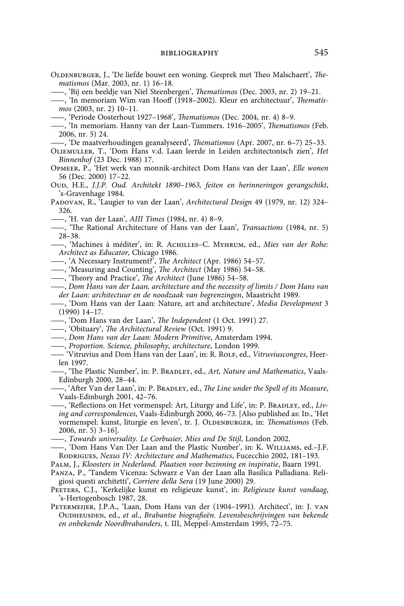- OLDENBURGER, J., 'De liefde bouwt een woning. Gesprek met Theo Malschaert', *Thematismos* (Mar. 2003, nr. 1) 16–18.
	- ——, 'Bij een beeldje van Niel Steenbergen', *Thematismos* (Dec. 2003, nr. 2) 19–21.
- ——, 'In memoriam Wim van Hooff (1918–2002). Kleur en architectuur', *Thematismos* (2003, nr. 2) 10–11.
- ——, 'Periode Oosterhout 1927–1968', *Thematismos* (Dec. 2004, nr. 4) 8–9.
- ——, 'In memoriam. Hanny van der Laan-Tummers. 1916–2005', *Thematismos* (Feb. 2006, nr. 5) 24.
- ——, 'De maatverhoudingen geanalyseerd', *Thematismos* (Apr. 2007, nr. 6–7) 25–33.
- Oliemuller, T., 'Dom Hans v.d. Laan leerde in Leiden architectonisch zien', *Het Binnenhof* (23 Dec. 1988) 17.
- Opmeer, P., 'Het werk van monnik-architect Dom Hans van der Laan', *Elle wonen* 56 (Dec. 2000) 17–22.
- Oud, H.E., *J.J.P. Oud. Architekt 1890–1963, feiten en herinneringen gerangschikt*, 's-Gravenhage 1984.
- Padovan, R., 'Laugier to van der Laan', *Architectural Design* 49 (1979, nr. 12) 324– 326.
- ——, 'H. van der Laan', *AIII Times* (1984, nr. 4) 8–9.
- ——, 'The Rational Architecture of Hans van der Laan', *Transactions* (1984, nr. 5) 28–38.
- ——, 'Machines à méditer', in: R. Achilles–C. Myhrum, ed., *Mies van der Rohe: Architect as Educator*, Chicago 1986.
- ——, 'A Necessary Instrument?', *The Architect* (Apr. 1986) 54–57.
- ——, 'Measuring and Counting', *The Architect* (May 1986) 54–58.
- ——, 'Theory and Practice', *The Architect* (June 1986) 54–58.
- ——, *Dom Hans van der Laan, architecture and the necessity of limits / Dom Hans van der Laan: architectuur en de noodzaak van begrenzingen*, Maastricht 1989.
- ——, 'Dom Hans van der Laan: Nature, art and architecture', *Media Development* 3 (1990) 14–17.
- ——, 'Dom Hans van der Laan', *The Independent* (1 Oct. 1991) 27.
- ——, 'Obituary', *The Architectural Review* (Oct. 1991) 9.
- ——, *Dom Hans van der Laan: Modern Primitive*, Amsterdam 1994.
- ——, *Proportion. Science, philosophy, architecture*, London 1999.
- —— 'Vitruvius and Dom Hans van der Laan', in: R. Rolf, ed., *Vitruviuscongres*, Heerlen 1997.
- ——, 'The Plastic Number', in: P. Bradley, ed., *Art, Nature and Mathematics*, Vaals-Edinburgh 2000, 28–44.

——, 'After Van der Laan', in: P. Bradley, ed., *The Line under the Spell of its Measure*, Vaals-Edinburgh 2001, 42–76.

- $-$ , 'Reflections on Het vormenspel: Art, Liturgy and Life', in: P. BRADLEY, ed., *Living and correspondences*, Vaals-Edinburgh 2000, 46–73. [Also published as: ID., 'Het vormenspel: kunst, liturgie en leven', tr. J. Oldenburger, in: *Thematismos* (Feb. 2006, nr. 5) 3–16].
- ——, *Towards universality. Le Corbusier, Mies and De Stijl*, London 2002.
- ——, 'Dom Hans Van Der Laan and the Plastic Number', in: K. Williams, ed.–J.F. Rodrigues, *Nexus IV: Architecture and Mathematics*, Fucecchio 2002, 181–193.
- Palm, J., *Kloosters in Nederland. Plaatsen voor bezinning en inspiratie*, Baarn 1991.
- Panza, P., 'Tandem Vicenza: Schwarz e Van der Laan alla Basilica Palladiana. Religiosi questi architetti', *Corriere della Sera* (19 June 2000) 29.
- Peeters, C.J., 'Kerkelijke kunst en religieuze kunst', in: *Religieuze kunst vandaag*, 's-Hertogenbosch 1987, 28.
- Petermeijer, J.P.A., 'Laan, Dom Hans van der (1904–1991). Architect', in: J. van Oudheusden, ed., *et al.*, *Brabantse biografieën. Levensbeschrijvingen van bekende en onbekende Noordbrabanders*, t. III, Meppel-Amsterdam 1995, 72–75.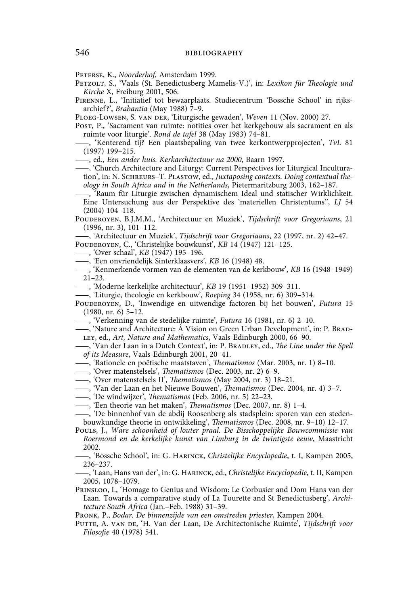Peterse, K., *Noorderhof*, Amsterdam 1999.

- Petzolt, S., 'Vaals (St. Benedictusberg Mamelis-V.)', in: *Lexikon für Theologie und Kirche* X, Freiburg 2001, 506.
- Pirenne, L., 'Initiatief tot bewaarplaats. Studiecentrum 'Bossche School' in rijksarchief ?', *Brabantia* (May 1988) 7–9.
- Ploeg-Lowsen, S. van der, 'Liturgische gewaden', *Weven* 11 (Nov. 2000) 27.

Post, P., 'Sacrament van ruimte: notities over het kerkgebouw als sacrament en als ruimte voor liturgie'. *Rond de tafel* 38 (May 1983) 74–81.

——, 'Kenterend tij? Een plaatsbepaling van twee kerkontwerpprojecten', *TvL* 81 (1997) 199–215.

——, ed., *Een ander huis. Kerkarchitectuur na 2000*, Baarn 1997.

——, 'Church Architecture and Liturgy: Current Perspectives for Liturgical Inculturation', in: N. Schreurs–T. Plastow, ed., *Juxtaposing contexts. Doing contextual theology in South Africa and in the Netherlands*, Pietermaritzburg 2003, 162–187.

——, 'Raum für Liturgie zwischen dynamischem Ideal und statischer Wirklichkeit. Eine Untersuchung aus der Perspektive des 'materiellen Christentums'', *LJ* 54 (2004) 104–118.

Pouderoyen, B.J.M.M., 'Architectuur en Muziek', *Tijdschrift voor Gregoriaans*, 21 (1996, nr. 3), 101–112.

——, 'Architectuur en Muziek', *Tijdschrift voor Gregoriaans*, 22 (1997, nr. 2) 42–47. POUDEROYEN, C., 'Christelijke bouwkunst', *KB* 14 (1947) 121-125.

——, 'Over schaal', *KB* (1947) 195–196.

——, 'Een onvriendelijk Sinterklaasvers', *KB* 16 (1948) 48.

——, 'Kenmerkende vormen van de elementen van de kerkbouw', *KB* 16 (1948–1949) 21–23.

——, 'Moderne kerkelijke architectuur', *KB* 19 (1951–1952) 309–311.

——, 'Liturgie, theologie en kerkbouw', *Roeping* 34 (1958, nr. 6) 309–314.

Pouderoyen, D., 'Inwendige en uitwendige factoren bij het bouwen', *Futura* 15 (1980, nr. 6) 5–12.

——, 'Verkenning van de stedelijke ruimte', *Futura* 16 (1981, nr. 6) 2–10.

——, 'Nature and Architecture: A Vision on Green Urban Development', in: P. Bradley, ed., *Art, Nature and Mathematics*, Vaals-Edinburgh 2000, 66–90.

——, 'Van der Laan in a Dutch Context', in: P. Bradley, ed., *The Line under the Spell of its Measure*, Vaals-Edinburgh 2001, 20–41.

——, 'Rationele en poëtische maatstaven', *Thematismos* (Mar. 2003, nr. 1) 8–10.

——, 'Over matenstelsels', *Thematismos* (Dec. 2003, nr. 2) 6–9.

- ——, 'Over matenstelsels II', *Thematismos* (May 2004, nr. 3) 18–21.
- ——, 'Van der Laan en het Nieuwe Bouwen', *Thematismos* (Dec. 2004, nr. 4) 3–7.
- ——, 'De windwijzer', *Thematismos* (Feb. 2006, nr. 5) 22–23.
- ——, 'Een theorie van het maken', *Thematismos* (Dec. 2007, nr. 8) 1–4.

——, 'De binnenhof van de abdij Roosenberg als stadsplein: sporen van een stedenbouwkundige theorie in ontwikkeling', *Thematismos* (Dec. 2008, nr. 9–10) 12–17.

Pouls, J., *Ware schoonheid of louter praal. De Bisschoppelijke Bouwcommissie van Roermond en de kerkelijke kunst van Limburg in de twintigste eeuw*, Maastricht 2002.

——, 'Bossche School', in: G. Harinck, *Christelijke Encyclopedie*, t. I, Kampen 2005, 236–237.

——, 'Laan, Hans van der', in: G. Harinck, ed., *Christelijke Encyclopedie*, t. II, Kampen 2005, 1078–1079.

Prinsloo, I., 'Homage to Genius and Wisdom: Le Corbusier and Dom Hans van der Laan. Towards a comparative study of La Tourette and St Benedictusberg', *Architecture South Africa* (Jan.–Feb. 1988) 31–39.

Pronk, P., *Bodar. De binnenzijde van een omstreden priester*, Kampen 2004.

Putte, A. van de, 'H. Van der Laan, De Architectonische Ruimte', *Tijdschrift voor Filosofie* 40 (1978) 541.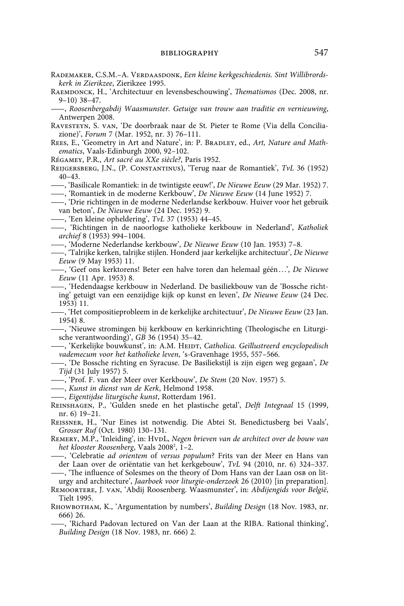- RADEMAKER, C.S.M.-A. VERDAASDONK, *Een kleine kerkgeschiedenis. Sint Willibrordskerk in Zierikzee*, Zierikzee 1995.
- Raemdonck, H., 'Architectuur en levensbeschouwing', *Thematismos* (Dec. 2008, nr. 9–10) 38–47.

——, *Roosenbergabdij Waasmunster. Getuige van trouw aan traditie en vernieuwing*, Antwerpen 2008.

- Ravesteyn, S. van, 'De doorbraak naar de St. Pieter te Rome (Via della Conciliazione)', *Forum* 7 (Mar. 1952, nr. 3) 76–111.
- REES, E., 'Geometry in Art and Nature', in: P. BRADLEY, ed., Art, Nature and Math*ematics*, Vaals-Edinburgh 2000, 92–102.

Régamey, P.R., *Art sacré au XXe siècle?*, Paris 1952.

Reijgersberg, J.N., (P. Constantinus), 'Terug naar de Romantiek', *TvL* 36 (1952) 40–43.

——, 'Basilicale Romantiek: in de twintigste eeuw!', *De Nieuwe Eeuw* (29 Mar. 1952) 7. ——, 'Romantiek in de moderne Kerkbouw', *De Nieuwe Eeuw* (14 June 1952) 7.

- ——, 'Drie richtingen in de moderne Nederlandse kerkbouw. Huiver voor het gebruik van beton', *De Nieuwe Eeuw* (24 Dec. 1952) 9.
- ——, 'Een kleine opheldering', *TvL* 37 (1953) 44–45.
- ——, 'Richtingen in de naoorlogse katholieke kerkbouw in Nederland', *Katholiek archief* 8 (1953) 994–1004.
- ——, 'Moderne Nederlandse kerkbouw', *De Nieuwe Eeuw* (10 Jan. 1953) 7–8.
- ——, 'Talrijke kerken, talrijke stijlen. Honderd jaar kerkelijke architectuur', *De Nieuwe Eeuw* (9 May 1953) 11.
- ——, 'Geef ons kerktorens! Beter een halve toren dan helemaal géén . . .', *De Nieuwe Eeuw* (11 Apr. 1953) 8.
	- ——, 'Hedendaagse kerkbouw in Nederland. De basiliekbouw van de 'Bossche richting' getuigt van een eenzijdige kijk op kunst en leven', *De Nieuwe Eeuw* (24 Dec. 1953) 11.
- ——, 'Het compositieprobleem in de kerkelijke architectuur', *De Nieuwe Eeuw* (23 Jan. 1954) 8.
- ——, 'Nieuwe stromingen bij kerkbouw en kerkinrichting (Theologische en Liturgische verantwoording)', *GB* 36 (1954) 35–42.
- ——, 'Kerkelijke bouwkunst', in: A.M. Heidt, *Catholica. Geïllustreerd encyclopedisch vademecum voor het katholieke leven*, 's-Gravenhage 1955, 557–566.
- ——, 'De Bossche richting en Syracuse. De Basiliekstijl is zijn eigen weg gegaan', *De Tijd* (31 July 1957) 5.
- ——, 'Prof. F. van der Meer over Kerkbouw', *De Stem* (20 Nov. 1957) 5.
- ——, *Kunst in dienst van de Kerk*, Helmond 1958.
- ——, *Eigentijdse liturgische kunst*, Rotterdam 1961.
- Reinshagen, P., 'Gulden snede en het plastische getal', *Delft Integraal* 15 (1999, nr. 6) 19–21.
- Reissner, H., 'Nur Eines ist notwendig. Die Abtei St. Benedictusberg bei Vaals', *Grosser Ruf* (Oct. 1980) 130–131.
- REMERY, M.P., 'Inleiding', in: HvpL, *Negen brieven van de architect over de bouw van het klooster Roosenberg, Vaals 2008<sup>2</sup>, 1–2.*
- ——, 'Celebratie *ad orientem* of *versus populum*? Frits van der Meer en Hans van der Laan over de oriëntatie van het kerkgebouw', *TvL* 94 (2010, nr. 6) 324–337. ——, 'The influence of Solesmes on the theory of Dom Hans van der Laan osb on lit-
- urgy and architecture', *Jaarboek voor liturgie-onderzoek* 26 (2010) [in preparation].
- Remoortere, J. van, 'Abdij Roosenberg. Waasmunster', in: *Abdijengids voor België*, Tielt 1995.
- Rhowbotham, K., 'Argumentation by numbers', *Building Design* (18 Nov. 1983, nr. 666) 26.
	- ——, 'Richard Padovan lectured on Van der Laan at the RIBA. Rational thinking', *Building Design* (18 Nov. 1983, nr. 666) 2.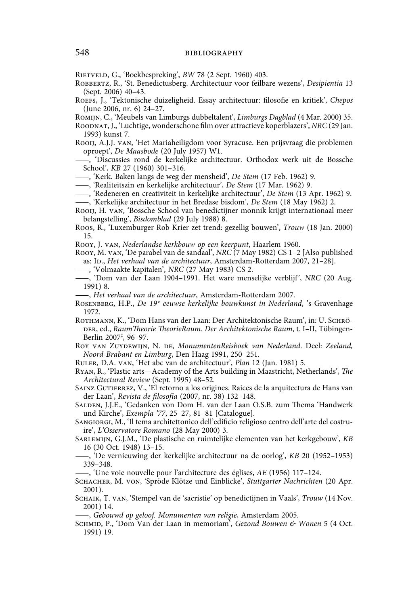Rietveld, G., 'Boekbespreking', *BW* 78 (2 Sept. 1960) 403.

- Robbertz, R., 'St. Benedictusberg. Architectuur voor feilbare wezens', *Desipientia* 13 (Sept. 2006) 40–43.
- Roefs, J., 'Tektonische duizeligheid. Essay architectuur: filosofie en kritiek', *Chepos* (June 2006, nr. 6) 24–27.
- Romijn, C., 'Meubels van Limburgs dubbeltalent', *Limburgs Dagblad* (4 Mar. 2000) 35.
- Roodnat, J., 'Luchtige, wonderschone film over attractieve koperblazers', *NRC* (29 Jan. 1993) kunst 7.
- Rooij, A.J.J. van, 'Het Mariaheiligdom voor Syracuse. Een prijsvraag die problemen oproept', *De Maasbode* (20 July 1957) W1.
- ——, 'Discussies rond de kerkelijke architectuur. Orthodox werk uit de Bossche School', *KB* 27 (1960) 301–316.
- ——, 'Kerk. Baken langs de weg der mensheid', *De Stem* (17 Feb. 1962) 9.
- ——, 'Realiteitszin en kerkelijke architectuur', *De Stem* (17 Mar. 1962) 9.
- ——, 'Redeneren en creativiteit in kerkelijke architectuur', *De Stem* (13 Apr. 1962) 9. ——, 'Kerkelijke architectuur in het Bredase bisdom', *De Stem* (18 May 1962) 2.
- Rooij, H. van, 'Bossche School van benedictijner monnik krijgt internationaal meer belangstelling', *Bisdomblad* (29 July 1988) 8.
- Roos, R., 'Luxemburger Rob Krier zet trend: gezellig bouwen', *Trouw* (18 Jan. 2000) 15.
- Rooy, J. van, *Nederlandse kerkbouw op een keerpunt*, Haarlem 1960.
- Rooy, M. van, 'De parabel van de sandaal', *NRC* (7 May 1982) CS 1–2 [Also published as: ID., *Het verhaal van de architectuur*, Amsterdam-Rotterdam 2007, 21-28].
- ——, 'Volmaakte kapitalen', *NRC* (27 May 1983) CS 2.
- ——, 'Dom van der Laan 1904–1991. Het ware menselijke verblijf', *NRC* (20 Aug. 1991) 8.
- ——, *Het verhaal van de architectuur*, Amsterdam-Rotterdam 2007.
- ROSENBERG, H.P., *De 19<sup>e</sup> eeuwse kerkelijke bouwkunst in Nederland*, 's-Gravenhage 1972.
- ROTHMANN, K., 'Dom Hans van der Laan: Der Architektonische Raum', in: U. SCHRÖder, ed., *RaumTheorie TheorieRaum. Der Architektonische Raum*, t. I–II, Tübingen-Berlin 2007<sup>2</sup>, 96–97.
- Roy van Zuydewijn, N. de, *MonumentenReisboek van Nederland*. Deel: *Zeeland, Noord-Brabant en Limburg*, Den Haag 1991, 250–251.
- Ruler, D.A. van, 'Het abc van de architectuur', *Plan* 12 (Jan. 1981) 5.
- Ryan, R., 'Plastic arts—Academy of the Arts building in Maastricht, Netherlands', *The Architectural Review* (Sept. 1995) 48–52.
- SAINZ GUTIERREZ, V., 'El retorno a los origines. Raices de la arquitectura de Hans van der Laan', *Revista de filosofía* (2007, nr. 38) 132–148.
- Salden, J.J.E., 'Gedanken von Dom H. van der Laan O.S.B. zum Thema 'Handwerk und Kirche', *Exempla '77*, 25–27, 81–81 [Catalogue].
- Sangiorgi, M., 'Il tema architettonico dell'edificio religioso centro dell'arte del costruire', *L'Osservatore Romano* (28 May 2000) 3.
- Sarlemijn, G.J.M., 'De plastische en ruimtelijke elementen van het kerkgebouw', *KB* 16 (30 Oct. 1948) 13–15.
- ——, 'De vernieuwing der kerkelijke architectuur na de oorlog', *KB* 20 (1952–1953) 339–348.
- ——, 'Une voie nouvelle pour l'architecture des églises, *AE* (1956) 117–124.
- Schacher, M. von, 'Spröde Klötze und Einblicke', *Stuttgarter Nachrichten* (20 Apr. 2001).
- Schaik, T. van, 'Stempel van de 'sacristie' op benedictijnen in Vaals', *Trouw* (14 Nov. 2001) 14.
	- ——, *Gebouwd op geloof. Monumenten van religie*, Amsterdam 2005.
- Schmid, P., 'Dom Van der Laan in memoriam', *Gezond Bouwen & Wonen* 5 (4 Oct. 1991) 19.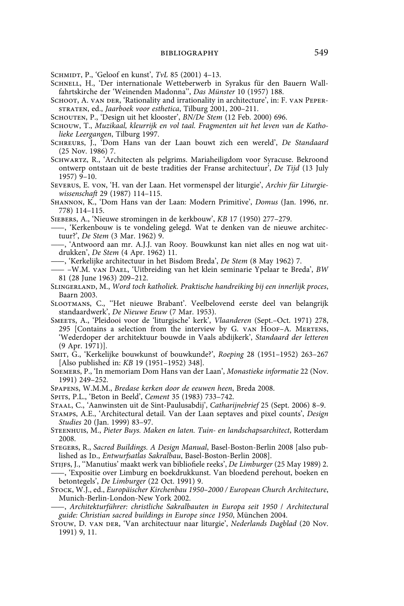Schmidt, P., 'Geloof en kunst', *TvL* 85 (2001) 4–13.

- SCHNELL, H., 'Der internationale Wetteberwerb in Syrakus für den Bauern Wallfahrtskirche der 'Weinenden Madonna'', *Das Münster* 10 (1957) 188.
- SCHOOT, A. VAN DER, 'Rationality and irrationality in architecture', in: F. VAN PEPERstraten, ed., *Jaarboek voor esthetica*, Tilburg 2001, 200–211.

Schouten, P., 'Design uit het klooster', *BN/De Stem* (12 Feb. 2000) 696.

- Schouw, T., *Muzikaal, kleurrijk en vol taal. Fragmenten uit het leven van de Katholieke Leergangen*, Tilburg 1997.
- Schreurs, J., 'Dom Hans van der Laan bouwt zich een wereld', *De Standaard* (25 Nov. 1986) 7.
- Schwartz, R., 'Architecten als pelgrims. Mariaheiligdom voor Syracuse. Bekroond ontwerp ontstaan uit de beste tradities der Franse architectuur', *De Tijd* (13 July 1957) 9–10.
- Severus, E. von, 'H. van der Laan. Het vormenspel der liturgie', *Archiv für Liturgiewissenschaft* 29 (1987) 114–115.
- Shannon, K., 'Dom Hans van der Laan: Modern Primitive', *Domus* (Jan. 1996, nr. 778) 114–115.
- Siebers, A., 'Nieuwe stromingen in de kerkbouw', *KB* 17 (1950) 277–279.
- ——, 'Kerkenbouw is te vondeling gelegd. Wat te denken van de nieuwe architectuur?', *De Stem* (3 Mar. 1962) 9.
- ——, 'Antwoord aan mr. A.J.J. van Rooy. Bouwkunst kan niet alles en nog wat uitdrukken', *De Stem* (4 Apr. 1962) 11.
- ——, 'Kerkelijke architectuur in het Bisdom Breda', *De Stem* (8 May 1962) 7.
- —— –W.M. van Dael, 'Uitbreiding van het klein seminarie Ypelaar te Breda', *BW* 81 (28 June 1963) 209–212.
- Slingerland, M., *Word toch katholiek. Praktische handreiking bij een innerlijk proces*, Baarn 2003.
- Slootmans, C., ''Het nieuwe Brabant'. Veelbelovend eerste deel van belangrijk standaardwerk', *De Nieuwe Eeuw* (7 Mar. 1953).
- Smeets, A., 'Pleidooi voor de 'liturgische' kerk', *Vlaanderen* (Sept.–Oct. 1971) 278, 295 [Contains a selection from the interview by G. van Hoof–A. Mertens, 'Wederdoper der architektuur bouwde in Vaals abdijkerk', *Standaard der letteren* (9 Apr. 1971)].
- Smit, G., 'Kerkelijke bouwkunst of bouwkunde?', *Roeping* 28 (1951–1952) 263–267 [Also published in: *KB* 19 (1951–1952) 348].
- Soemers, P., 'In memoriam Dom Hans van der Laan', *Monastieke informatie* 22 (Nov. 1991) 249–252.
- Spapens, W.M.M., *Bredase kerken door de eeuwen heen*, Breda 2008.
- Spits, P.L., 'Beton in Beeld', *Cement* 35 (1983) 733–742.
- Staal, C., 'Aanwinsten uit de Sint-Paulusabdij', *Catharijnebrief* 25 (Sept. 2006) 8–9.
- Stamps, A.E., 'Architectural detail. Van der Laan septaves and pixel counts', *Design Studies* 20 (Jan. 1999) 83–97.
- Steenhuis, M., *Pieter Buys. Maken en laten. Tuin- en landschapsarchitect*, Rotterdam 2008.
- Stegers, R., *Sacred Buildings. A Design Manual*, Basel-Boston-Berlin 2008 [also published as Ip., *Entwurfsatlas Sakralbau*, Basel-Boston-Berlin 2008].
- Stijfs, J*.*, ''Manutius' maakt werk van bibliofiele reeks', *De Limburger* (25 May 1989) 2. ——, 'Expositie over Limburg en boekdrukkunst. Van bloedend perehout, boeken en
- betontegels', *De Limburger* (22 Oct. 1991) 9. Stock, W.J., ed., *Europäischer Kirchenbau 1950–2000 / European Church Architecture*,
- Munich-Berlin-London-New York 2002.
- ——, *Architekturführer: christliche Sakralbauten in Europa seit 1950* / *Architectural guide: Christian sacred buildings in Europe since 1950*, München 2004.
- Stouw, D. van der, 'Van architectuur naar liturgie', *Nederlands Dagblad* (20 Nov. 1991) 9, 11.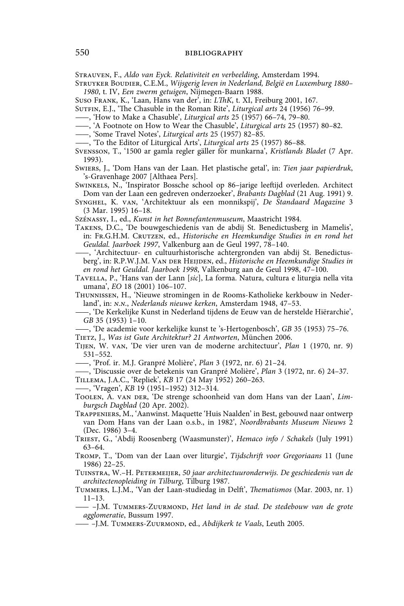Strauven, F., *Aldo van Eyck. Relativiteit en verbeelding*, Amsterdam 1994.

- Struyker Boudier, C.E.M., *Wijsgerig leven in Nederland, België en Luxemburg 1880– 1980*, t. IV, *Een zwerm getuigen*, Nijmegen-Baarn 1988.
- Suso Frank, K., 'Laan, Hans van der', in: *LThK*, t. XI, Freiburg 2001, 167.
- Sutfin, E.J., 'The Chasuble in the Roman Rite', *Liturgical arts* 24 (1956) 76–99.
- ——, 'How to Make a Chasuble', *Liturgical arts* 25 (1957) 66–74, 79–80.
- ——, 'A Footnote on How to Wear the Chasuble', *Liturgical arts* 25 (1957) 80–82.
- ——, 'Some Travel Notes', *Liturgical arts* 25 (1957) 82–85.
- ——, 'To the Editor of Liturgical Arts', *Liturgical arts* 25 (1957) 86–88.
- Svensson, T., '1500 ar gamla regler gäller för munkarna', *Kristlands Bladet* (7 Apr. 1993).
- Swiers, J., 'Dom Hans van der Laan. Het plastische getal', in: *Tien jaar papierdruk*, 's-Gravenhage 2007 [Althaea Pers].
- Swinkels, N., 'Inspirator Bossche school op 86–jarige leeftijd overleden. Architect Dom van der Laan een gedreven onderzoeker', *Brabants Dagblad* (21 Aug. 1991) 9.
- Synghel, K. van, 'Architektuur als een monnikspij', *De Standaard Magazine* 3 (3 Mar. 1995) 16–18.
- Szénassy, I., ed., *Kunst in het Bonnefantenmuseum*, Maastricht 1984.
- Takens, D.C., 'De bouwgeschiedenis van de abdij St. Benedictusberg in Mamelis', in: Fr.G.H.M. Crutzen, ed., *Historische en Heemkundige Studies in en rond het Geuldal. Jaarboek 1997*, Valkenburg aan de Geul 1997, 78–140.
- ——, 'Architectuur- en cultuurhistorische achtergronden van abdij St. Benedictusberg', in: R.P.W.J.M. VAN DER HEIJDEN, ed., *Historische en Heemkundige Studies in en rond het Geuldal. Jaarboek 1998*, Valkenburg aan de Geul 1998, 47–100.
- Tavella, P., 'Hans van der Lann [*sic*], La forma. Natura, cultura e liturgia nella vita umana', *EO* 18 (2001) 106–107.
- Thunnissen, H., 'Nieuwe stromingen in de Rooms-Katholieke kerkbouw in Nederland', in: *n.n.*, *Nederlands nieuwe kerken*, Amsterdam 1948, 47–53.
	- ——, 'De Kerkelijke Kunst in Nederland tijdens de Eeuw van de herstelde Hiërarchie', *GB* 35 (1953) 1–10.
- ——, 'De academie voor kerkelijke kunst te 's-Hertogenbosch', *GB* 35 (1953) 75–76. Tietz, J., *Was ist Gute Architektur? 21 Antworten*, München 2006.
- Tijen, W. van, 'De vier uren van de moderne architectuur', *Plan* 1 (1970, nr. 9) 531–552.
	- ——, 'Prof. ir. M.J. Granpré Molière', *Plan* 3 (1972, nr. 6) 21–24.

——, 'Discussie over de betekenis van Granpré Molière', *Plan* 3 (1972, nr. 6) 24–37.

- Tillema, J.A.C., 'Repliek', *KB* 17 (24 May 1952) 260–263.
- ——, 'Vragen', *KB* 19 (1951–1952) 312–314.
- Toolen, A. van der, 'De strenge schoonheid van dom Hans van der Laan', *Limburgsch Dagblad* (20 Apr. 2002).
- Trappeniers, M., 'Aanwinst. Maquette 'Huis Naalden' in Best, gebouwd naar ontwerp van Dom Hans van der Laan o.s.b., in 1982', *Noordbrabants Museum Nieuws* 2 (Dec. 1986) 3–4.
- Triest, G., 'Abdij Roosenberg (Waasmunster)', *Hemaco info / Schakels* (July 1991) 63–64.
- Tromp, T., 'Dom van der Laan over liturgie', *Tijdschrift voor Gregoriaans* 11 (June 1986) 22–25.
- Tuinstra, W.–H. Petermeijer, *50 jaar architectuuronderwijs. De geschiedenis van de architectenopleiding in Tilburg*, Tilburg 1987.
- Tummers, L.J.M., 'Van der Laan-studiedag in Delft', *Thematismos* (Mar. 2003, nr. 1) 11–13.
- —— –J.M. Tummers-Zuurmond, *Het land in de stad. De stedebouw van de grote agglomeratie*, Bussum 1997.
- —— *–*J.M. Tummers-Zuurmond, ed., *Abdijkerk te Vaals*, Leuth 2005.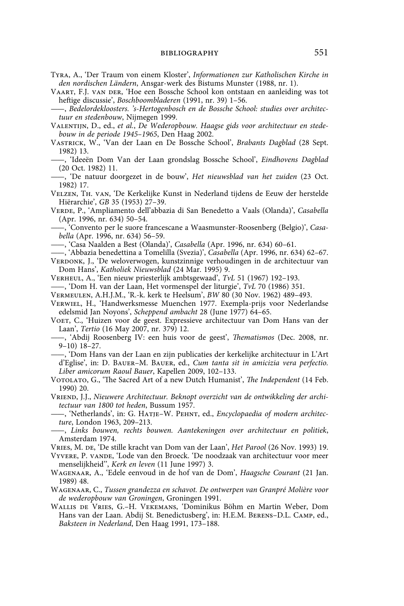Tyra, A., 'Der Traum von einem Kloster', *Informationen zur Katholischen Kirche in den nordischen Ländern*, Ansgar-werk des Bistums Munster (1988, nr. 1).

Vaart, F.J. van der, 'Hoe een Bossche School kon ontstaan en aanleiding was tot heftige discussie', *Boschboombladeren* (1991, nr. 39) 1–56.

——, *Bedelordekloosters. 's-Hertogenbosch en de Bossche School: studies over architectuur en stedenbouw*, Nijmegen 1999.

Valentijn, D., ed., *et al.*, *De Wederopbouw. Haagse gids voor architectuur en stedebouw in de periode 1945–1965*, Den Haag 2002.

- Vastrick, W., 'Van der Laan en De Bossche School', *Brabants Dagblad* (28 Sept. 1982) 13.
	- ——, 'Ideeën Dom Van der Laan grondslag Bossche School', *Eindhovens Dagblad* (20 Oct. 1982) 11.
- ——, 'De natuur doorgezet in de bouw', *Het nieuwsblad van het zuiden* (23 Oct. 1982) 17.
- Velzen, Th. van, 'De Kerkelijke Kunst in Nederland tijdens de Eeuw der herstelde Hiërarchie', *GB* 35 (1953) 27–39.
- Verde, P., 'Ampliamento dell'abbazia di San Benedetto a Vaals (Olanda)', *Casabella* (Apr. 1996, nr. 634) 50–54.
- ——, 'Convento per le suore francescane a Waasmunster-Roosenberg (Belgio)', *Casabella* (Apr. 1996, nr. 634) 56–59.
- ——, 'Casa Naalden a Best (Olanda)', *Casabella* (Apr. 1996, nr. 634) 60–61.
- ——, 'Abbazia benedettina a Tomelilla (Svezia)', *Casabella* (Apr. 1996, nr. 634) 62–67.

VERDONK, J., 'De weloverwogen, kunstzinnige verhoudingen in de architectuur van Dom Hans', *Katholiek Nieuwsblad* (24 Mar. 1995) 9.

- Verheul, A., 'Een nieuw priesterlijk ambtsgewaad', *TvL* 51 (1967) 192–193.
- ——, 'Dom H. van der Laan, Het vormenspel der liturgie', *TvL* 70 (1986) 351.
- Vermeulen, A.H.J.M., 'R.-k. kerk te Heelsum', *BW* 80 (30 Nov. 1962) 489–493.
- Verwiel, H., 'Handwerksmesse Muenchen 1977. Exempla-prijs voor Nederlandse edelsmid Jan Noyons', *Scheppend ambacht* 28 (June 1977) 64–65.
- Voet, C., 'Huizen voor de geest. Expressieve architectuur van Dom Hans van der Laan', *Tertio* (16 May 2007, nr. 379) 12.
- ——, 'Abdij Roosenberg IV: een huis voor de geest', *Thematismos* (Dec. 2008, nr. 9–10) 18–27.
- ——, 'Dom Hans van der Laan en zijn publicaties der kerkelijke architectuur in L'Art d'Eglise', in: D. Bauer–M. Bauer, ed., *Cum tanta sit in amicizia vera perfectio. Liber amicorum Raoul Bauer*, Kapellen 2009, 102–133.
- Votolato, G., 'The Sacred Art of a new Dutch Humanist', *The Independent* (14 Feb. 1990) 20.
- Vriend, J.J., *Nieuwere Architectuur. Beknopt overzicht van de ontwikkeling der architectuur van 1800 tot heden*, Bussum 1957.
- ——, 'Netherlands', in: G. Hatje–W. Pehnt, ed., *Encyclopaedia of modern architecture*, London 1963, 209–213.
- ——, *Links bouwen, rechts bouwen. Aantekeningen over architectuur en politiek*, Amsterdam 1974.
- Vries, M. de, 'De stille kracht van Dom van der Laan', *Het Parool* (26 Nov. 1993) 19.

Vyvere, P. vande, 'Lode van den Broeck. 'De noodzaak van architectuur voor meer menselijkheid'', *Kerk en leven* (11 June 1997) 3.

- Wagenaar, A., 'Edele eenvoud in de hof van de Dom', *Haagsche Courant* (21 Jan. 1989) 48.
- Wagenaar, C., *Tussen grandezza en schavot. De ontwerpen van Granpré Molière voor de wederopbouw van Groningen*, Groningen 1991.
- Wallis de Vries, G.–H. Vekemans, 'Dominikus Böhm en Martin Weber, Dom Hans van der Laan. Abdij St. Benedictusberg', in: H.E.M. Berens–D.L. Camp, ed., *Baksteen in Nederland*, Den Haag 1991, 173–188.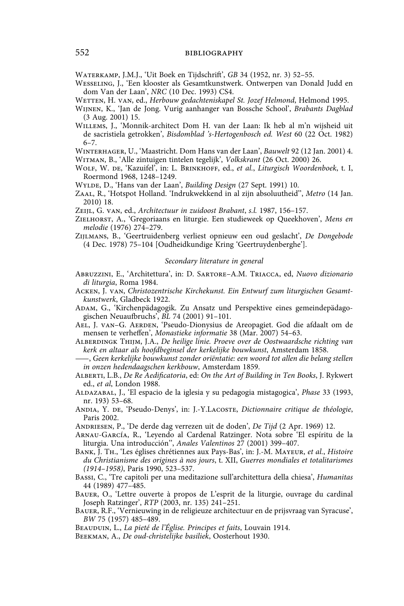Waterkamp, J.M.J., 'Uit Boek en Tijdschrift', *GB* 34 (1952, nr. 3) 52–55.

Wesseling, J., 'Een klooster als Gesamtkunstwerk. Ontwerpen van Donald Judd en dom Van der Laan', *NRC* (10 Dec. 1993) CS4.

Wetten, H. van, ed., *Herbouw gedachteniskapel St. Jozef Helmond*, Helmond 1995.

- Wijnen, K., 'Jan de Jong. Vurig aanhanger van Bossche School', *Brabants Dagblad* (3 Aug. 2001) 15.
- Willems, J., 'Monnik-architect Dom H. van der Laan: Ik heb al m'n wijsheid uit de sacristiela getrokken', *Bisdomblad 's-Hertogenbosch ed. West* 60 (22 Oct. 1982) 6–7.

Winterhager, U., 'Maastricht. Dom Hans van der Laan', *Bauwelt* 92 (12 Jan. 2001) 4. Witman, B., 'Alle zintuigen tintelen tegelijk', *Volkskrant* (26 Oct. 2000) 26.

- Wolf, W. de, 'Kazuifel', in: L. Brinkhoff, ed., *et al.*, *Liturgisch Woordenboek*, t. I, Roermond 1968, 1248–1249.
- Wylde, D., 'Hans van der Laan', *Building Design* (27 Sept. 1991) 10.
- Zaal, R., 'Hotspot Holland. 'Indrukwekkend in al zijn absoluutheid'', *Metro* (14 Jan. 2010) 18.

Zeijl, G. van, ed., *Architectuur in zuidoost Brabant*, *s.l.* 1987, 156–157.

- Zielhorst, A., 'Gregoriaans en liturgie. Een studieweek op Queekhoven', *Mens en melodie* (1976) 274–279.
- Zijlmans, B., 'Geertruidenberg verliest opnieuw een oud geslacht', *De Dongebode* (4 Dec. 1978) 75–104 [Oudheidkundige Kring 'Geertruydenberghe'].

## *Secondary literature in general*

- Abruzzini, E., 'Architettura', in: D. Sartore–A.M. Triacca, ed, *Nuovo dizionario di liturgia*, Roma 1984.
- Acken, J. van, *Christozentrische Kirchekunst. Ein Entwurf zum liturgischen Gesamtkunstwerk*, Gladbeck 1922.
- Adam, G., 'Kirchenpädagogik. Zu Ansatz und Perspektive eines gemeindepädagogischen Neuaufbruchs', *BL* 74 (2001) 91–101.
- Ael, J. van–G. Aerden, 'Pseudo-Dionysius de Areopagiet. God die afdaalt om de mensen te verheffen', *Monastieke informatie* 38 (Mar. 2007) 54–63.
- Alberdingk Thijm, J.A., *De heilige linie. Proeve over de Oostwaardsche richting van kerk en altaar als hoofdbeginsel der kerkelijke bouwkunst*, Amsterdam 1858.
- ——, *Geen kerkelijke bouwkunst zonder oriëntatie: een woord tot allen die belang stellen in onzen hedendaagschen kerkbouw*, Amsterdam 1859.
- Alberti, L.B., *De Re Aedificatoria*, ed: *On the Art of Building in Ten Books*, J. Rykwert ed., *et al*, London 1988.
- Aldazabal, J., 'El espacio de la iglesia y su pedagogia mistagogica', *Phase* 33 (1993, nr. 193) 53–68.
- Andia, Y. de, 'Pseudo-Denys', in: J.-Y.Lacoste, *Dictionnaire critique de théologie*, Paris 2002.

Andriesen, P., 'De derde dag verrezen uit de doden', *De Tijd* (2 Apr. 1969) 12.

- Arnau-García, R., 'Leyendo al Cardenal Ratzinger. Nota sobre 'El espíritu de la liturgia. Una introducción'', *Anales Valentinos* 27 (2001) 399–407.
- Bank, J. Th., 'Les églises chrétiennes aux Pays-Bas', in: J.-M. Mayeur, *et al.*, *Histoire du Christianisme des origines à nos jours*, t. XII, *Guerres mondiales et totalitarismes (1914–1958)*, Paris 1990, 523–537.
- Bassi, C., 'Tre capitoli per una meditazione sull'architettura della chiesa', *Humanitas* 44 (1989) 477–485.
- Bauer, O., 'Lettre ouverte à propos de L'esprit de la liturgie, ouvrage du cardinal Joseph Ratzinger', *RTP* (2003, nr. 135) 241–251.
- Bauer, R.F., 'Vernieuwing in de religieuze architectuur en de prijsvraag van Syracuse', *BW* 75 (1957) 485–489.
- Beauduin, L., *La pieté de l'Église. Principes et faits*, Louvain 1914.
- Beekman, A., *De oud-christelijke basiliek*, Oosterhout 1930.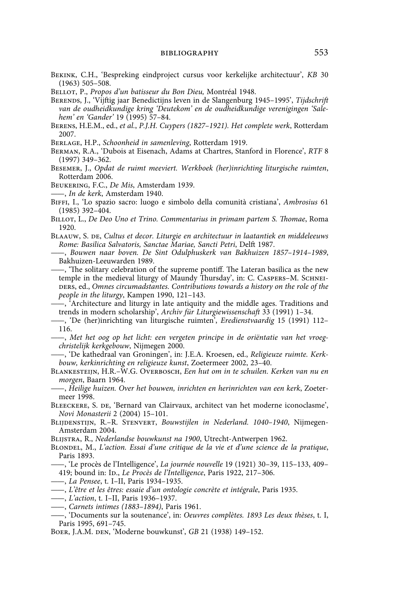- Bekink, C.H., 'Bespreking eindproject cursus voor kerkelijke architectuur', *KB* 30 (1963) 505–508.
- Bellot, P., *Propos d'un batisseur du Bon Dieu,* Montréal 1948.
- Berends, J., 'Vijftig jaar Benedictijns leven in de Slangenburg 1945–1995', *Tijdschrift van de oudheidkundige kring 'Deutekom' en de oudheidkundige verenigingen 'Salehem' en 'Gander'* 19 (1995) 57–84.
- Berens, H.E.M., ed., *et al.*, *P.J.H. Cuypers (1827–1921). Het complete werk*, Rotterdam 2007.
- Berlage, H.P., *Schoonheid in samenleving*, Rotterdam 1919.
- Berman, R.A., 'Dubois at Eisenach, Adams at Chartres, Stanford in Florence', *RTF* 8 (1997) 349–362.
- Besemer, J., *Opdat de ruimt meeviert. Werkboek (her)inrichting liturgische ruimten*, Rotterdam 2006.
- Beukering, F.C., *De Mis*, Amsterdam 1939.
- ——, *In de kerk*, Amsterdam 1940.
- Biffi, I., 'Lo spazio sacro: luogo e simbolo della comunità cristiana', *Ambrosius* 61  $(1985)$  392–404.
- Billot, L., *De Deo Uno et Trino. Commentarius in primam partem S. Thomae*, Roma 1920.
- BLAAUW, S. DE, *Cultus et decor. Liturgie en architectuur in laatantiek en middeleeuws Rome: Basilica Salvatoris, Sanctae Mariae, Sancti Petri*, Delft 1987.
- ——, *Bouwen naar boven. De Sint Odulphuskerk van Bakhuizen 1857–1914–1989*, Bakhuizen-Leeuwarden 1989.
- ——, 'The solitary celebration of the supreme pontiff. The Lateran basilica as the new temple in the medieval liturgy of Maundy Thursday', in: C. Caspers–M. Schneiders, ed., *Omnes circumadstantes. Contributions towards a history on the role of the people in the liturgy*, Kampen 1990, 121–143.
- ——, 'Architecture and liturgy in late antiquity and the middle ages. Traditions and trends in modern scholarship', *Archiv für Liturgiewissenschaft* 33 (1991) 1–34.
- ——, 'De (her)inrichting van liturgische ruimten', *Eredienstvaardig* 15 (1991) 112– 116.
- ——, *Met het oog op het licht: een vergeten principe in de oriëntatie van het vroegchristelijk kerkgebouw*, Nijmegen 2000.
- ——, 'De kathedraal van Groningen', in: J.E.A. Kroesen, ed., *Religieuze ruimte. Kerkbouw, kerkinrichting en religieuze kunst*, Zoetermeer 2002, 23–40.
- Blankesteijn, H.R.–W.G. Overbosch, *Een hut om in te schuilen. Kerken van nu en morgen*, Baarn 1964.
- ——, *Heilige huizen. Over het bouwen, inrichten en herinrichten van een kerk*, Zoetermeer 1998.
- Bleeckere, S. de, 'Bernard van Clairvaux, architect van het moderne iconoclasme', *Novi Monasterii* 2 (2004) 15–101.
- Blijdenstijn, R.–R. Stenvert, *Bouwstijlen in Nederland. 1040–1940*, Nijmegen-Amsterdam 2004.
- Blijstra, R., *Nederlandse bouwkunst na 1900*, Utrecht-Antwerpen 1962.
- Blondel, M., *L'action. Essai d'une critique de la vie et d'une science de la pratique*, Paris 1893.
- ——, 'Le procès de l'Intelligence', *La journée nouvelle* 19 (1921) 30–39, 115–133, 409– 419; bound in: Id., *Le Procès de l'Intelligence*, Paris 1922, 217–306.
- ——, *La Pensee*, t. I–II, Paris 1934–1935.
- ——, *L'être et les êtres: essaie d'un ontologie concrète et intégrale*, Paris 1935.
- ——, *L'action*, t. I–II, Paris 1936–1937.
- ——, *Carnets intimes (1883–1894)*, Paris 1961.
- ——, 'Documents sur la soutenance', in: *Oeuvres complètes. 1893 Les deux thèses*, t. I, Paris 1995, 691–745.
- Boer, J.A.M. den, 'Moderne bouwkunst', *GB* 21 (1938) 149–152.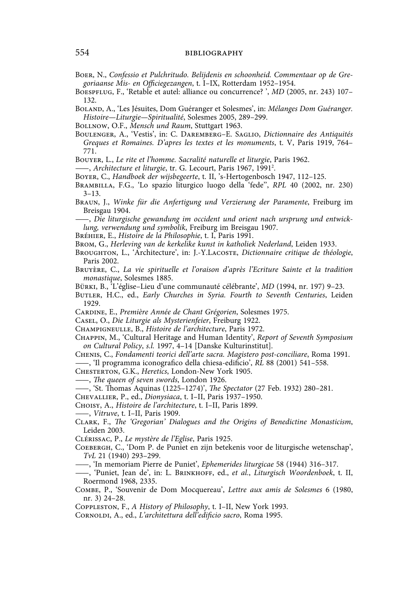Boer, N., *Confessio et Pulchritudo. Belijdenis en schoonheid. Commentaar op de Gregoriaanse Mis- en Officiegezangen*, t. I–IX, Rotterdam 1952–1954.

Boespflug, F., 'Retable et autel: alliance ou concurrence? ', *MD* (2005, nr. 243) 107– 132.

Boland, A., 'Les Jésuites, Dom Guéranger et Solesmes', in: *Mélanges Dom Guéranger. Histoire—Liturgie—Spiritualité*, Solesmes 2005, 289–299.

Bollnow, O.F., *Mensch und Raum*, Stuttgart 1963.

Boulenger, A., 'Vestis', in: C. Daremberg–E. Saglio, *Dictionnaire des Antiquités Greques et Romaines. D'apres les textes et les monuments*, t. V, Paris 1919, 764– 771.

Bouyer, L., *Le rite et l'homme. Sacralité naturelle et liturgie*, Paris 1962.

——, *Architecture et liturgie*, tr. G. Lecourt, Paris 1967, 1991<sup>2</sup>.

Boyer, C., *Handboek der wijsbegeerte*, t. II, 's-Hertogenbosch 1947, 112–125.

Brambilla, F.G., 'Lo spazio liturgico luogo della 'fede'', *RPL* 40 (2002, nr. 230) 3–13.

Braun, J., *Winke für die Anfertigung und Verzierung der Paramente*, Freiburg im Breisgau 1904.

——, *Die liturgische gewandung im occident und orient nach ursprung und entwicklung, verwendung und symbolik*, Freiburg im Breisgau 1907.

Bréhier, E., *Histoire de la Philosophie*, t. I, Paris 1991.

Brom, G., *Herleving van de kerkelike kunst in katholiek Nederland*, Leiden 1933.

BROUGHTON, L., 'Architecture', in: J.-Y.LACOSTE, *Dictionnaire critique de théologie*, Paris 2002.

- Bruyère, C., *La vie spirituelle et l'oraison d'après l'Ecriture Sainte et la tradition monastique*, Solesmes 1885.
- Bürki, B., 'L'église–Lieu d'une communauté célébrante', *MD* (1994, nr. 197) 9–23.
- Butler, H.C., ed., *Early Churches in Syria. Fourth to Seventh Centuries*, Leiden 1929.
- Cardine, E., *Première Année de Chant Grégorien*, Solesmes 1975.

Casel, O., *Die Liturgie als Mysterienfeier*, Freiburg 1922.

Champigneulle, B., *Histoire de l'architecture*, Paris 1972.

Chappin, M., 'Cultural Heritage and Human Identity', *Report of Seventh Symposium on Cultural Policy*, *s.l.* 1997, 4–14 [Danske Kulturinstitut].

Chenis, C., *Fondamenti teorici dell'arte sacra. Magistero post-conciliare*, Roma 1991. ——, 'Il programma iconografico della chiesa-edificio', *RL* 88 (2001) 541–558.

Chesterton, G.K., *Heretics*, London-New York 1905.

——, *The queen of seven swords*, London 1926.

——, 'St. Thomas Aquinas (1225–1274)', *The Spectator* (27 Feb. 1932) 280–281.

Chevallier, P., ed., *Dionysiaca*, t. I–II, Paris 1937–1950.

Choisy, A., *Histoire de l'architecture*, t. I–II, Paris 1899.

——, *Vitruve*, t. I–II, Paris 1909.

Clark, F., *The 'Gregorian' Dialogues and the Origins of Benedictine Monasticism*, Leiden 2003.

Clérissac, P., *Le mystère de l'Eglise*, Paris 1925.

- Coebergh, C., 'Dom P. de Puniet en zijn betekenis voor de liturgische wetenschap', *TvL* 21 (1940) 293–299.
- ——, 'In memoriam Pierre de Puniet', *Ephemerides liturgicae* 58 (1944) 316–317.
- ——, 'Puniet, Jean de', in: L. Brinkhoff, ed., *et al.*, *Liturgisch Woordenboek*, t. II, Roermond 1968, 2335.
- Combe, P., 'Souvenir de Dom Mocquereau', *Lettre aux amis de Solesmes* 6 (1980, nr. 3) 24–28.

Coppleston, F., *A History of Philosophy*, t. I–II, New York 1993.

Cornoldi, A., ed., *L'architettura dell'edificio sacro*, Roma 1995.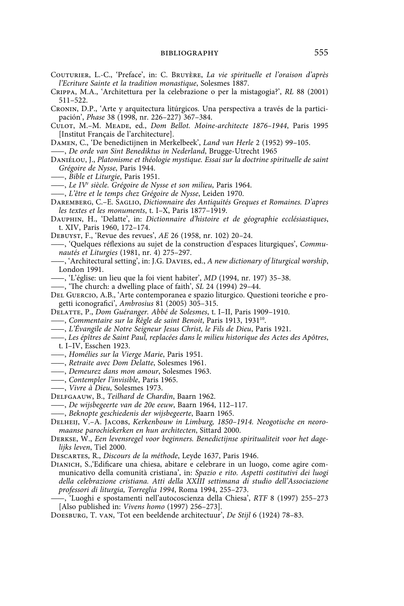- Couturier, L.-C., 'Preface', in: C. Bruyère, *La vie spirituelle et l'oraison d'après l'Ecriture Sainte et la tradition monastique*, Solesmes 1887.
- Crippa, M.A., 'Architettura per la celebrazione o per la mistagogia?', *RL* 88 (2001) 511–522.
- Cronin, D.P., 'Arte y arquitectura litúrgicos. Una perspectiva a través de la participación', *Phase* 38 (1998, nr. 226–227) 367–384.
- Culot, M.–M. Meade, ed., *Dom Bellot. Moine-architecte 1876–1944*, Paris 1995 [Institut Français de l'architecture].
- Damen, C., 'De benedictijnen in Merkelbeek', *Land van Herle* 2 (1952) 99–105.
- ——, *De orde van Sint Benediktus in Nederland*, Brugge-Utrecht 1965
- Daniélou, J., *Platonisme et théologie mystique. Essai sur la doctrine spirituelle de saint Grégoire de Nysse*, Paris 1944.
- ——, *Bible et Liturgie*, Paris 1951.
- ——, *Le IVe siècle. Grégoire de Nysse et son milieu*, Paris 1964.
- ——, *L'être et le temps chez Grégoire de Nysse*, Leiden 1970.
- Daremberg, C.–E. Saglio, *Dictionnaire des Antiquités Greques et Romaines. D'apres les textes et les monuments*, t. I–X, Paris 1877–1919.
- Dauphin, H., 'Delatte', in: *Dictionnaire d'histoire et de géographie ecclésiastiques*, t. XIV, Paris 1960, 172–174.
- Debuyst, F., 'Revue des revues', *AE* 26 (1958, nr. 102) 20–24.
- ——, 'Quelques réflexions au sujet de la construction d'espaces liturgiques', *Communautés et Liturgies* (1981, nr. 4) 275–297.
- ——, 'Architectural setting', in: J.G. Davies, ed., *A new dictionary of liturgical worship*, London 1991.
- ——, 'L'église: un lieu que la foi vient habiter', *MD* (1994, nr. 197) 35–38.
- ——, 'The church: a dwelling place of faith', *SL* 24 (1994) 29–44.
- Del Guercio, A.B., 'Arte contemporanea e spazio liturgico. Questioni teoriche e progetti iconografici', *Ambrosius* 81 (2005) 305–315.
- Delatte, P., *Dom Guéranger. Abbé de Solesmes*, t. I–II, Paris 1909–1910.
- ——, *Commentaire sur la Règle de saint Benoit*, Paris 1913, 193110.
- ——, *L'Évangile de Notre Seigneur Jesus Christ, le Fils de Dieu*, Paris 1921.
- ——, *Les épîtres de Saint Paul, replacées dans le milieu historique des Actes des Apôtres*,
- t. I–IV, Esschen 1923.
- ——, *Homélies sur la Vierge Marie*, Paris 1951.
- ——, *Retraite avec Dom Delatte*, Solesmes 1961.
- ——, *Demeurez dans mon amour*, Solesmes 1963.
- ——, *Contempler l'invisible*, Paris 1965.
- ——, *Vivre à Dieu*, Solesmes 1973.
- Delfgaauw, B., *Teilhard de Chardin*, Baarn 1962.
- ——, *De wijsbegeerte van de 20e eeuw*, Baarn 1964, 112–117.
- ——, *Beknopte geschiedenis der wijsbegeerte*, Baarn 1965.
- Delheij, V.–A. Jacobs, *Kerkenbouw in Limburg, 1850–1914. Neogotische en neoromaanse parochiekerken en hun architecten*, Sittard 2000.
- Derkse, W., *Een levensregel voor beginners. Benedictijnse spiritualiteit voor het dagelijks leven*, Tiel 2000.
- Descartes, R., *Discours de la méthode*, Leyde 1637, Paris 1946.
- Dianich, S.,'Edificare una chiesa, abitare e celebrare in un luogo, come agire communicativo della comunità cristiana', in: *Spazio e rito. Aspetti costitutivi dei luogi della celebrazione cristiana. Atti della XXIII settimana di studio dell'Associazione professori di liturgia, Torreglia 1994*, Roma 1994, 255–273.
- ——, 'Luoghi e spostamenti nell'autocoscienza della Chiesa', *RTF* 8 (1997) 255–273 [Also published in: *Vivens homo* (1997) 256–273].
- Doesburg, T. van, 'Tot een beeldende architectuur', *De Stijl* 6 (1924) 78–83.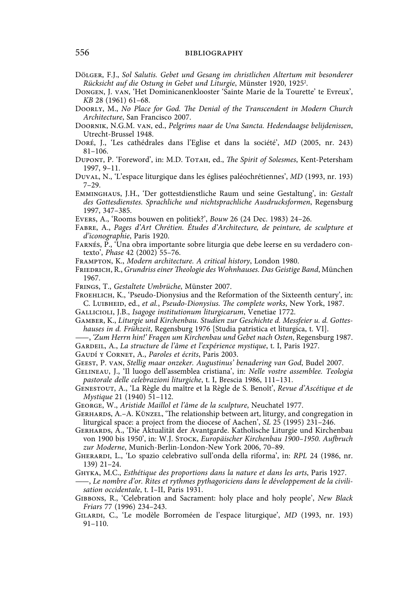## 556 **bibliography bibliography**

- Dölger, F.J., *Sol Salutis. Gebet und Gesang im christlichen Altertum mit besonderer Rücksicht auf die Ostung in Gebet und Liturgie*, Münster 1920, 19252 .
- Dongen, J. van, 'Het Dominicanenklooster 'Sainte Marie de la Tourette' te Evreux', *KB* 28 (1961) 61–68.
- Doorly, M., *No Place for God. The Denial of the Transcendent in Modern Church Architecture*, San Francisco 2007.
- Doornik, N.G.M. van, ed., *Pelgrims naar de Una Sancta. Hedendaagse belijdenissen*, Utrecht-Brussel 1948.
- Doré, J., 'Les cathédrales dans l'Eglise et dans la société', *MD* (2005, nr. 243) 81–106.
- Dupont, P. 'Foreword', in: M.D. Totah, ed., *The Spirit of Solesmes*, Kent-Petersham 1997, 9–11.
- Duval, N., 'L'espace liturgique dans les églises paléochrétiennes', *MD* (1993, nr. 193) 7–29.
- Emminghaus, J.H., 'Der gottestdienstliche Raum und seine Gestaltung', in: *Gestalt des Gottesdienstes. Sprachliche und nichtsprachliche Ausdrucksformen*, Regensburg 1997, 347–385.
- Evers, A., 'Rooms bouwen en politiek?', *Bouw* 26 (24 Dec. 1983) 24–26.
- Fabre, A., *Pages d'Art Chrétien. Études d'Architecture, de peinture, de sculpture et d'iconographie*, Paris 1920.
- Farnés, P., 'Una obra importante sobre liturgia que debe leerse en su verdadero contexto', *Phase* 42 (2002) 55–76.
- Frampton, K., *Modern architecture. A critical history*, London 1980.
- FRIEDRICH, R., *Grundriss einer Theologie des Wohnhauses*. Das Geistige Band, München 1967.
- Frings, T., *Gestaltete Umbrüche*, Münster 2007.
- FROEHLICH, K., 'Pseudo-Dionysius and the Reformation of the Sixteenth century', in: C. Luibheid, ed., *et al.*, *Pseudo-Dionysius. The complete works*, New York, 1987.
- Gallicioli, J.B., *Isagoge institutionum liturgicarum*, Venetiae 1772.
- Gamber, K., *Liturgie und Kirchenbau. Studien zur Geschichte d. Messfeier u. d. Gotteshauses in d. Frühzeit*, Regensburg 1976 [Studia patristica et liturgica, t. VI].
- ——, *'Zum Herrn hin!' Fragen um Kirchenbau und Gebet nach Osten*, Regensburg 1987.
- Gardeil, A., *La structure de l'âme et l'expérience mystique*, t. I, Paris 1927.

Gaudí y Cornet, A., *Paroles et écrits*, Paris 2003.

- Geest, P. van, *Stellig maar onzeker. Augustinus' benadering van God*, Budel 2007.
- Gelineau, J., 'Il luogo dell'assemblea cristiana', in: *Nelle vostre assemblee. Teologia pastorale delle celebrazioni liturgiche*, t. I, Brescia 1986, 111–131.
- Genestout, A., 'La Règle du maître et la Règle de S. Benoît', *Revue d'Ascétique et de Mystique* 21 (1940) 51–112.
- George, W., *Aristide Maillol et l'âme de la sculpture*, Neuchatel 1977.
- GERHARDS, A.-A. KÜNZEL, 'The relationship between art, liturgy, and congregation in liturgical space: a project from the diocese of Aachen', *SL* 25 (1995) 231–246.
- Gerhards, A., 'Die Aktualität der Avantgarde. Katholische Liturgie und Kirchenbau von 1900 bis 1950', in: W.J. Stock, *Europäischer Kirchenbau 1900–1950. Aufbruch zur Moderne*, Munich-Berlin-London-New York 2006, 70–89.
- Gherardi, L., 'Lo spazio celebrativo sull'onda della riforma', in: *RPL* 24 (1986, nr. 139) 21–24.
- Ghyka, M.C., *Esthétique des proportions dans la nature et dans les arts*, Paris 1927.
- ——, *Le nombre d'or. Rites et rythmes pythagoriciens dans le développement de la civilisation occidentale*, t. I–II, Paris 1931.
- Gibbons, R., 'Celebration and Sacrament: holy place and holy people', *New Black Friars* 77 (1996) 234–243.
- Gilardi, C., 'Le modèle Borroméen de l'espace liturgique', *MD* (1993, nr. 193) 91–110.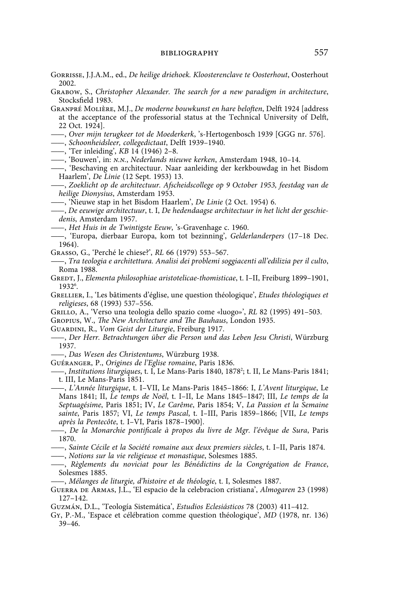- Gorrisse, J.J.A.M., ed., *De heilige driehoek. Kloosterenclave te Oosterhout*, Oosterhout 2002.
- Grabow, S., *Christopher Alexander. The search for a new paradigm in architecture*, Stocksfield 1983.
- Granpré Molière, M.J., *De moderne bouwkunst en hare beloften*, Delft 1924 [address at the acceptance of the professorial status at the Technical University of Delft, 22 Oct. 1924].
- ——, *Over mijn terugkeer tot de Moederkerk*, 's-Hertogenbosch 1939 [GGG nr. 576].
- ——, *Schoonheidsleer, collegedictaat*, Delft 1939–1940.
- ——, 'Ter inleiding', *KB* 14 (1946) 2–8.
- ——, 'Bouwen', in: *n.n.*, *Nederlands nieuwe kerken*, Amsterdam 1948, 10–14.
- ——, 'Beschaving en architectuur. Naar aanleiding der kerkbouwdag in het Bisdom Haarlem', *De Linie* (12 Sept. 1953) 13.
- ——, *Zoeklicht op de architectuur. Afscheidscollege op 9 October 1953, feestdag van de heilige Dionysius*, Amsterdam 1953.
- ——, 'Nieuwe stap in het Bisdom Haarlem', *De Linie* (2 Oct. 1954) 6.
- ——, *De eeuwige architectuur*, t. I, *De hedendaagse architectuur in het licht der geschiedenis*, Amsterdam 1957.
- ——, *Het Huis in de Twintigste Eeuw*, 's-Gravenhage c. 1960.
- ——, 'Europa, dierbaar Europa, kom tot bezinning', *Gelderlanderpers* (17–18 Dec. 1964).
- Grasso, G., 'Perché le chiese?', *RL* 66 (1979) 553–567.
- ——, *Tra teologia e architettura. Analisi dei problemi soggiacenti all'edilizia per il culto*, Roma 1988.
- Gredt, J., *Elementa philosophiae aristotelicae-thomisticae*, t. I–II, Freiburg 1899–1901, 19326 .
- Grellier, I., 'Les bâtiments d'église, une question théologique', *Etudes théologiques et religieses*, 68 (1993) 537–556.
- Grillo, A., 'Verso una teologia dello spazio come «luogo»', *RL* 82 (1995) 491–503.
- Gropius, W., *The New Architecture and The Bauhaus*, London 1935.
- Guardini, R., *Vom Geist der Liturgie*, Freiburg 1917.
- ——, *Der Herr. Betrachtungen über die Person und das Leben Jesu Christi*, Würzburg 1937.
- ——, *Das Wesen des Christentums*, Würzburg 1938.
- Guéranger, P., *Origines de l'Eglise romaine*, Paris 1836.

- ——, *L'Année liturgique*, t. I–VII, Le Mans-Paris 1845–1866: I, *L'Avent liturgique*, Le Mans 1841; II, *Le temps de Noël*, t. I–II, Le Mans 1845–1847; III, *Le temps de la Septuagésime*, Paris 1851; IV, *Le Carême*, Paris 1854; V, *La Passion et la Semaine sainte*, Paris 1857; VI, *Le temps Pascal*, t. I–III, Paris 1859–1866; [VII, *Le temps après la Pentecôte*, t. I–VI, Paris 1878–1900].
- ——, *De la Monarchie pontificale à propos du livre de Mgr. l'évêque de Sura*, Paris 1870.
- ——, *Sainte Cécile et la Société romaine aux deux premiers siècles*, t. I–II, Paris 1874.
- ——, *Notions sur la vie religieuse et monastique*, Solesmes 1885.
- ——, *Règlements du noviciat pour les Bénédictins de la Congrégation de France*, Solesmes 1885.
- ——, *Mélanges de liturgie, d'histoire et de théologie*, t. I, Solesmes 1887.
- Guerra de Armas, J.L., 'El espacio de la celebracion cristiana', *Almogaren* 23 (1998) 127–142.
- Guzmán, D.L., 'Teología Sistemática', *Estudios Eclesiásticos* 78 (2003) 411–412.
- Gy, P.-M., 'Espace et célébration comme question théologique', *MD* (1978, nr. 136) 39–46.

<sup>——,</sup> *Institutions liturgiques*, t. I, Le Mans-Paris 1840, 18782 ; t. II, Le Mans-Paris 1841; t. III, Le Mans-Paris 1851.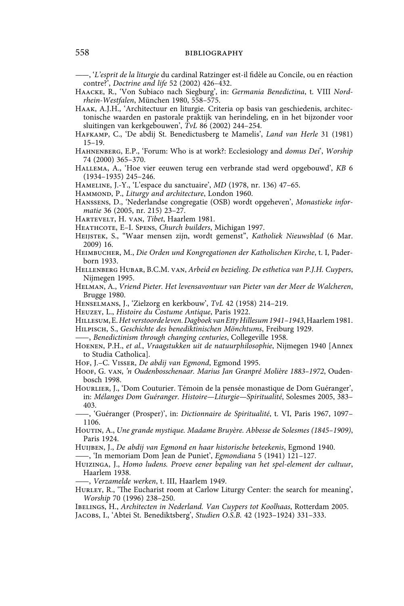——, '*L'esprit de la liturgie* du cardinal Ratzinger est-il fidèle au Concile, ou en réaction contre?', *Doctrine and life* 52 (2002) 426–432.

- Haacke, R., 'Von Subiaco nach Siegburg', in: *Germania Benedictina*, t. VIII *Nordrhein-Westfalen*, München 1980, 558–575.
- Haak, A.J.H., 'Architectuur en liturgie. Criteria op basis van geschiedenis, architectonische waarden en pastorale praktijk van herindeling, en in het bijzonder voor sluitingen van kerkgebouwen', *TvL* 86 (2002) 244–254.
- Hafkamp, C., 'De abdij St. Benedictusberg te Mamelis', *Land van Herle* 31 (1981) 15–19.
- Hahnenberg, E.P., 'Forum: Who is at work?: Ecclesiology and *domus Dei*', *Worship* 74 (2000) 365–370.
- Hallema, A., 'Hoe vier eeuwen terug een verbrande stad werd opgebouwd', *KB* 6 (1934–1935) 245–246.
- Hameline, J.-Y., 'L'espace du sanctuaire', *MD* (1978, nr. 136) 47–65.
- HAMMOND, P., *Liturgy and architecture*, London 1960.
- Hanssens, D., 'Nederlandse congregatie (OSB) wordt opgeheven', *Monastieke informatie* 36 (2005, nr. 215) 23–27.
- Hartevelt, H. van, *Tibet*, Haarlem 1981.
- Heathcote, E–I. Spens, *Church builders*, Michigan 1997.
- Heijstek, S., "Waar mensen zijn, wordt gemenst", *Katholiek Nieuwsblad* (6 Mar. 2009) 16.
- Heimbucher, M., *Die Orden und Kongregationen der Katholischen Kirche*, t. I, Paderborn 1933.
- Hellenberg Hubar, B.C.M. van, *Arbeid en bezieling. De esthetica van P.J.H. Cuypers*, Nijmegen 1995.
- Helman, A., *Vriend Pieter. Het levensavontuur van Pieter van der Meer de Walcheren*, Brugge 1980.
- Henselmans, J., 'Zielzorg en kerkbouw', *TvL* 42 (1958) 214–219.
- Heuzey, L., *Histoire du Costume Antique*, Paris 1922.
- Hillesum, E. *Het verstoorde leven. Dagboek van Etty Hillesum 1941–1943*, Haarlem 1981.
- Hilpisch, S., *Geschichte des benediktinischen Mönchtums*, Freiburg 1929.
- ——, *Benedictinism through changing centuries*, Collegeville 1958.
- Hoenen, P.H., *et al.*, *Vraagstukken uit de natuurphilosophie*, Nijmegen 1940 [Annex to Studia Catholica].
- Hof, J.–C. Visser, *De abdij van Egmond*, Egmond 1995.
- Hoof, G. van, *'n Oudenbosschenaar. Marius Jan Granpré Molière 1883–1972*, Oudenbosch 1998.
- HOURLIER, J., 'Dom Couturier. Témoin de la pensée monastique de Dom Guéranger', in: *Mélanges Dom Guéranger. Histoire—Liturgie—Spiritualité*, Solesmes 2005, 383– 403.

——, 'Guéranger (Prosper)', in: *Dictionnaire de Spiritualité*, t. VI, Paris 1967, 1097– 1106.

- HOUTIN, A., *Une grande mystique. Madame Bruyère. Abbesse de Solesmes (1845-1909)*, Paris 1924.
- Huijben, J., *De abdij van Egmond en haar historische beteekenis*, Egmond 1940.

——, 'In memoriam Dom Jean de Puniet', *Egmondiana* 5 (1941) 121–127.

Huizinga, J., *Homo ludens. Proeve eener bepaling van het spel-element der cultuur*, Haarlem 1938.

——, *Verzamelde werken*, t. III, Haarlem 1949.

HURLEY, R., 'The Eucharist room at Carlow Liturgy Center: the search for meaning', *Worship* 70 (1996) 238–250.

Ibelings, H., *Architecten in Nederland. Van Cuypers tot Koolhaas*, Rotterdam 2005. Jacobs, I., 'Abtei St. Benediktsberg', *Studien O.S.B.* 42 (1923–1924) 331–333.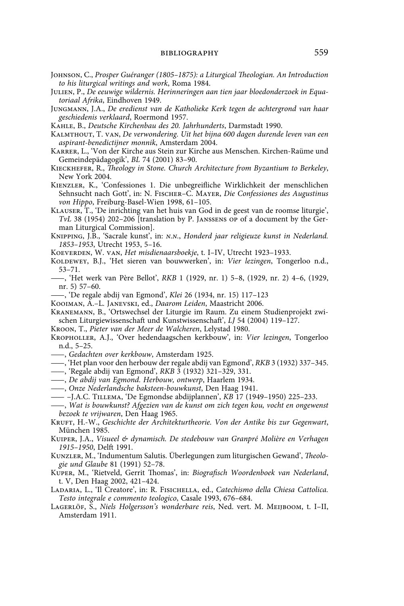- Johnson, C., *Prosper Guéranger (1805–1875): a Liturgical Theologian. An Introduction to his liturgical writings and work*, Roma 1984.
- Julien, P., *De eeuwige wildernis. Herinneringen aan tien jaar bloedonderzoek in Equatoriaal Afrika*, Eindhoven 1949.
- Jungmann, J.A., *De eredienst van de Katholieke Kerk tegen de achtergrond van haar geschiedenis verklaard*, Roermond 1957.
- Kahle, B., *Deutsche Kirchenbau des 20. Jahrhunderts*, Darmstadt 1990.
- Kalmthout, T. van, *De verwondering. Uit het bijna 600 dagen durende leven van een aspirant-benedictijner monnik*, Amsterdam 2004.
- Karrer, L., 'Von der Kirche aus Stein zur Kirche aus Menschen. Kirchen-Raüme und Gemeindepädagogik', *BL* 74 (2001) 83–90.
- Kieckhefer, R., *Theology in Stone. Church Architecture from Byzantium to Berkeley*, New York 2004.
- Kienzler, K., 'Confessiones 1. Die unbegreifliche Wirklichkeit der menschlichen Sehnsucht nach Gott', in: N. Fischer–C. Mayer, *Die Confessiones des Augustinus von Hippo*, Freiburg-Basel-Wien 1998, 61–105.
- Klauser, T., 'De inrichting van het huis van God in de geest van de roomse liturgie', *TvL* 38 (1954) 202–206 [translation by P. Janssens op of a document by the German Liturgical Commission].
- Knipping, J.B., 'Sacrale kunst', in: *n.n.*, *Honderd jaar religieuze kunst in Nederland. 1853–1953*, Utrecht 1953, 5–16.
- Koeverden, W. van, *Het misdienaarsboekje*, t. I–IV, Utrecht 1923–1933.
- Koldewey, B.J., 'Het sieren van bouwwerken', in: *Vier lezingen*, Tongerloo n.d., 53–71.
- ——, 'Het werk van Père Bellot', *RKB* 1 (1929, nr. 1) 5–8, (1929, nr. 2) 4–6, (1929, nr. 5) 57–60.
- ——, 'De regale abdij van Egmond', *Klei* 26 (1934, nr. 15) 117–123
- Kooiman, A.–L. Janevski, ed., *Daarom Leiden*, Maastricht 2006.
- Kranemann, B., 'Ortswechsel der Liturgie im Raum. Zu einem Studienprojekt zwischen Liturgiewissenschaft und Kunstwissenschaft', *LJ* 54 (2004) 119–127.
- Kroon, T., *Pieter van der Meer de Walcheren*, Lelystad 1980.
- Kropholler, A.J., 'Over hedendaagschen kerkbouw', in: *Vier lezingen*, Tongerloo n.d., 5–25.
- ——, *Gedachten over kerkbouw*, Amsterdam 1925.
- ——, 'Het plan voor den herbouw der regale abdij van Egmond', *RKB* 3 (1932) 337–345.
- ——, 'Regale abdij van Egmond', *RKB* 3 (1932) 321–329, 331.
- ——, *De abdij van Egmond. Herbouw, ontwerp*, Haarlem 1934.
- ——, *Onze Nederlandsche baksteen-bouwkunst*, Den Haag 1941.
- —— –J.A.C. Tillema, 'De Egmondse abdijplannen', *KB* 17 (1949–1950) 225–233.
- ——, *Wat is bouwkunst? Afgezien van de kunst om zich tegen kou, vocht en ongewenst bezoek te vrijwaren*, Den Haag 1965.
- Kruft, H.-W., *Geschichte der Architekturtheorie. Von der Antike bis zur Gegenwart*, München 1985.
- Kuiper, J.A., *Visueel & dynamisch. De stedebouw van Granpré Molière en Verhagen 1915–1950*, Delft 1991.
- Kunzler, M., 'Indumentum Salutis. Überlegungen zum liturgischen Gewand', *Theologie und Glaube* 81 (1991) 52–78.
- Kuper, M., 'Rietveld, Gerrit Thomas', in: *Biografisch Woordenboek van Nederland*, t. V, Den Haag 2002, 421–424.
- Ladaria, L., 'Il Creatore', in: R. Fisichella, ed., *Catechismo della Chiesa Cattolica. Testo integrale e commento teologico*, Casale 1993, 676–684.
- Lagerlöf, S., *Niels Holgersson's wonderbare reis*, Ned. vert. M. Meijboom, t. I–II, Amsterdam 1911.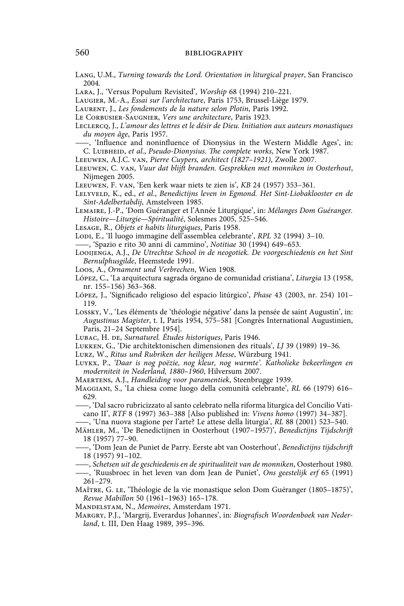Lang, U.M., *Turning towards the Lord. Orientation in liturgical prayer*, San Francisco 2004.

- Lara, J., 'Versus Populum Revisited', *Worship* 68 (1994) 210–221.
- Laugier, M.-A., *Essai sur l'architecture*, Paris 1753, Brussel-Liège 1979.
- Laurent, J., *Les fondements de la nature selon Plotin*, Paris 1992.
- Le Corbusier-Saugnier, *Vers une architecture*, Paris 1923.
- Leclercq, J., *L'amour des lettres et le désir de Dieu. Initiation aux auteurs monastiques du moyen âge*, Paris 1957.
- ——, 'Influence and noninfluence of Dionysius in the Western Middle Ages', in: C. Luibheid, *et al*., *Pseudo-Dionysius. The complete works*, New York 1987.
- Leeuwen, A.J.C. van, *Pierre Cuypers, architect (1827–1921)*, Zwolle 2007.
- Leeuwen, C. van, *Vuur dat blijft branden. Gesprekken met monniken in Oosterhout*, Nijmegen 2005.
- Leeuwen, F. van, 'Een kerk waar niets te zien is', *KB* 24 (1957) 353–361.
- Lelyveld, K., ed., *et al.*, *Benedictijns leven in Egmond. Het Sint-Liobaklooster en de Sint-Adelbertabdij*, Amstelveen 1985.
- Lemaire, J.-P., 'Dom Guéranger et l'Année Liturgique', in: *Mélanges Dom Guéranger. Histoire—Liturgie—Spiritualité*, Solesmes 2005, 525–546.
- Lesage, R., *Objets et habits liturgiques*, Paris 1958.
- Lodi, E., 'Il luogo immagine dell'assemblea celebrante', *RPL* 32 (1994) 3–10.
- ——, 'Spazio e rito 30 anni di cammino', *Notitiae* 30 (1994) 649–653.
- Looijenga, A.J., *De Utrechtse School in de neogotiek. De voorgeschiedenis en het Sint Bernulphusgilde*, Heemstede 1991.
- Loos, A., *Ornament und Verbrechen*, Wien 1908.
- López, C., 'La arquitectura sagrada órgano de comunidad cristiana', *Liturgia* 13 (1958, nr. 155–156) 363–368.
- López, J., 'Significado religioso del espacio litúrgico', *Phase* 43 (2003, nr. 254) 101– 119.
- Lossky, V., 'Les éléments de 'théologie négative' dans la pensée de saint Augustin', in: *Augustinus Magister*, t. I, Paris 1954, 575–581 [Congrès International Augustinien, Paris, 21–24 Septembre 1954].
- Lubac, H. de, *Surnaturel. Études historiques*, Paris 1946.
- Lukken, G., 'Die architektonischen dimensionen des rituals', *LJ* 39 (1989) 19–36.
- Lurz, W., *Ritus und Rubriken der heiligen Messe*, Würzburg 1941.
- Luykx, P., *'Daar is nog poëzie, nog kleur, nog warmte'. Katholieke bekeerlingen en moderniteit in Nederland, 1880–1960*, Hilversum 2007.

Maertens, A.J., *Handleiding voor paramentiek*, Steenbrugge 1939.

- Maggiani, S., 'La chiesa come luogo della comunità celebrante', *RL* 66 (1979) 616– 629.
- ——, 'Dal sacro rubricizzato al santo celebrato nella riforma liturgica del Concilio Vaticano II', *RTF* 8 (1997) 363–388 [Also published in: *Vivens homo* (1997) 34–387].
- ——, 'Una nuova stagione per l'arte? Le attese della liturgia', *RL* 88 (2001) 523–540.

Mähler, M., 'De Benedictijnen in Oosterhout (1907–1957)', *Benedictijns Tijdschrift*  18 (1957) 77–90.

- ——, 'Dom Jean de Puniet de Parry. Eerste abt van Oosterhout', *Benedictijns tijdschrift* 18 (1957) 91–102.
- ——, *Schetsen uit de geschiedenis en de spiritualiteit van de monniken*, Oosterhout 1980.
- ——, 'Ruusbroec in het leven van dom Jean de Puniet', *Ons geestelijk erf* 65 (1991) 261–279.
- Maître, G. le, 'Théologie de la vie monastique selon Dom Guéranger (1805–1875)', *Revue Mabillon* 50 (1961–1963) 165–178.
- Mandelstam, N., *Memoires*, Amsterdam 1971.
- Margry, P.J., 'Margrij, Everardus Johannes', in: *Biografisch Woordenboek van Nederland*, t. III, Den Haag 1989, 395–396.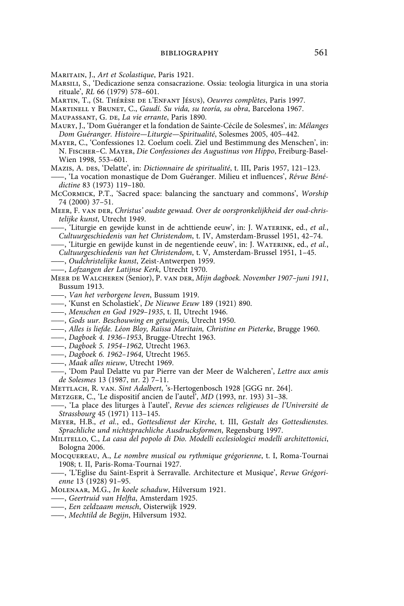Maritain, J., *Art et Scolastique*, Paris 1921.

- Marsili, S., 'Dedicazione senza consacrazione. Ossia: teologia liturgica in una storia rituale', *RL* 66 (1979) 578–601.
- Martin, T., (St. Thérèse de l'Enfant Jésus), *Oeuvres complètes*, Paris 1997.
- Martinell y Brunet, C., *Gaudí. Su vida, su teoría, su obra*, Barcelona 1967.

MAUPASSANT, G. DE, *La vie errante*, Paris 1890.

- Maury, J., 'Dom Guéranger et la fondation de Sainte-Cécile de Solesmes', in: *Mélanges Dom Guéranger. Histoire—Liturgie—Spiritualité*, Solesmes 2005, 405–442.
- Mayer, C., 'Confessiones 12. Coelum coeli. Ziel und Bestimmung des Menschen', in: N. Fischer–C. Mayer, *Die Confessiones des Augustinus von Hippo*, Freiburg-Basel-Wien 1998, 553–601.
- MAZIS, A. DES, 'Delatte', in: *Dictionnaire de spiritualité*, t. III, Paris 1957, 121-123.
- ——, 'La vocation monastique de Dom Guéranger. Milieu et influences', *Révue Bénédictine* 83 (1973) 119–180.
- McCormick, P.T., 'Sacred space: balancing the sanctuary and commons', *Worship* 74 (2000) 37–51.
- Meer, F. van der, *Christus' oudste gewaad. Over de oorspronkelijkheid der oud-christelijke kunst*, Utrecht 1949.
- ——, 'Liturgie en gewijde kunst in de achttiende eeuw', in: J. Waterink, ed., *et al.*, *Cultuurgeschiedenis van het Christendom*, t. IV, Amsterdam-Brussel 1951, 42–74.
- ——, 'Liturgie en gewijde kunst in de negentiende eeuw', in: J. Waterink, ed., *et al.*, *Cultuurgeschiedenis van het Christendom*, t. V, Amsterdam-Brussel 1951, 1–45.
- ——, *Oudchristelijke kunst*, Zeist-Antwerpen 1959.
- ——, *Lofzangen der Latijnse Kerk*, Utrecht 1970.
- Meer de Walcheren (Senior), P. van der, *Mijn dagboek. November 1907–juni 1911*, Bussum 1913.
- ——, *Van het verborgene leven*, Bussum 1919.
- ——, 'Kunst en Scholastiek', *De Nieuwe Eeuw* 189 (1921) 890.
- ——, *Menschen en God 1929–1935*, t. II, Utrecht 1946.
- ——, *Gods uur. Beschouwing en getuigenis*, Utrecht 1950.
- ——, *Alles is liefde. Léon Bloy, Raïssa Maritain, Christine en Pieterke*, Brugge 1960.
- ——, *Dagboek 4. 1936–1953*, Brugge-Utrecht 1963.
- ——, *Dagboek 5. 1954–1962*, Utrecht 1963.
- ——, *Dagboek 6. 1962–1964*, Utrecht 1965.
- ——, *Maak alles nieuw*, Utrecht 1969.
- ——, 'Dom Paul Delatte vu par Pierre van der Meer de Walcheren', *Lettre aux amis de Solesmes* 13 (1987, nr. 2) 7–11.
- Mettlach, R. van. *Sint Adalbert*, 's-Hertogenbosch 1928 [GGG nr. 264].
- Metzger, C., 'Le dispositif ancien de l'autel', *MD* (1993, nr. 193) 31–38.
- ——, 'La place des liturges à l'autel', *Revue des sciences religieuses de l'Université de Strassbourg* 45 (1971) 113–145.
- Meyer, H.B., *et al.*, ed., *Gottesdienst der Kirche*, t. III, *Gestalt des Gottesdienstes. Sprachliche und nichtsprachliche Ausdrucksformen*, Regensburg 1997.
- Militello, C., *La casa del popolo di Dio. Modelli ecclesiologici modelli architettonici*, Bologna 2006.
- Mocquereau, A., *Le nombre musical ou rythmique grégorienne*, t. I, Roma-Tournai 1908; t. II, Paris-Roma-Tournai 1927.
- ——, 'L'Eglise du Saint-Esprit à Serravalle. Architecture et Musique', *Revue Grégorienne* 13 (1928) 91–95.
- Molenaar, M.G., *In koele schaduw*, Hilversum 1921.
- ——, *Geertruid van Helfta*, Amsterdam 1925.
- ——, *Een zeldzaam mensch*, Oisterwijk 1929.
- ——, *Mechtild de Begijn*, Hilversum 1932.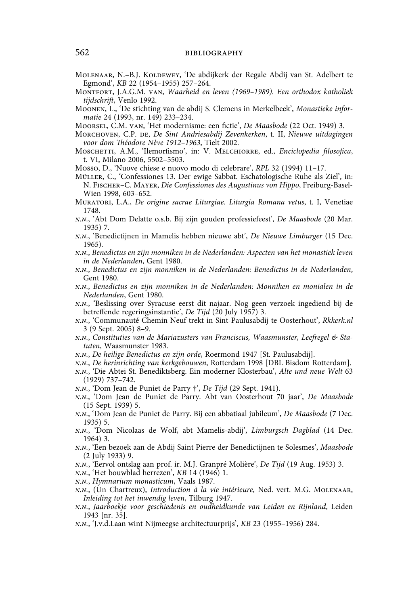- MOLENAAR, N.-B.J. KOLDEWEY, 'De abdijkerk der Regale Abdij van St. Adelbert te Egmond', *KB* 22 (1954–1955) 257–264.
- Montfort, J.A.G.M. van, *Waarheid en leven (1969–1989). Een orthodox katholiek tijdschrift*, Venlo 1992.
- Moonen, L., 'De stichting van de abdij S. Clemens in Merkelbeek', *Monastieke informatie* 24 (1993, nr. 149) 233–234.
- Moorsel, C.M. van, 'Het modernisme: een fictie', *De Maasbode* (22 Oct. 1949) 3.
- Morchoven, C.P. de, *De Sint Andriesabdij Zevenkerken*, t. II, *Nieuwe uitdagingen voor dom Théodore Nève 1912–1963*, Tielt 2002.
- Moschetti, A.M., 'Ilemorfismo', in: V. Melchiorre, ed., *Enciclopedia filosofica*, t. VI, Milano 2006, 5502–5503.
- Mosso, D., 'Nuove chiese e nuovo modo di celebrare', *RPL* 32 (1994) 11–17.
- Müller, C., 'Confessiones 13. Der ewige Sabbat. Eschatologische Ruhe als Ziel', in: N. Fischer–C. Mayer, *Die Confessiones des Augustinus von Hippo*, Freiburg-Basel-Wien 1998, 603–652.
- Muratori, L.A., *De origine sacrae Liturgiae. Liturgia Romana vetus*, t. I, Venetiae 1748.
- *n.n.*, 'Abt Dom Delatte o.s.b. Bij zijn gouden professiefeest', *De Maasbode* (20 Mar. 1935) 7.
- *n.n.*, 'Benedictijnen in Mamelis hebben nieuwe abt', *De Nieuwe Limburger* (15 Dec. 1965).
- *n.n.*, *Benedictus en zijn monniken in de Nederlanden: Aspecten van het monastiek leven in de Nederlanden*, Gent 1980.
- *n.n.*, *Benedictus en zijn monniken in de Nederlanden: Benedictus in de Nederlanden*, Gent 1980.
- *n.n.*, *Benedictus en zijn monniken in de Nederlanden: Monniken en monialen in de Nederlanden*, Gent 1980.
- *n.n.*, 'Beslissing over Syracuse eerst dit najaar. Nog geen verzoek ingediend bij de betreffende regeringsinstantie', *De Tijd* (20 July 1957) 3.
- *n.n.*, 'Communauté Chemin Neuf trekt in Sint-Paulusabdij te Oosterhout', *Rkkerk.nl* 3 (9 Sept. 2005) 8–9.
- *n.n.*, *Constituties van de Mariazusters van Franciscus, Waasmunster, Leefregel & Statuten*, Waasmunster 1983.
- *n.n.*, *De heilige Benedictus en zijn orde*, Roermond 1947 [St. Paulusabdij].
- *n.n.*, *De herinrichting van kerkgebouwen*, Rotterdam 1998 [DBL Bisdom Rotterdam].
- *n.n.*, 'Die Abtei St. Benediktsberg. Ein moderner Klosterbau', *Alte und neue Welt* 63 (1929) 737–742.
- *n.n.*, 'Dom Jean de Puniet de Parry †', *De Tijd* (29 Sept. 1941).
- *n.n.*, 'Dom Jean de Puniet de Parry. Abt van Oosterhout 70 jaar', *De Maasbode* (15 Sept. 1939) 5.
- *n.n.*, 'Dom Jean de Puniet de Parry. Bij een abbatiaal jubileum', *De Maasbode* (7 Dec. 1935) 5.
- *n.n.*, 'Dom Nicolaas de Wolf, abt Mamelis-abdij', *Limburgsch Dagblad* (14 Dec. 1964) 3.
- *n.n.*, 'Een bezoek aan de Abdij Saint Pierre der Benedictijnen te Solesmes', *Maasbode* (2 July 1933) 9.
- *n.n.*, 'Eervol ontslag aan prof. ir. M.J. Granpré Molière', *De Tijd* (19 Aug. 1953) 3.
- *n.n.*, 'Het bouwblad herrezen', *KB* 14 (1946) 1.
- *n.n.*, *Hymnarium monasticum*, Vaals 1987.
- *n.n.*, (Un Chartreux), *Introduction à la vie intérieure*, Ned. vert. M.G. Molenaar, *Inleiding tot het inwendig leven*, Tilburg 1947.
- *n.n.*, *Jaarboekje voor geschiedenis en oudheidkunde van Leiden en Rijnland*, Leiden 1943 [nr. 35].
- *n.n.*, 'J.v.d.Laan wint Nijmeegse architectuurprijs', *KB* 23 (1955–1956) 284.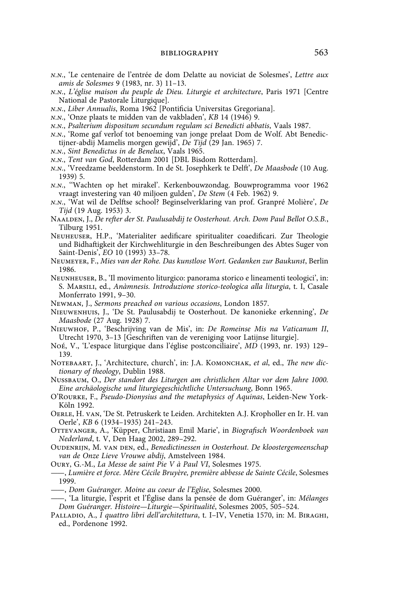- *n.n.*, 'Le centenaire de l'entrée de dom Delatte au noviciat de Solesmes', *Lettre aux amis de Solesmes* 9 (1983, nr. 3) 11–13.
- *n.n.*, *L'église maison du peuple de Dieu. Liturgie et architecture*, Paris 1971 [Centre National de Pastorale Liturgique].
- *n.n.*, *Liber Annualis*, Roma 1962 [Pontificia Universitas Gregoriana].
- *n.n.*, 'Onze plaats te midden van de vakbladen', *KB* 14 (1946) 9.
- *n.n.*, *Psalterium dispositum secundum regulam sci Benedicti abbatis*, Vaals 1987.
- *n.n.*, 'Rome gaf verlof tot benoeming van jonge prelaat Dom de Wolf. Abt Benedictijner-abdij Mamelis morgen gewijd', *De Tijd* (29 Jan. 1965) 7.
- *n.n.*, *Sint Benedictus in de Benelux*, Vaals 1965.
- *n.n.*, *Tent van God*, Rotterdam 2001 [DBL Bisdom Rotterdam].
- *n.n.*, 'Vreedzame beeldenstorm. In de St. Josephkerk te Delft', *De Maasbode* (10 Aug. 1939) 5.
- *n.n.*, ''Wachten op het mirakel'. Kerkenbouwzondag. Bouwprogramma voor 1962 vraagt investering van 40 miljoen gulden', *De Stem* (4 Feb. 1962) 9.
- *n.n.*, 'Wat wil de Delftse school? Beginselverklaring van prof. Granpré Molière', *De Tijd* (19 Aug. 1953) 3.
- Naalden, J., *De refter der St. Paulusabdij te Oosterhout. Arch. Dom Paul Bellot O.S.B.*, Tilburg 1951.
- Neuheuser, H.P., 'Materialiter aedificare spiritualiter coaedificari. Zur Theologie und Bidhaftigkeit der Kirchwehliturgie in den Beschreibungen des Abtes Suger von Saint-Denis', *EO* 10 (1993) 33–78.
- Neumeyer, F., *Mies van der Rohe. Das kunstlose Wort. Gedanken zur Baukunst*, Berlin 1986.
- Neunheuser, B., 'Il movimento liturgico: panorama storico e lineamenti teologici', in: S. Marsili, ed., *Anàmnesis. Introduzione storico-teologica alla liturgia*, t. I, Casale Monferrato 1991, 9–30.
- Newman, J., *Sermons preached on various occasions*, London 1857.
- Nieuwenhuis, J., 'De St. Paulusabdij te Oosterhout. De kanonieke erkenning', *De Maasbode* (27 Aug. 1928) 7.
- Nieuwhof, P*.*, 'Beschrijving van de Mis', in: *De Romeinse Mis na Vaticanum II*, Utrecht 1970, 3–13 [Geschriften van de vereniging voor Latijnse liturgie].
- Noé, V., 'L'espace liturgique dans l'église postconciliaire', *MD* (1993, nr. 193) 129– 139.
- Notebaart, J., 'Architecture, church', in: J.A. Komonchak, *et al*, ed., *The new dictionary of theology*, Dublin 1988.
- Nußbaum, O., *Der standort des Liturgen am christlichen Altar vor dem Jahre 1000. Eine archäologische und liturgiegeschichtliche Untersuchung*, Bonn 1965.
- O'Rourke, F., *Pseudo-Dionysius and the metaphysics of Aquinas*, Leiden-New York-Köln 1992.
- Oerle, H. van, 'De St. Petruskerk te Leiden. Architekten A.J. Kropholler en Ir. H. van Oerle', *KB* 6 (1934–1935) 241–243.
- OTTEVANGER, A., 'Küpper, Christiaan Emil Marie', in *Biografisch Woordenboek van Nederland*, t. V, Den Haag 2002, 289–292.
- Oudenrijn, M. van den, ed., *Benedictinessen in Oosterhout. De kloostergemeenschap van de Onze Lieve Vrouwe abdij*, Amstelveen 1984.
- Oury, G.-M., *La Messe de saint Pie V à Paul VI*, Solesmes 1975.
- ——, *Lumière et force. Mère Cécile Bruyère, première abbesse de Sainte Cécile*, Solesmes 1999.
- ——, *Dom Guéranger. Moine au coeur de l'Eglise*, Solesmes 2000.
- ——, 'La liturgie, l'esprit et l'Église dans la pensée de dom Guéranger', in: *Mélanges Dom Guéranger. Histoire—Liturgie—Spiritualité*, Solesmes 2005, 505–524.
- Palladio, A., *I quattro libri dell'architettura*, t. I–IV, Venetia 1570, in: M. Biraghi, ed., Pordenone 1992.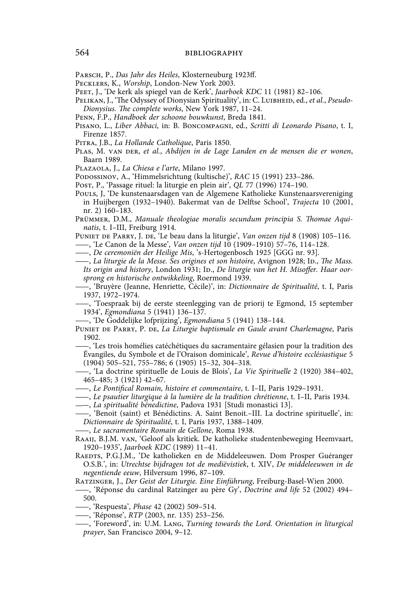- Parsch, P., *Das Jahr des Heiles*, Klosterneuburg 1923ff.
- Pecklers, K., *Worship*, London-New York 2003.
- Peet, J., 'De kerk als spiegel van de Kerk', *Jaarboek KDC* 11 (1981) 82–106.
- PELIKAN, J., 'The Odyssey of Dionysian Spirituality', in: C. LUIBHEID, ed., et al., Pseudo-*Dionysius. The complete works*, New York 1987, 11–24.
- Penn, F.P., *Handboek der schoone bouwkunst*, Breda 1841.
- Pisano, L., *Liber Abbaci*, in: B. Boncompagni, ed., *Scritti di Leonardo Pisano*, t. I, Firenze 1857.
- Pitra, J.B., *La Hollande Catholique*, Paris 1850.
- PLAS, M. VAN DER, et al., *Abdijen in de Lage Landen en de mensen die er wonen*, Baarn 1989.
- Plazaola, J., *La Chiesa e l'arte*, Milano 1997.
- Podossinov, A., 'Himmelsrichtung (kultische)', *RAC* 15 (1991) 233–286.
- Post, P., 'Passage rituel: la liturgie en plein air', *QL* 77 (1996) 174–190.
- Pouls, J, 'De kunstenaarsdagen van de Algemene Katholieke Kunstenaarsvereniging in Huijbergen (1932–1940). Bakermat van de Delftse School', *Trajecta* 10 (2001, nr. 2) 160–183.
- Prümmer, D.M., *Manuale theologiae moralis secundum principia S. Thomae Aquinatis*, t. I–III, Freiburg 1914.
- Puniet de Parry, J. de, 'Le beau dans la liturgie', *Van onzen tijd* 8 (1908) 105–116.
- ——, 'Le Canon de la Messe', *Van onzen tijd* 10 (1909–1910) 57–76, 114–128.
- ——, *De ceremoniën der Heilige Mis*, 's-Hertogenbosch 1925 [GGG nr. 93].
- ——, *La liturgie de la Messe. Ses origines et son histoire*, Avignon 1928; Id., *The Mass.* Its origin and history, London 1931; Ip., *De liturgie van het H. Misoffer. Haar oorsprong en historische ontwikkeling*, Roermond 1939.
	- ——, 'Bruyère (Jeanne, Henriette, Cécile)', in: *Dictionnaire de Spiritualité*, t. I, Paris 1937, 1972–1974.
- ——, 'Toespraak bij de eerste steenlegging van de priorij te Egmond, 15 september 1934', *Egmondiana* 5 (1941) 136–137.
- ——, 'De Goddelijke lofprijzing', *Egmondiana* 5 (1941) 138–144.
- Puniet de Parry, P. de, *La Liturgie baptismale en Gaule avant Charlemagne*, Paris 1902.
- ——, 'Les trois homélies catéchétiques du sacramentaire gélasien pour la tradition des Évangiles, du Symbole et de l'Oraison dominicale', *Revue d'histoire ecclésiastique* 5 (1904) 505–521, 755–786; 6 (1905) 15–32, 304–318.
- ——, 'La doctrine spirituelle de Louis de Blois', *La Vie Spirituelle* 2 (1920) 384–402, 465–485; 3 (1921) 42–67.
- ——, *Le Pontifical Romain, histoire et commentaire*, t. I–II, Paris 1929–1931.
- ——, *Le psautier liturgique à la lumière de la tradition chrétienne*, t. I–II, Paris 1934.
- ——, *La spiritualité bénedictine*, Padova 1931 [Studi monastici 13].
- ——, 'Benoit (saint) et Bénédictins. A. Saint Benoit.–III. La doctrine spirituelle', in: *Dictionnaire de Spiritualité*, t. I, Paris 1937, 1388–1409.
- ——, *Le sacramentaire Romain de Gellone*, Roma 1938.
- Raaij, B.J.M. van, 'Geloof als kritiek. De katholieke studentenbeweging Heemvaart, 1920–1935', *Jaarboek KDC* (1989) 11–41.
- RAEDTS, P.G.J.M., 'De katholieken en de Middeleeuwen. Dom Prosper Guéranger O.S.B.', in: *Utrechtse bijdragen tot de mediëvistiek*, t. XIV, *De middeleeuwen in de negentiende eeuw*, Hilversum 1996, 87–109.
- Ratzinger, J., *Der Geist der Liturgie. Eine Einführung*, Freiburg-Basel-Wien 2000.
- ——, 'Réponse du cardinal Ratzinger au père Gy', *Doctrine and life* 52 (2002) 494– 500.
- ——, 'Respuesta', *Phase* 42 (2002) 509–514.
- ——, 'Réponse', *RTP* (2003, nr. 135) 253–256.
- ——, 'Foreword', in: U.M. Lang, *Turning towards the Lord. Orientation in liturgical prayer*, San Francisco 2004, 9–12.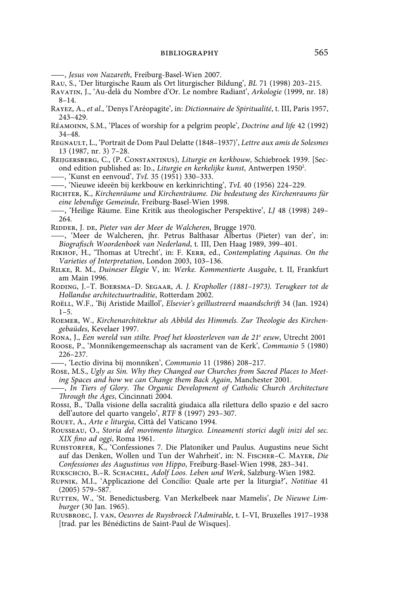——, *Jesus von Nazareth*, Freiburg-Basel-Wien 2007.

- Rau, S., 'Der liturgische Raum als Ort liturgischer Bildung', *BL* 71 (1998) 203–215.
- Ravatin, J., 'Au-delà du Nombre d'Or. Le nombre Radiant', *Arkologie* (1999, nr. 18) 8–14.
- Rayez, A., *et al*., 'Denys l'Aréopagite', in: *Dictionnaire de Spiritualité*, t. III, Paris 1957, 243–429.
- Réamoinn, S.M., 'Places of worship for a pelgrim people', *Doctrine and life* 42 (1992) 34–48.
- Regnault, L., 'Portrait de Dom Paul Delatte (1848–1937)', *Lettre aux amis de Solesmes* 13 (1987, nr. 3) 7–28.
- Reijgersberg, C., (P. Constantinus), *Liturgie en kerkbouw*, Schiebroek 1939. [Second edition published as: ID., *Liturgie en kerkelijke kunst*, Antwerpen 1950<sup>2</sup>.
- ——, 'Kunst en eenvoud', *TvL* 35 (1951) 330–333.
- ——, 'Nieuwe ideeën bij kerkbouw en kerkinrichting', *TvL* 40 (1956) 224–229.
- Richter, K., *Kirchenräume und Kirchenträume. Die bedeutung des Kirchenraums für eine lebendige Gemeinde*, Freiburg-Basel-Wien 1998.
- ——, 'Heilige Räume. Eine Kritik aus theologischer Perspektive', *LJ* 48 (1998) 249– 264.
- RIDDER, J. DE, *Pieter van der Meer de Walcheren*, Brugge 1970.
- ——, 'Meer de Walcheren, jhr. Petrus Balthasar Albertus (Pieter) van der', in: *Biografisch Woordenboek van Nederland*, t. III, Den Haag 1989, 399–401.
- Rikhof, H., 'Thomas at Utrecht', in: F. Kerr, ed., *Contemplating Aquinas. On the Varieties of Interpretation*, London 2003, 103–136.
- Rilke, R. M., *Duineser Elegie* V, in: *Werke. Kommentierte Ausgabe*, t. II, Frankfurt am Main 1996.
- Roding, J.–T. Boersma–D. Segaar, *A. J. Kropholler (1881–1973). Terugkeer tot de Hollandse architectuurtraditie*, Rotterdam 2002.
- Roëll, W.F., 'Bij Aristide Maillol', *Elsevier's geïllustreerd maandschrift* 34 (Jan. 1924) 1–5.
- Roemer, W., *Kirchenarchitektur als Abbild des Himmels. Zur Theologie des Kirchengebaüdes*, Kevelaer 1997.
- Rona, J., *Een wereld van stilte. Proef het kloosterleven van de 21e eeuw*, Utrecht 2001
- Roose, P., 'Monnikengemeenschap als sacrament van de Kerk', *Communio* 5 (1980) 226–237.

——, 'Lectio divina bij monniken', *Communio* 11 (1986) 208–217.

- Rose, M.S., *Ugly as Sin. Why they Changed our Churches from Sacred Places to Meeting Spaces and how we can Change them Back Again*, Manchester 2001.
- ——, *In Tiers of Glory. The Organic Development of Catholic Church Architecture Through the Ages*, Cincinnati 2004.
- Rossi, B., 'Dalla visione della sacralità giudaica alla rilettura dello spazio e del sacro dell'autore del quarto vangelo', *RTF* 8 (1997) 293–307.
- Rouet, A., *Arte e liturgia*, Città del Vaticano 1994.
- Rousseau, O., *Storia del movimento liturgico. Lineamenti storici dagli inizi del sec. XIX fino ad oggi*, Roma 1961.
- Ruhstorfer, K., 'Confessiones 7. Die Platoniker und Paulus. Augustins neue Sicht auf das Denken, Wollen und Tun der Wahrheit', in: N. Fischer–C. Mayer, *Die Confessiones des Augustinus von Hippo*, Freiburg-Basel-Wien 1998, 283–341.
- Rukschcio, B.–R. Schachel, *Adolf Loos. Leben und Werk*, Salzburg-Wien 1982.
- Rupnik, M.I., 'Applicazione del Concilio: Quale arte per la liturgia?', *Notitiae* 41 (2005) 579–587.
- RUTTEN, W., 'St. Benedictusberg. Van Merkelbeek naar Mamelis', De Nieuwe Lim*burger* (30 Jan. 1965).
- Ruusbroec, J. van, *Oeuvres de Ruysbroeck l'Admirable*, t. I–VI, Bruxelles 1917–1938 [trad. par les Bénédictins de Saint-Paul de Wisques].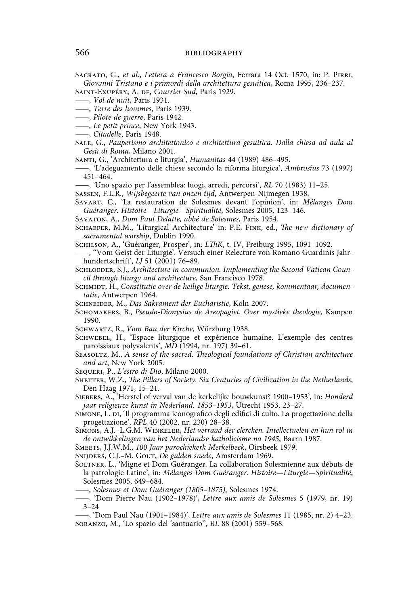Sacrato, G., *et al*., *Lettera a Francesco Borgia*, Ferrara 14 Oct. 1570, in: P. Pirri, *Giovanni Tristano e i primordi della architettura gesuitica*, Roma 1995, 236–237.

Saint-Exupéry, A. de, *Courrier Sud*, Paris 1929.

- ——, *Terre des hommes*, Paris 1939.
- ——, *Pilote de guerre*, Paris 1942.
- ——, *Le petit prince*, New York 1943.
- ——, *Citadelle*, Paris 1948.
- Sale, G., *Pauperismo architettonico e architettura gesuitica. Dalla chiesa ad aula al Gesù di Roma*, Milano 2001.
- Santi, G., 'Architettura e liturgia', *Humanitas* 44 (1989) 486–495.
- ——, 'L'adeguamento delle chiese secondo la riforma liturgica', *Ambrosius* 73 (1997) 451–464.
- ——, 'Uno spazio per l'assemblea: luogi, arredi, percorsi', *RL* 70 (1983) 11–25.
- Sassen, F.L.R., *Wijsbegeerte van onzen tijd*, Antwerpen-Nijmegen 1938.

Savart, C., 'La restauration de Solesmes devant l'opinion', in: *Mélanges Dom Guéranger. Histoire—Liturgie—Spiritualité*, Solesmes 2005, 123–146.

- Savaton, A., *Dom Paul Delatte, abbé de Solesmes*, Paris 1954.
- SCHAEFER, M.M., 'Liturgical Architecture' in: P.E. FINK, ed., *The new dictionary of sacramental worship*, Dublin 1990.
- Schilson, A., 'Guéranger, Prosper', in: *LThK*, t. IV, Freiburg 1995, 1091–1092.
- ——, ''Vom Geist der Liturgie'. Versuch einer Relecture von Romano Guardinis Jahrhundertschrift', *LJ* 51 (2001) 76-89.

SCHLOEDER, S.J., *Architecture in communion. Implementing the Second Vatican Council through liturgy and architecture*, San Francisco 1978.

- SCHMIDT, H., *Constitutie over de heilige liturgie*. Tekst, genese, kommentaar, documen*tatie*, Antwerpen 1964.
- Schneider, M., *Das Sakrament der Eucharistie*, Köln 2007.
- Schomakers, B., *Pseudo-Dionysius de Areopagiet. Over mystieke theologie*, Kampen 1990.
- Schwartz, R., *Vom Bau der Kirche*, Würzburg 1938.
- Schwebel, H., 'Espace liturgique et expérience humaine. L'exemple des centres paroissiaux polyvalents', *MD* (1994, nr. 197) 39–61.
- SEASOLTZ, M., A sense of the sacred. Theological foundations of Christian architecture *and art*, New York 2005.
- Sequeri, P., *L'estro di Dio*, Milano 2000.
- SHETTER, W.Z., *The Pillars of Society. Six Centuries of Civilization in the Netherlands*, Den Haag 1971, 15–21.
- Siebers, A., 'Herstel of verval van de kerkelijke bouwkunst? 1900–1953', in: *Honderd jaar religieuze kunst in Nederland. 1853–1953*, Utrecht 1953, 23–27.
- Simone, L. di, 'Il programma iconografico degli edifici di culto. La progettazione della progettazione', *RPL* 40 (2002, nr. 230) 28–38.
- Simons, A.J.–L.G.M. Winkeler, *Het verraad der clercken. Intellectuelen en hun rol in de ontwikkelingen van het Nederlandse katholicisme na 1945*, Baarn 1987.

Smeets, J.J.W.M., *100 Jaar parochiekerk Merkelbeek*, Oirsbeek 1979.

Snijders, C.J.–M. Gout, *De gulden snede*, Amsterdam 1969.

- Soltner, L., 'Migne et Dom Guéranger. La collaboration Solesmienne aux débuts de la patrologie Latine', in: *Mélanges Dom Guéranger. Histoire—Liturgie—Spiritualité*, Solesmes 2005, 649–684.
- ——, *Solesmes et Dom Guéranger (1805–1875)*, Solesmes 1974.
- ——, 'Dom Pierre Nau (1902–1978)', *Lettre aux amis de Solesmes* 5 (1979, nr. 19) 3–24

<sup>——,</sup> *Vol de nuit*, Paris 1931.

<sup>——, &#</sup>x27;Dom Paul Nau (1901–1984)', *Lettre aux amis de Solesmes* 11 (1985, nr. 2) 4–23. Soranzo, M., 'Lo spazio del 'santuario'', *RL* 88 (2001) 559–568.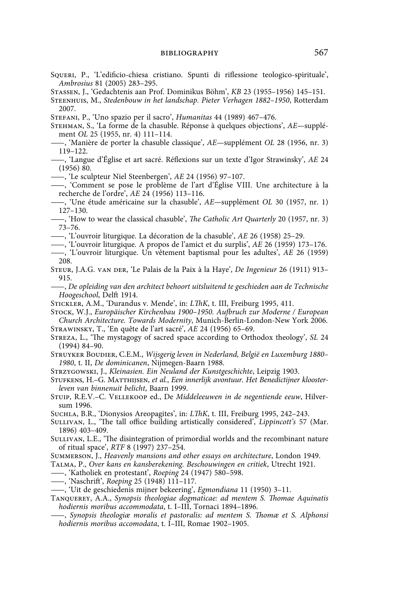- Squeri, P., 'L'edificio-chiesa cristiano. Spunti di riflessione teologico-spirituale', *Ambrosius* 81 (2005) 283–295.
- Stassen, J., 'Gedachtenis aan Prof. Dominikus Böhm', *KB* 23 (1955–1956) 145–151.
- Steenhuis, M., *Stedenbouw in het landschap. Pieter Verhagen 1882–1950*, Rotterdam 2007.
- Stefani, P., 'Uno spazio per il sacro', *Humanitas* 44 (1989) 467–476.
- Stehman, S., 'La forme de la chasuble. Réponse à quelques objections', *AE—*supplément *OL* 25 (1955, nr. 4) 111–114.
- ——, 'Manière de porter la chasuble classique', *AE—*supplément *OL* 28 (1956, nr. 3) 119–122.
- ——, 'Langue d'Église et art sacré. Réflexions sur un texte d'Igor Strawinsky', *AE* 24 (1956) 80.
- ——, 'Le sculpteur Niel Steenbergen', *AE* 24 (1956) 97–107.
- ——, 'Comment se pose le problème de l'art d'Église VIII. Une architecture à la recherche de l'ordre', *AE* 24 (1956) 113–116.
- ——, 'Une étude américaine sur la chasuble', *AE—*supplément *OL* 30 (1957, nr. 1) 127–130.
- ——, 'How to wear the classical chasuble', *The Catholic Art Quarterly* 20 (1957, nr. 3) 73–76.
- ——, 'L'ouvroir liturgique. La décoration de la chasuble', *AE* 26 (1958) 25–29.
- ——, 'L'ouvroir liturgique. A propos de l'amict et du surplis', *AE* 26 (1959) 173–176.
- ——, 'L'ouvroir liturgique. Un vêtement baptismal pour les adultes', *AE* 26 (1959) 208.
- Steur, J.A.G. van der, 'Le Palais de la Paix à la Haye', *De Ingenieur* 26 (1911) 913– 915.
- ——, *De opleiding van den architect behoort uitsluitend te geschieden aan de Technische Hoogeschool*, Delft 1914.
- Stickler, A.M., 'Durandus v. Mende', in: *LThK*, t. III, Freiburg 1995, 411.
- Stock, W.J., *Europäischer Kirchenbau 1900–1950. Aufbruch zur Moderne / European Church Architecture. Towards Modernity*, Munich-Berlin-London-New York 2006.
- Strawinsky, T., 'En quête de l'art sacré', *AE* 24 (1956) 65–69.
- Streza, L., 'The mystagogy of sacred space according to Orthodox theology', *SL* 24 (1994) 84–90.
- Struyker Boudier, C.E.M., *Wijsgerig leven in Nederland, België en Luxemburg 1880– 1980*, t. II, *De dominicanen*, Nijmegen-Baarn 1988.
- Strzygowski, J., *Kleinasien. Ein Neuland der Kunstgeschichte*, Leipzig 1903.
- Stufkens, H.–G. Matthijsen, *et al.*, *Een innerlijk avontuur. Het Benedictijner kloosterleven van binnenuit belicht*, Baarn 1999.
- Stuip, R.E.V.–C. Vellekoop ed., De *Middeleeuwen in de negentiende eeuw*, Hilversum 1996.
- Suchla, B.R., 'Dionysios Areopagites', in: *LThK*, t. III, Freiburg 1995, 242–243.
- Sullivan, L., 'The tall office building artistically considered', *Lippincott's* 57 (Mar. 1896) 403–409.
- SULLIVAN, L.E., 'The disintegration of primordial worlds and the recombinant nature of ritual space', *RTF* 8 (1997) 237–254.
- Summerson, J., *Heavenly mansions and other essays on architecture*, London 1949.
- Talma, P., *Over kans en kansberekening. Beschouwingen en critiek*, Utrecht 1921.
- ——, 'Katholiek en protestant', *Roeping* 24 (1947) 580–598.
- ——, 'Naschrift', *Roeping* 25 (1948) 111–117.
- ——, 'Uit de geschiedenis mijner bekeering', *Egmondiana* 11 (1950) 3–11.
- Tanquerey, A.A., *Synopsis theologiae dogmaticae: ad mentem S. Thomae Aquinatis hodiernis moribus accommodata*, t. I–III, Tornaci 1894–1896.
	- ——, *Synopsis theologiæ moralis et pastoralis: ad mentem S. Thomæ et S. Alphonsi hodiernis moribus accomodata*, t. I–III, Romae 1902–1905.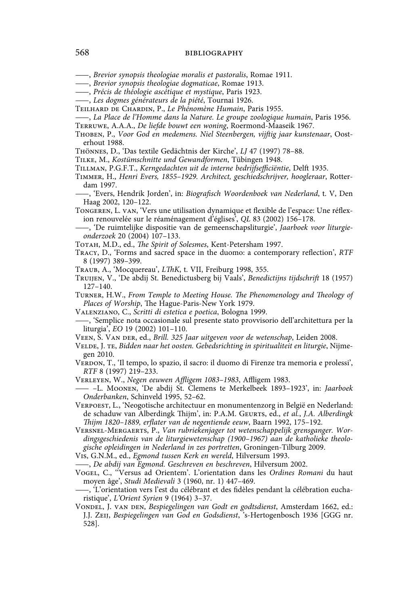——, *Brevior synopsis theologiae moralis et pastoralis*, Romae 1911.

- ——, *Brevior synopsis theologiae dogmaticae*, Romae 1913.
- ——, *Précis de théologie ascétique et mystique*, Paris 1923.
- ——, *Les dogmes générateurs de la piété*, Tournai 1926.
- Teilhard de Chardin, P., *Le Phénomène Humain*, Paris 1955.

——, *La Place de l'Homme dans la Nature. Le groupe zoologique humain*, Paris 1956. Terruwe, A.A.A., *De liefde bouwt een woning*, Roermond-Maaseik 1967.

Thoben, P., *Voor God en medemens. Niel Steenbergen, vijftig jaar kunstenaar*, Oosterhout 1988.

Thönnes, D., 'Das textile Gedächtnis der Kirche', *LJ* 47 (1997) 78–88.

- Tilke, M., *Kostümschnitte und Gewandformen*, Tübingen 1948.
- Tillman, P.G.F.T., *Kerngedachten uit de interne bedrijfsefficiëntie*, Delft 1935.
- Timmer, H., *Henri Evers, 1855–1929. Architect, geschiedschrijver, hoogleraar*, Rotterdam 1997.
- ——, 'Evers, Hendrik Jorden', in: *Biografisch Woordenboek van Nederland*, t. V, Den Haag 2002, 120–122.
- Tongeren, L. van, 'Vers une utilisation dynamique et flexible de l'espace: Une réflexion renouvelée sur le réaménagement d'églises', *QL* 83 (2002) 156–178.
- ——, 'De ruimtelijke dispositie van de gemeenschapsliturgie', *Jaarboek voor liturgieonderzoek* 20 (2004) 107–133.
- Totah, M.D., ed., *The Spirit of Solesmes*, Kent-Petersham 1997.
- Tracy, D., 'Forms and sacred space in the duomo: a contemporary reflection', *RTF* 8 (1997) 389–399.
- Traub, A., 'Mocquereau', *LThK*, t. VII, Freiburg 1998, 355.
- Truijen, V., 'De abdij St. Benedictusberg bij Vaals', *Benedictijns tijdschrift* 18 (1957) 127–140.

Turner, H.W., *From Temple to Meeting House. The Phenomenology and Theology of Places of Worship*, The Hague-Paris-New York 1979.

- Valenziano, C., *Scritti di estetica e poetica*, Bologna 1999.
- ——, 'Semplice nota occasionale sul presente stato provvisorio dell'architettura per la liturgia', *EO* 19 (2002) 101–110.
- Veen, S. Van der, ed., *Brill. 325 Jaar uitgeven voor de wetenschap*, Leiden 2008.
- Velde, J. te, *Bidden naar het oosten. Gebedsrichting in spiritualiteit en liturgie*, Nijmegen 2010.
- VERDON, T., 'Il tempo, lo spazio, il sacro: il duomo di Firenze tra memoria e prolessi', *RTF* 8 (1997) 219–233.
- Verleyen, W., *Negen eeuwen Affligem 1083–1983*, Affligem 1983.
- —— –L. Moonen, 'De abdij St. Clemens te Merkelbeek 1893–1923', in: *Jaarboek Onderbanken*, Schinveld 1995, 52–62.
- Verpoest, L., 'Neogotische architectuur en monumentenzorg in België en Nederland: de schaduw van Alberdingk Thijm', in: P.A.M. Geurts, ed., *et al.*, *J.A. Alberdingk Thijm 1820–1889, erflater van de negentiende eeuw*, Baarn 1992, 175–192.

Versnel-Mergaerts, P., *Van rubriekenjager tot wetenschappelijk grensganger. Wordingsgeschiedenis van de liturgiewetenschap (1900–1967) aan de katholieke theologische opleidingen in Nederland in zes portretten*, Groningen-Tilburg 2009.

Vis, G.N.M., ed., *Egmond tussen Kerk en wereld*, Hilversum 1993.

——, *De abdij van Egmond. Geschreven en beschreven*, Hilversum 2002.

- Vogel, C., ''Versus ad Orientem'. L'orientation dans les *Ordines Romani* du haut moyen âge', *Studi Medievali* 3 (1960, nr. 1) 447–469.
- ——, 'L'orientation vers l'est du célébrant et des fidèles pendant la célébration eucharistique', *L'Orient Syrien* 9 (1964) 3–37.
- Vondel, J. van den, *Bespiegelingen van Godt en godtsdienst*, Amsterdam 1662, ed.: J.J. Zeij, *Bespiegelingen van God en Godsdienst*, 's-Hertogenbosch 1936 [GGG nr. 528].